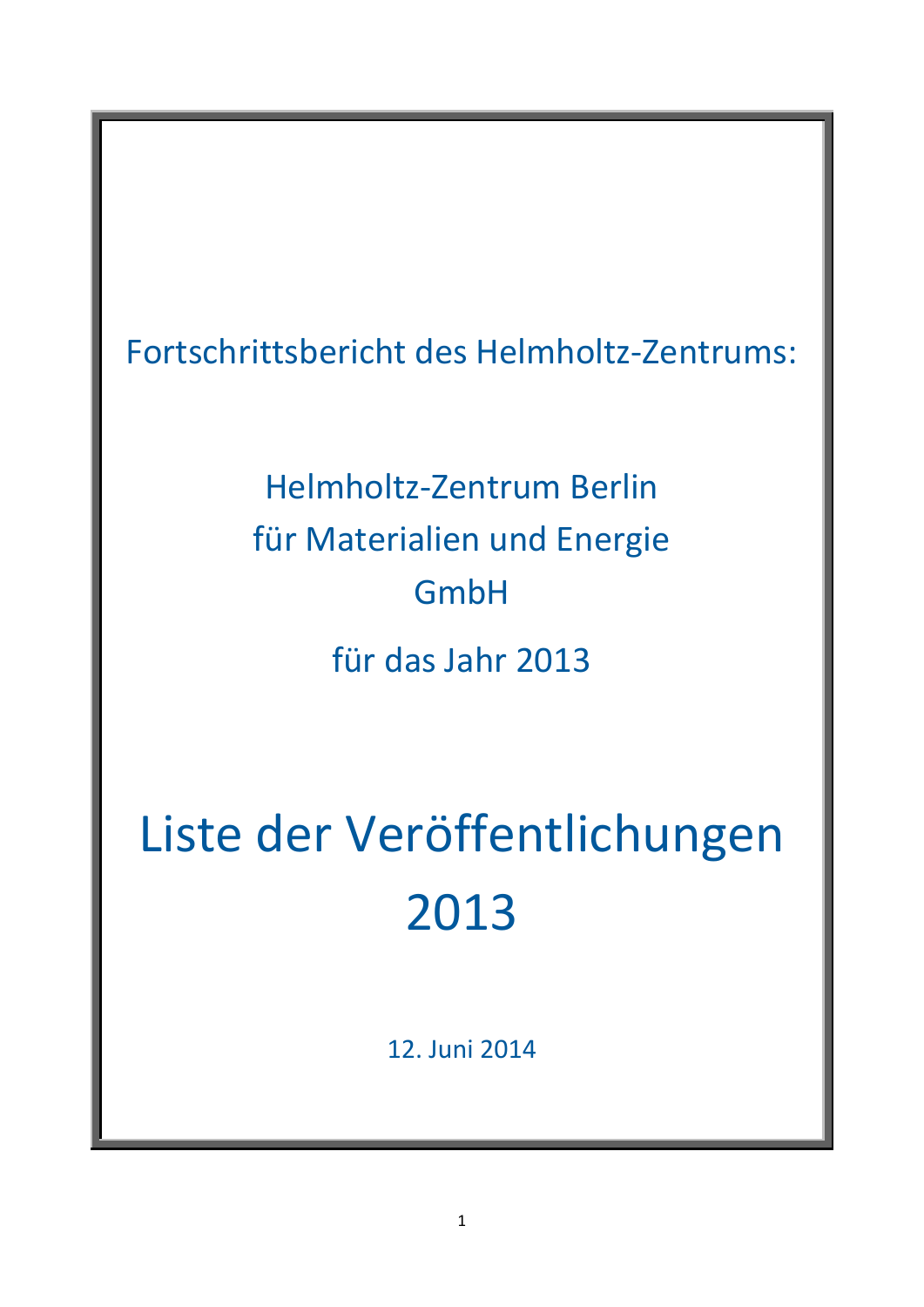Fortschrittsbericht des Helmholtz-Zentrums:

Helmholtz-Zentrum Berlin für Materialien und Energie GmbH für das Jahr 2013

Liste der Veröffentlichungen 2013

12. Juni 2014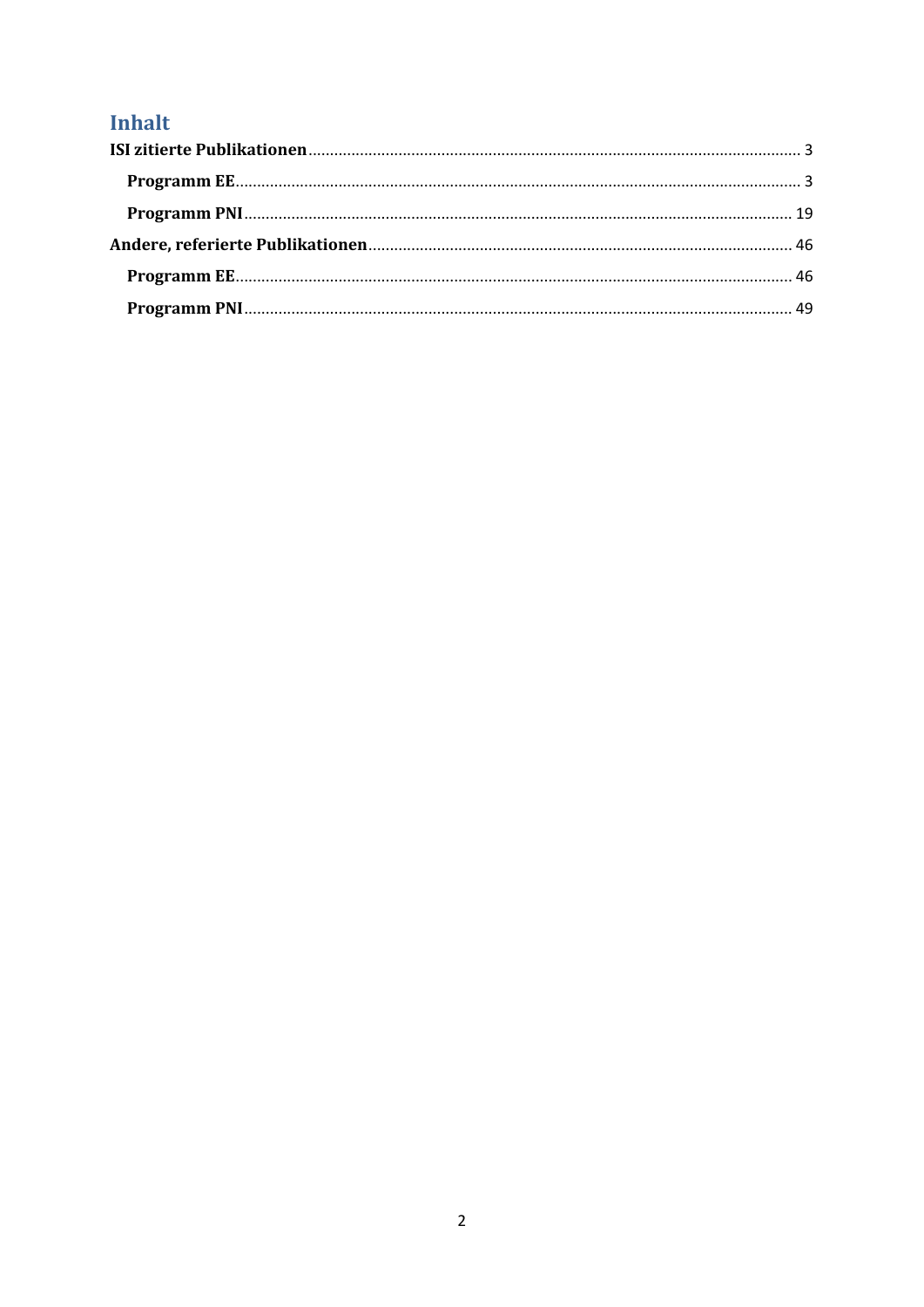# Inhalt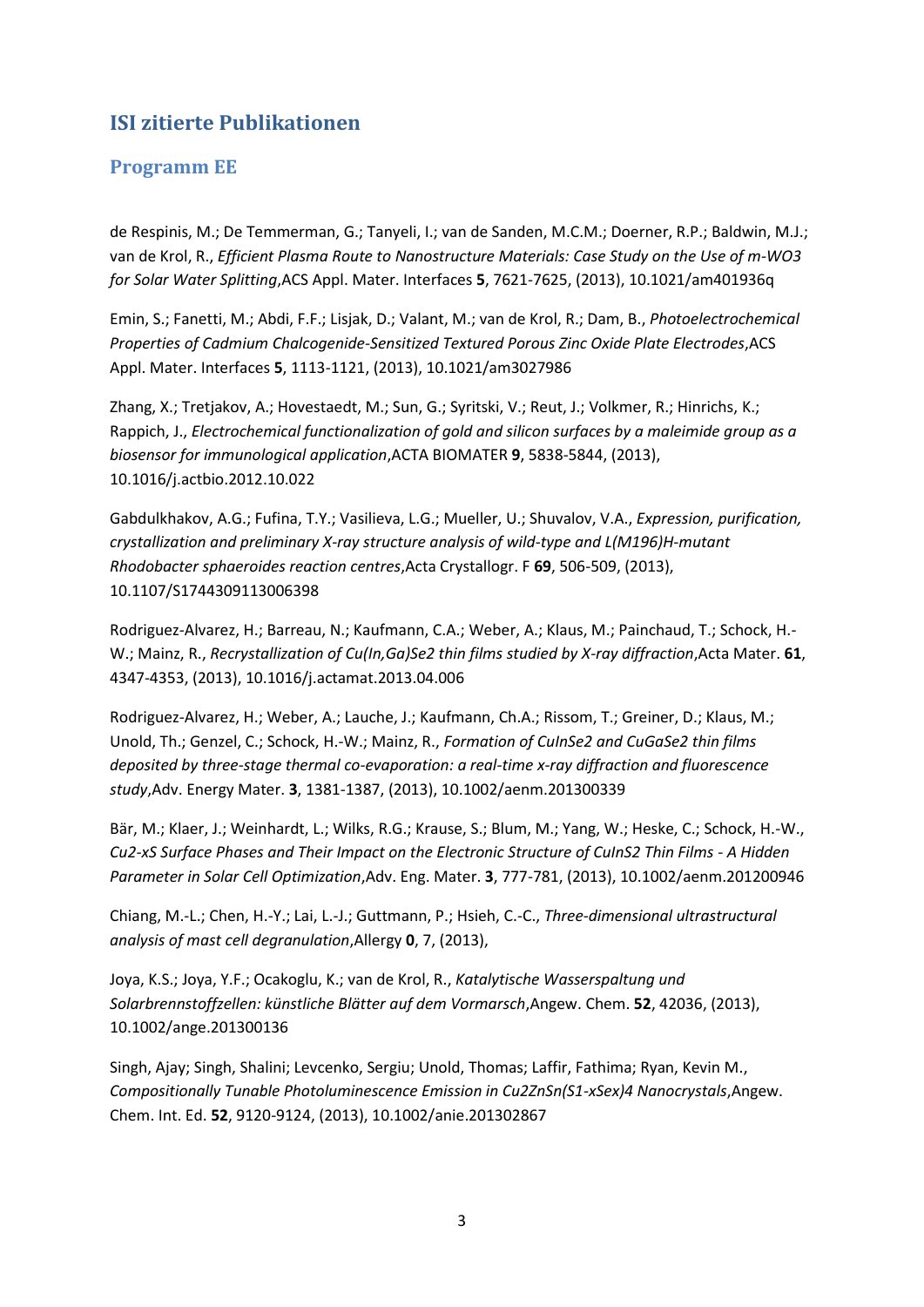# <span id="page-2-0"></span>**ISI zitierte Publikationen**

### <span id="page-2-1"></span>**Programm EE**

de Respinis, M.; De Temmerman, G.; Tanyeli, I.; van de Sanden, M.C.M.; Doerner, R.P.; Baldwin, M.J.; van de Krol, R., *Efficient Plasma Route to Nanostructure Materials: Case Study on the Use of m-WO3 for Solar Water Splitting*,ACS Appl. Mater. Interfaces **5**, 7621-7625, (2013), 10.1021/am401936q

Emin, S.; Fanetti, M.; Abdi, F.F.; Lisjak, D.; Valant, M.; van de Krol, R.; Dam, B., *Photoelectrochemical Properties of Cadmium Chalcogenide-Sensitized Textured Porous Zinc Oxide Plate Electrodes*,ACS Appl. Mater. Interfaces **5**, 1113-1121, (2013), 10.1021/am3027986

Zhang, X.; Tretjakov, A.; Hovestaedt, M.; Sun, G.; Syritski, V.; Reut, J.; Volkmer, R.; Hinrichs, K.; Rappich, J., *Electrochemical functionalization of gold and silicon surfaces by a maleimide group as a biosensor for immunological application*,ACTA BIOMATER **9**, 5838-5844, (2013), 10.1016/j.actbio.2012.10.022

Gabdulkhakov, A.G.; Fufina, T.Y.; Vasilieva, L.G.; Mueller, U.; Shuvalov, V.A., *Expression, purification, crystallization and preliminary X-ray structure analysis of wild-type and L(M196)H-mutant Rhodobacter sphaeroides reaction centres*,Acta Crystallogr. F **69**, 506-509, (2013), 10.1107/S1744309113006398

Rodriguez-Alvarez, H.; Barreau, N.; Kaufmann, C.A.; Weber, A.; Klaus, M.; Painchaud, T.; Schock, H.- W.; Mainz, R., *Recrystallization of Cu(In,Ga)Se2 thin films studied by X-ray diffraction*,Acta Mater. **61**, 4347-4353, (2013), 10.1016/j.actamat.2013.04.006

Rodriguez-Alvarez, H.; Weber, A.; Lauche, J.; Kaufmann, Ch.A.; Rissom, T.; Greiner, D.; Klaus, M.; Unold, Th.; Genzel, C.; Schock, H.-W.; Mainz, R., *Formation of CuInSe2 and CuGaSe2 thin films deposited by three-stage thermal co-evaporation: a real-time x-ray diffraction and fluorescence study*,Adv. Energy Mater. **3**, 1381-1387, (2013), 10.1002/aenm.201300339

Bär, M.; Klaer, J.; Weinhardt, L.; Wilks, R.G.; Krause, S.; Blum, M.; Yang, W.; Heske, C.; Schock, H.-W., *Cu2-xS Surface Phases and Their Impact on the Electronic Structure of CuInS2 Thin Films - A Hidden Parameter in Solar Cell Optimization*,Adv. Eng. Mater. **3**, 777-781, (2013), 10.1002/aenm.201200946

Chiang, M.-L.; Chen, H.-Y.; Lai, L.-J.; Guttmann, P.; Hsieh, C.-C., *Three-dimensional ultrastructural analysis of mast cell degranulation*,Allergy **0**, 7, (2013),

Joya, K.S.; Joya, Y.F.; Ocakoglu, K.; van de Krol, R., *Katalytische Wasserspaltung und Solarbrennstoffzellen: künstliche Blätter auf dem Vormarsch*,Angew. Chem. **52**, 42036, (2013), 10.1002/ange.201300136

Singh, Ajay; Singh, Shalini; Levcenko, Sergiu; Unold, Thomas; Laffir, Fathima; Ryan, Kevin M., *Compositionally Tunable Photoluminescence Emission in Cu2ZnSn(S1-xSex)4 Nanocrystals*,Angew. Chem. Int. Ed. **52**, 9120-9124, (2013), 10.1002/anie.201302867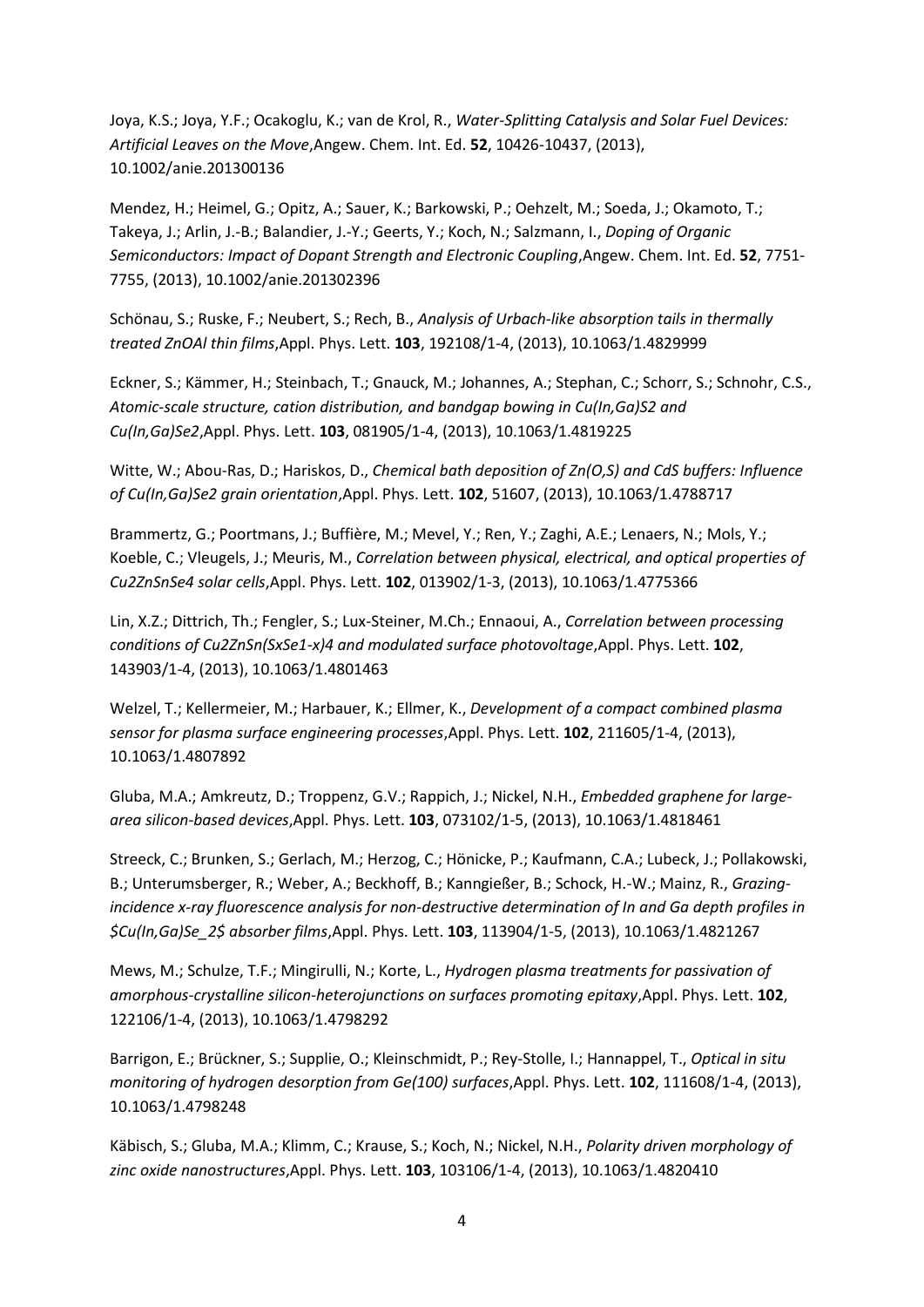Joya, K.S.; Joya, Y.F.; Ocakoglu, K.; van de Krol, R., *Water-Splitting Catalysis and Solar Fuel Devices: Artificial Leaves on the Move*,Angew. Chem. Int. Ed. **52**, 10426-10437, (2013), 10.1002/anie.201300136

Mendez, H.; Heimel, G.; Opitz, A.; Sauer, K.; Barkowski, P.; Oehzelt, M.; Soeda, J.; Okamoto, T.; Takeya, J.; Arlin, J.-B.; Balandier, J.-Y.; Geerts, Y.; Koch, N.; Salzmann, I., *Doping of Organic Semiconductors: Impact of Dopant Strength and Electronic Coupling*,Angew. Chem. Int. Ed. **52**, 7751- 7755, (2013), 10.1002/anie.201302396

Schönau, S.; Ruske, F.; Neubert, S.; Rech, B., *Analysis of Urbach-like absorption tails in thermally treated ZnOAl thin films*,Appl. Phys. Lett. **103**, 192108/1-4, (2013), 10.1063/1.4829999

Eckner, S.; Kämmer, H.; Steinbach, T.; Gnauck, M.; Johannes, A.; Stephan, C.; Schorr, S.; Schnohr, C.S., *Atomic-scale structure, cation distribution, and bandgap bowing in Cu(In,Ga)S2 and Cu(In,Ga)Se2*,Appl. Phys. Lett. **103**, 081905/1-4, (2013), 10.1063/1.4819225

Witte, W.; Abou-Ras, D.; Hariskos, D., *Chemical bath deposition of Zn(O,S) and CdS buffers: Influence of Cu(In,Ga)Se2 grain orientation*,Appl. Phys. Lett. **102**, 51607, (2013), 10.1063/1.4788717

Brammertz, G.; Poortmans, J.; Buffière, M.; Mevel, Y.; Ren, Y.; Zaghi, A.E.; Lenaers, N.; Mols, Y.; Koeble, C.; Vleugels, J.; Meuris, M., *Correlation between physical, electrical, and optical properties of Cu2ZnSnSe4 solar cells*,Appl. Phys. Lett. **102**, 013902/1-3, (2013), 10.1063/1.4775366

Lin, X.Z.; Dittrich, Th.; Fengler, S.; Lux-Steiner, M.Ch.; Ennaoui, A., *Correlation between processing conditions of Cu2ZnSn(SxSe1-x)4 and modulated surface photovoltage,Appl. Phys. Lett.* 102, 143903/1-4, (2013), 10.1063/1.4801463

Welzel, T.; Kellermeier, M.; Harbauer, K.; Ellmer, K., *Development of a compact combined plasma sensor for plasma surface engineering processes*,Appl. Phys. Lett. **102**, 211605/1-4, (2013), 10.1063/1.4807892

Gluba, M.A.; Amkreutz, D.; Troppenz, G.V.; Rappich, J.; Nickel, N.H., *Embedded graphene for largearea silicon-based devices*,Appl. Phys. Lett. **103**, 073102/1-5, (2013), 10.1063/1.4818461

Streeck, C.; Brunken, S.; Gerlach, M.; Herzog, C.; Hönicke, P.; Kaufmann, C.A.; Lubeck, J.; Pollakowski, B.; Unterumsberger, R.; Weber, A.; Beckhoff, B.; Kanngießer, B.; Schock, H.-W.; Mainz, R., *Grazingincidence x-ray fluorescence analysis for non-destructive determination of In and Ga depth profiles in \$Cu(In,Ga)Se\_2\$ absorber films*,Appl. Phys. Lett. **103**, 113904/1-5, (2013), 10.1063/1.4821267

Mews, M.; Schulze, T.F.; Mingirulli, N.; Korte, L., *Hydrogen plasma treatments for passivation of amorphous-crystalline silicon-heterojunctions on surfaces promoting epitaxy*,Appl. Phys. Lett. **102**, 122106/1-4, (2013), 10.1063/1.4798292

Barrigon, E.; Brückner, S.; Supplie, O.; Kleinschmidt, P.; Rey-Stolle, I.; Hannappel, T., *Optical in situ monitoring of hydrogen desorption from Ge(100) surfaces*,Appl. Phys. Lett. **102**, 111608/1-4, (2013), 10.1063/1.4798248

Käbisch, S.; Gluba, M.A.; Klimm, C.; Krause, S.; Koch, N.; Nickel, N.H., *Polarity driven morphology of zinc oxide nanostructures*,Appl. Phys. Lett. **103**, 103106/1-4, (2013), 10.1063/1.4820410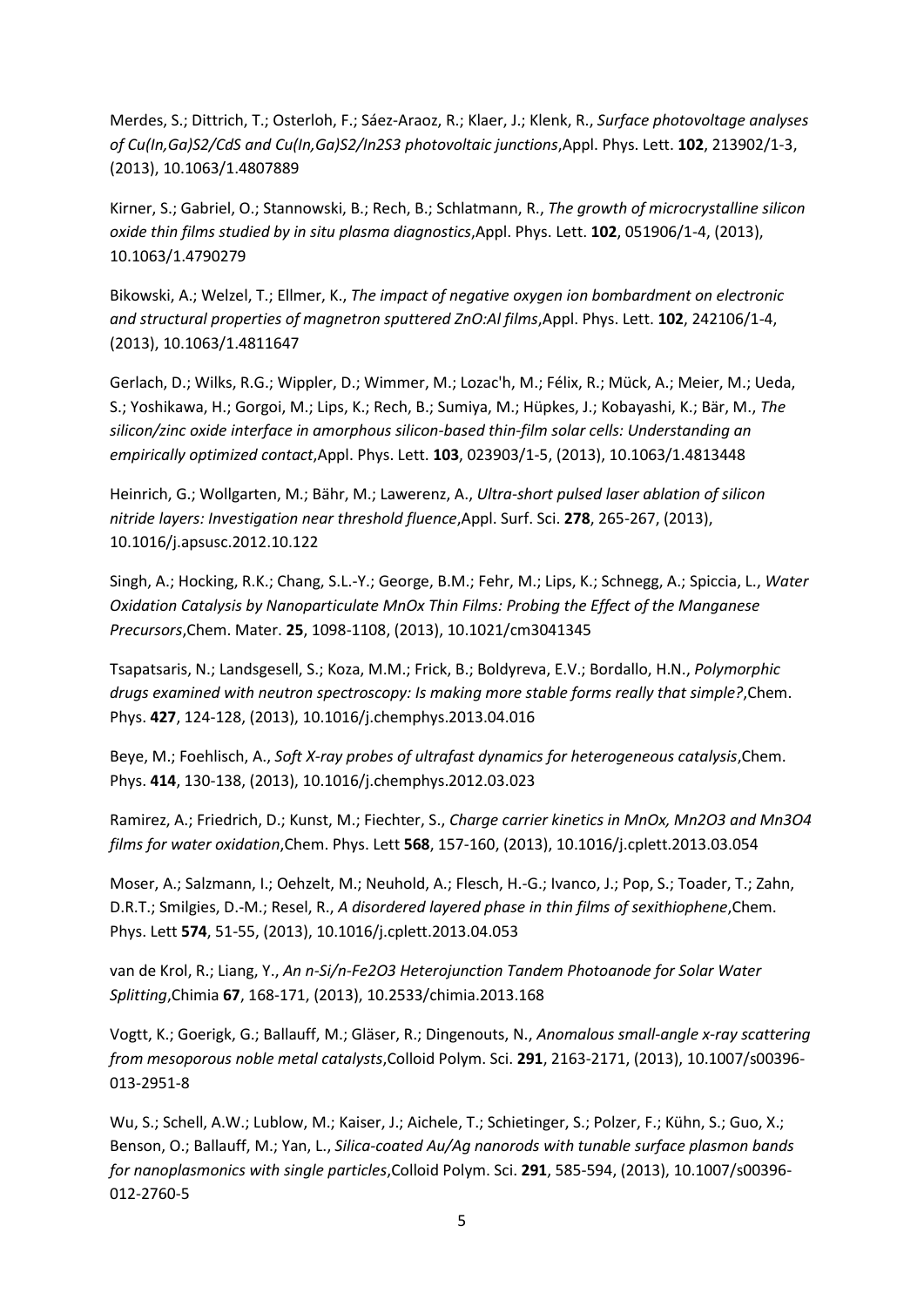Merdes, S.; Dittrich, T.; Osterloh, F.; Sáez-Araoz, R.; Klaer, J.; Klenk, R., *Surface photovoltage analyses of Cu(In,Ga)S2/CdS and Cu(In,Ga)S2/In2S3 photovoltaic junctions*,Appl. Phys. Lett. **102**, 213902/1-3, (2013), 10.1063/1.4807889

Kirner, S.; Gabriel, O.; Stannowski, B.; Rech, B.; Schlatmann, R., *The growth of microcrystalline silicon oxide thin films studied by in situ plasma diagnostics*,Appl. Phys. Lett. **102**, 051906/1-4, (2013), 10.1063/1.4790279

Bikowski, A.; Welzel, T.; Ellmer, K., *The impact of negative oxygen ion bombardment on electronic and structural properties of magnetron sputtered ZnO:Al films*,Appl. Phys. Lett. **102**, 242106/1-4, (2013), 10.1063/1.4811647

Gerlach, D.; Wilks, R.G.; Wippler, D.; Wimmer, M.; Lozac'h, M.; Félix, R.; Mück, A.; Meier, M.; Ueda, S.; Yoshikawa, H.; Gorgoi, M.; Lips, K.; Rech, B.; Sumiya, M.; Hüpkes, J.; Kobayashi, K.; Bär, M., *The silicon/zinc oxide interface in amorphous silicon-based thin-film solar cells: Understanding an empirically optimized contact*,Appl. Phys. Lett. **103**, 023903/1-5, (2013), 10.1063/1.4813448

Heinrich, G.; Wollgarten, M.; Bähr, M.; Lawerenz, A., *Ultra-short pulsed laser ablation of silicon nitride layers: Investigation near threshold fluence*,Appl. Surf. Sci. **278**, 265-267, (2013), 10.1016/j.apsusc.2012.10.122

Singh, A.; Hocking, R.K.; Chang, S.L.-Y.; George, B.M.; Fehr, M.; Lips, K.; Schnegg, A.; Spiccia, L., *Water Oxidation Catalysis by Nanoparticulate MnOx Thin Films: Probing the Effect of the Manganese Precursors*,Chem. Mater. **25**, 1098-1108, (2013), 10.1021/cm3041345

Tsapatsaris, N.; Landsgesell, S.; Koza, M.M.; Frick, B.; Boldyreva, E.V.; Bordallo, H.N., *Polymorphic drugs examined with neutron spectroscopy: Is making more stable forms really that simple?*,Chem. Phys. **427**, 124-128, (2013), 10.1016/j.chemphys.2013.04.016

Beye, M.; Foehlisch, A., *Soft X-ray probes of ultrafast dynamics for heterogeneous catalysis*,Chem. Phys. **414**, 130-138, (2013), 10.1016/j.chemphys.2012.03.023

Ramirez, A.; Friedrich, D.; Kunst, M.; Fiechter, S., *Charge carrier kinetics in MnOx, Mn2O3 and Mn3O4 films for water oxidation*,Chem. Phys. Lett **568**, 157-160, (2013), 10.1016/j.cplett.2013.03.054

Moser, A.; Salzmann, I.; Oehzelt, M.; Neuhold, A.; Flesch, H.-G.; Ivanco, J.; Pop, S.; Toader, T.; Zahn, D.R.T.; Smilgies, D.-M.; Resel, R., *A disordered layered phase in thin films of sexithiophene*,Chem. Phys. Lett **574**, 51-55, (2013), 10.1016/j.cplett.2013.04.053

van de Krol, R.; Liang, Y., *An n-Si/n-Fe2O3 Heterojunction Tandem Photoanode for Solar Water Splitting*,Chimia **67**, 168-171, (2013), 10.2533/chimia.2013.168

Vogtt, K.; Goerigk, G.; Ballauff, M.; Gläser, R.; Dingenouts, N., *Anomalous small-angle x-ray scattering from mesoporous noble metal catalysts*,Colloid Polym. Sci. **291**, 2163-2171, (2013), 10.1007/s00396- 013-2951-8

Wu, S.; Schell, A.W.; Lublow, M.; Kaiser, J.; Aichele, T.; Schietinger, S.; Polzer, F.; Kühn, S.; Guo, X.; Benson, O.; Ballauff, M.; Yan, L., *Silica-coated Au/Ag nanorods with tunable surface plasmon bands for nanoplasmonics with single particles*,Colloid Polym. Sci. **291**, 585-594, (2013), 10.1007/s00396- 012-2760-5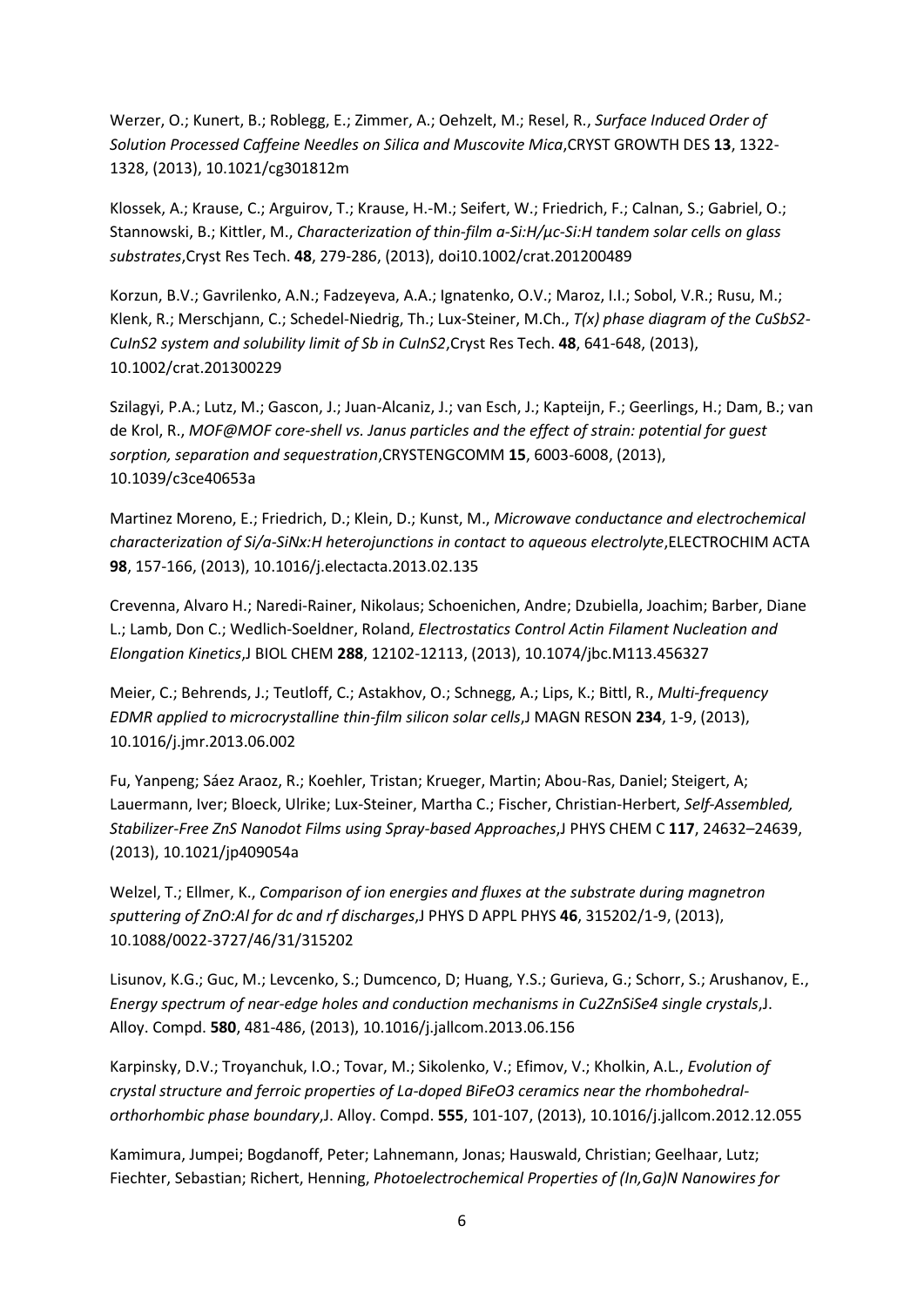Werzer, O.; Kunert, B.; Roblegg, E.; Zimmer, A.; Oehzelt, M.; Resel, R., *Surface Induced Order of Solution Processed Caffeine Needles on Silica and Muscovite Mica*,CRYST GROWTH DES **13**, 1322- 1328, (2013), 10.1021/cg301812m

Klossek, A.; Krause, C.; Arguirov, T.; Krause, H.-M.; Seifert, W.; Friedrich, F.; Calnan, S.; Gabriel, O.; Stannowski, B.; Kittler, M., *Characterization of thin-film a-Si:H/µc-Si:H tandem solar cells on glass substrates*,Cryst Res Tech. **48**, 279-286, (2013), doi10.1002/crat.201200489

Korzun, B.V.; Gavrilenko, A.N.; Fadzeyeva, A.A.; Ignatenko, O.V.; Maroz, I.I.; Sobol, V.R.; Rusu, M.; Klenk, R.; Merschjann, C.; Schedel-Niedrig, Th.; Lux-Steiner, M.Ch., *T(x) phase diagram of the CuSbS2- CuInS2 system and solubility limit of Sb in CuInS2*,Cryst Res Tech. **48**, 641-648, (2013), 10.1002/crat.201300229

Szilagyi, P.A.; Lutz, M.; Gascon, J.; Juan-Alcaniz, J.; van Esch, J.; Kapteijn, F.; Geerlings, H.; Dam, B.; van de Krol, R., *MOF@MOF core-shell vs. Janus particles and the effect of strain: potential for guest sorption, separation and sequestration*,CRYSTENGCOMM **15**, 6003-6008, (2013), 10.1039/c3ce40653a

Martinez Moreno, E.; Friedrich, D.; Klein, D.; Kunst, M., *Microwave conductance and electrochemical characterization of Si/a-SiNx:H heterojunctions in contact to aqueous electrolyte*,ELECTROCHIM ACTA **98**, 157-166, (2013), 10.1016/j.electacta.2013.02.135

Crevenna, Alvaro H.; Naredi-Rainer, Nikolaus; Schoenichen, Andre; Dzubiella, Joachim; Barber, Diane L.; Lamb, Don C.; Wedlich-Soeldner, Roland, *Electrostatics Control Actin Filament Nucleation and Elongation Kinetics*,J BIOL CHEM **288**, 12102-12113, (2013), 10.1074/jbc.M113.456327

Meier, C.; Behrends, J.; Teutloff, C.; Astakhov, O.; Schnegg, A.; Lips, K.; Bittl, R., *Multi-frequency EDMR applied to microcrystalline thin-film silicon solar cells*,J MAGN RESON **234**, 1-9, (2013), 10.1016/j.jmr.2013.06.002

Fu, Yanpeng; Sáez Araoz, R.; Koehler, Tristan; Krueger, Martin; Abou-Ras, Daniel; Steigert, A; Lauermann, Iver; Bloeck, Ulrike; Lux-Steiner, Martha C.; Fischer, Christian-Herbert, *Self-Assembled, Stabilizer-Free ZnS Nanodot Films using Spray-based Approaches*,J PHYS CHEM C **117**, 24632–24639, (2013), 10.1021/jp409054a

Welzel, T.; Ellmer, K., *Comparison of ion energies and fluxes at the substrate during magnetron sputtering of ZnO:Al for dc and rf discharges*,J PHYS D APPL PHYS **46**, 315202/1-9, (2013), 10.1088/0022-3727/46/31/315202

Lisunov, K.G.; Guc, M.; Levcenko, S.; Dumcenco, D; Huang, Y.S.; Gurieva, G.; Schorr, S.; Arushanov, E., *Energy spectrum of near-edge holes and conduction mechanisms in Cu2ZnSiSe4 single crystals*,J. Alloy. Compd. **580**, 481-486, (2013), 10.1016/j.jallcom.2013.06.156

Karpinsky, D.V.; Troyanchuk, I.O.; Tovar, M.; Sikolenko, V.; Efimov, V.; Kholkin, A.L., *Evolution of crystal structure and ferroic properties of La-doped BiFeO3 ceramics near the rhombohedralorthorhombic phase boundary*,J. Alloy. Compd. **555**, 101-107, (2013), 10.1016/j.jallcom.2012.12.055

Kamimura, Jumpei; Bogdanoff, Peter; Lahnemann, Jonas; Hauswald, Christian; Geelhaar, Lutz; Fiechter, Sebastian; Richert, Henning, *Photoelectrochemical Properties of (In,Ga)N Nanowires for*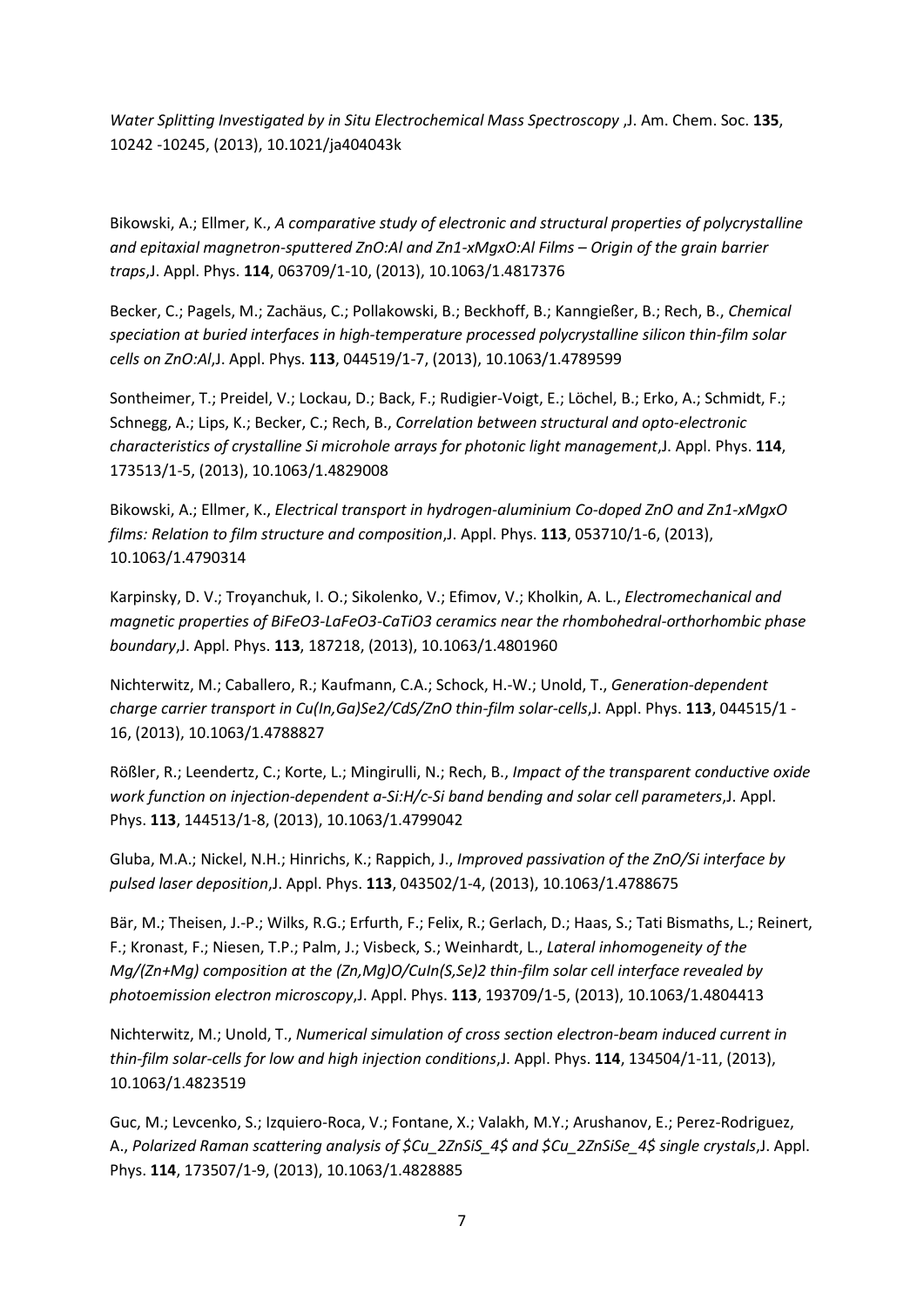*Water Splitting Investigated by in Situ Electrochemical Mass Spectroscopy* ,J. Am. Chem. Soc. **135**, 10242 -10245, (2013), 10.1021/ja404043k

Bikowski, A.; Ellmer, K., *A comparative study of electronic and structural properties of polycrystalline and epitaxial magnetron-sputtered ZnO:Al and Zn1-xMgxO:Al Films – Origin of the grain barrier traps*,J. Appl. Phys. **114**, 063709/1-10, (2013), 10.1063/1.4817376

Becker, C.; Pagels, M.; Zachäus, C.; Pollakowski, B.; Beckhoff, B.; Kanngießer, B.; Rech, B., *Chemical speciation at buried interfaces in high-temperature processed polycrystalline silicon thin-film solar cells on ZnO:Al*,J. Appl. Phys. **113**, 044519/1-7, (2013), 10.1063/1.4789599

Sontheimer, T.; Preidel, V.; Lockau, D.; Back, F.; Rudigier-Voigt, E.; Löchel, B.; Erko, A.; Schmidt, F.; Schnegg, A.; Lips, K.; Becker, C.; Rech, B., *Correlation between structural and opto-electronic characteristics of crystalline Si microhole arrays for photonic light management*,J. Appl. Phys. **114**, 173513/1-5, (2013), 10.1063/1.4829008

Bikowski, A.; Ellmer, K., *Electrical transport in hydrogen-aluminium Co-doped ZnO and Zn1-xMgxO films: Relation to film structure and composition*,J. Appl. Phys. **113**, 053710/1-6, (2013), 10.1063/1.4790314

Karpinsky, D. V.; Troyanchuk, I. O.; Sikolenko, V.; Efimov, V.; Kholkin, A. L., *Electromechanical and magnetic properties of BiFeO3-LaFeO3-CaTiO3 ceramics near the rhombohedral-orthorhombic phase boundary*,J. Appl. Phys. **113**, 187218, (2013), 10.1063/1.4801960

Nichterwitz, M.; Caballero, R.; Kaufmann, C.A.; Schock, H.-W.; Unold, T., *Generation-dependent charge carrier transport in Cu(In,Ga)Se2/CdS/ZnO thin-film solar-cells*,J. Appl. Phys. **113**, 044515/1 - 16, (2013), 10.1063/1.4788827

Rößler, R.; Leendertz, C.; Korte, L.; Mingirulli, N.; Rech, B., *Impact of the transparent conductive oxide work function on injection-dependent a-Si:H/c-Si band bending and solar cell parameters*,J. Appl. Phys. **113**, 144513/1-8, (2013), 10.1063/1.4799042

Gluba, M.A.; Nickel, N.H.; Hinrichs, K.; Rappich, J., *Improved passivation of the ZnO/Si interface by pulsed laser deposition*,J. Appl. Phys. **113**, 043502/1-4, (2013), 10.1063/1.4788675

Bär, M.; Theisen, J.-P.; Wilks, R.G.; Erfurth, F.; Felix, R.; Gerlach, D.; Haas, S.; Tati Bismaths, L.; Reinert, F.; Kronast, F.; Niesen, T.P.; Palm, J.; Visbeck, S.; Weinhardt, L., *Lateral inhomogeneity of the Mg/(Zn+Mg) composition at the (Zn,Mg)O/CuIn(S,Se)2 thin-film solar cell interface revealed by photoemission electron microscopy*,J. Appl. Phys. **113**, 193709/1-5, (2013), 10.1063/1.4804413

Nichterwitz, M.; Unold, T., *Numerical simulation of cross section electron-beam induced current in thin-film solar-cells for low and high injection conditions*,J. Appl. Phys. **114**, 134504/1-11, (2013), 10.1063/1.4823519

Guc, M.; Levcenko, S.; Izquiero-Roca, V.; Fontane, X.; Valakh, M.Y.; Arushanov, E.; Perez-Rodriguez, A., *Polarized Raman scattering analysis of \$Cu\_2ZnSiS\_4\$ and \$Cu\_2ZnSiSe\_4\$ single crystals*,J. Appl. Phys. **114**, 173507/1-9, (2013), 10.1063/1.4828885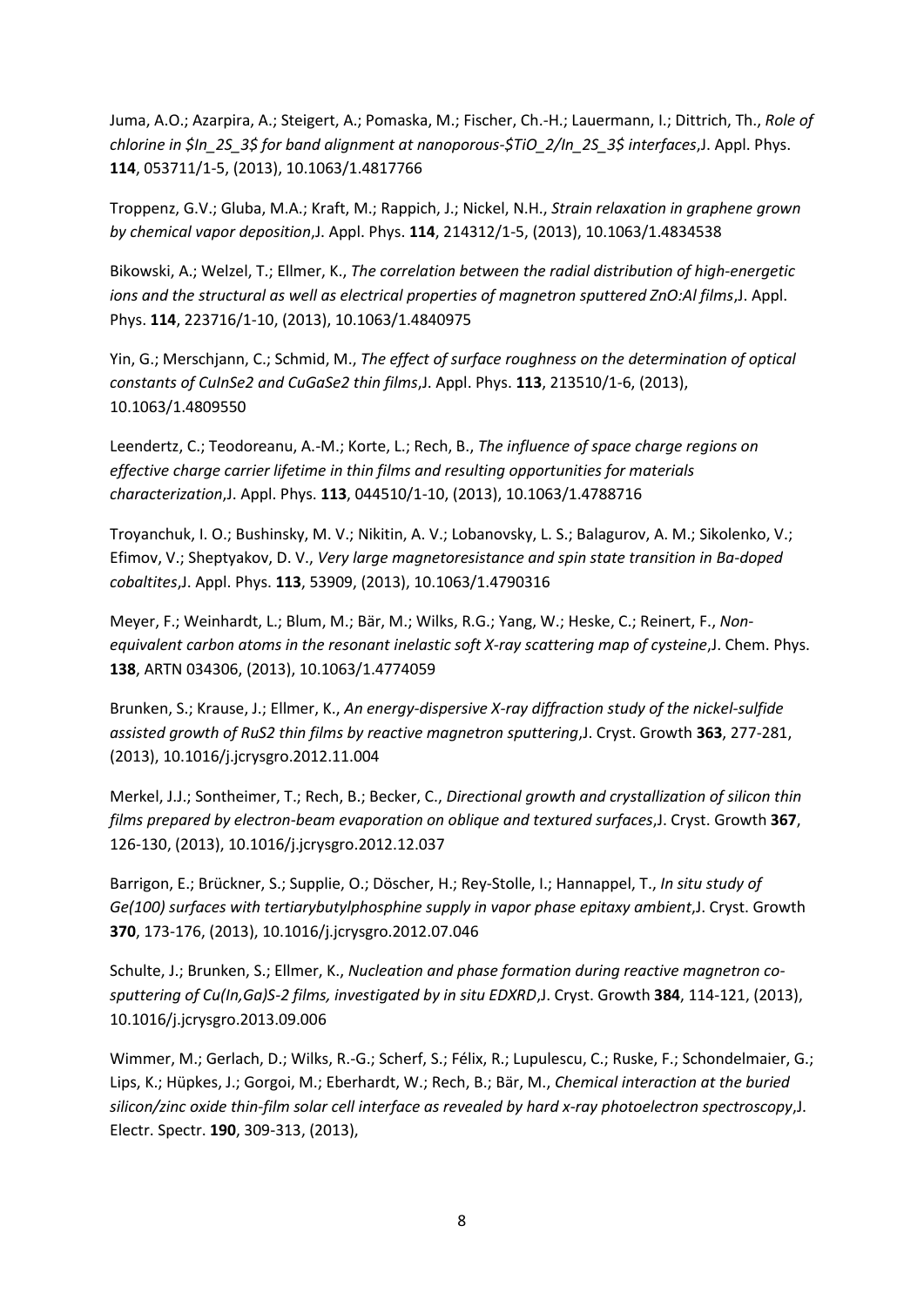Juma, A.O.; Azarpira, A.; Steigert, A.; Pomaska, M.; Fischer, Ch.-H.; Lauermann, I.; Dittrich, Th., *Role of chlorine in \$In\_2S\_3\$ for band alignment at nanoporous-\$TiO\_2/In\_2S\_3\$ interfaces*,J. Appl. Phys. **114**, 053711/1-5, (2013), 10.1063/1.4817766

Troppenz, G.V.; Gluba, M.A.; Kraft, M.; Rappich, J.; Nickel, N.H., *Strain relaxation in graphene grown by chemical vapor deposition*,J. Appl. Phys. **114**, 214312/1-5, (2013), 10.1063/1.4834538

Bikowski, A.; Welzel, T.; Ellmer, K., *The correlation between the radial distribution of high-energetic ions and the structural as well as electrical properties of magnetron sputtered ZnO:Al films*,J. Appl. Phys. **114**, 223716/1-10, (2013), 10.1063/1.4840975

Yin, G.; Merschjann, C.; Schmid, M., *The effect of surface roughness on the determination of optical constants of CuInSe2 and CuGaSe2 thin films*,J. Appl. Phys. **113**, 213510/1-6, (2013), 10.1063/1.4809550

Leendertz, C.; Teodoreanu, A.-M.; Korte, L.; Rech, B., *The influence of space charge regions on effective charge carrier lifetime in thin films and resulting opportunities for materials characterization*,J. Appl. Phys. **113**, 044510/1-10, (2013), 10.1063/1.4788716

Troyanchuk, I. O.; Bushinsky, M. V.; Nikitin, A. V.; Lobanovsky, L. S.; Balagurov, A. M.; Sikolenko, V.; Efimov, V.; Sheptyakov, D. V., *Very large magnetoresistance and spin state transition in Ba-doped cobaltites*,J. Appl. Phys. **113**, 53909, (2013), 10.1063/1.4790316

Meyer, F.; Weinhardt, L.; Blum, M.; Bär, M.; Wilks, R.G.; Yang, W.; Heske, C.; Reinert, F., *Nonequivalent carbon atoms in the resonant inelastic soft X-ray scattering map of cysteine*,J. Chem. Phys. **138**, ARTN 034306, (2013), 10.1063/1.4774059

Brunken, S.; Krause, J.; Ellmer, K., *An energy-dispersive X-ray diffraction study of the nickel-sulfide assisted growth of RuS2 thin films by reactive magnetron sputtering*,J. Cryst. Growth **363**, 277-281, (2013), 10.1016/j.jcrysgro.2012.11.004

Merkel, J.J.; Sontheimer, T.; Rech, B.; Becker, C., *Directional growth and crystallization of silicon thin films prepared by electron-beam evaporation on oblique and textured surfaces*,J. Cryst. Growth **367**, 126-130, (2013), 10.1016/j.jcrysgro.2012.12.037

Barrigon, E.; Brückner, S.; Supplie, O.; Döscher, H.; Rey-Stolle, I.; Hannappel, T., *In situ study of Ge(100) surfaces with tertiarybutylphosphine supply in vapor phase epitaxy ambient*,J. Cryst. Growth **370**, 173-176, (2013), 10.1016/j.jcrysgro.2012.07.046

Schulte, J.; Brunken, S.; Ellmer, K., *Nucleation and phase formation during reactive magnetron cosputtering of Cu(In,Ga)S-2 films, investigated by in situ EDXRD*,J. Cryst. Growth **384**, 114-121, (2013), 10.1016/j.jcrysgro.2013.09.006

Wimmer, M.; Gerlach, D.; Wilks, R.-G.; Scherf, S.; Félix, R.; Lupulescu, C.; Ruske, F.; Schondelmaier, G.; Lips, K.; Hüpkes, J.; Gorgoi, M.; Eberhardt, W.; Rech, B.; Bär, M., *Chemical interaction at the buried silicon/zinc oxide thin-film solar cell interface as revealed by hard x-ray photoelectron spectroscopy*,J. Electr. Spectr. **190**, 309-313, (2013),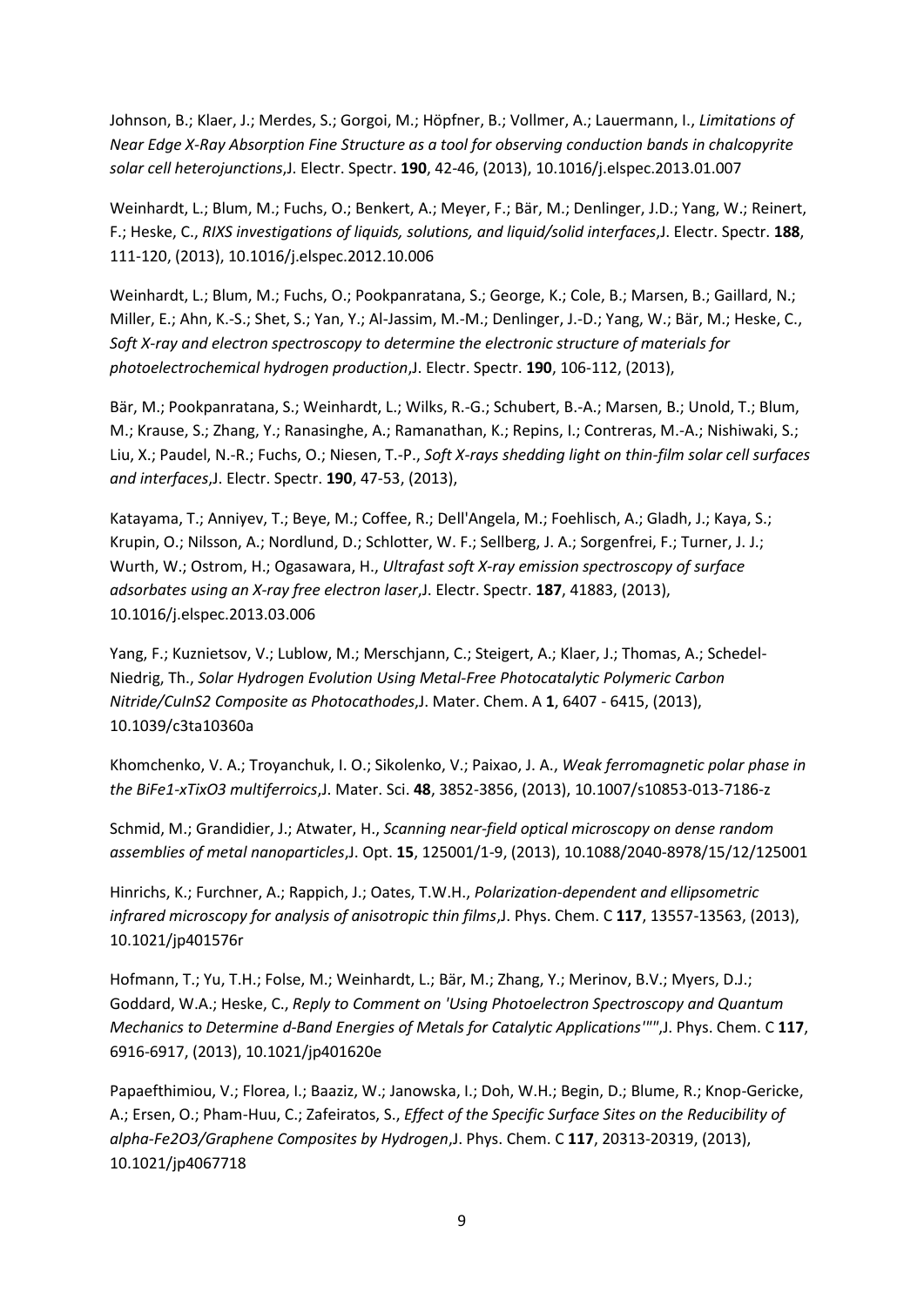Johnson, B.; Klaer, J.; Merdes, S.; Gorgoi, M.; Höpfner, B.; Vollmer, A.; Lauermann, I., *Limitations of Near Edge X-Ray Absorption Fine Structure as a tool for observing conduction bands in chalcopyrite solar cell heterojunctions*,J. Electr. Spectr. **190**, 42-46, (2013), 10.1016/j.elspec.2013.01.007

Weinhardt, L.; Blum, M.; Fuchs, O.; Benkert, A.; Meyer, F.; Bär, M.; Denlinger, J.D.; Yang, W.; Reinert, F.; Heske, C., *RIXS investigations of liquids, solutions, and liquid/solid interfaces*,J. Electr. Spectr. **188**, 111-120, (2013), 10.1016/j.elspec.2012.10.006

Weinhardt, L.; Blum, M.; Fuchs, O.; Pookpanratana, S.; George, K.; Cole, B.; Marsen, B.; Gaillard, N.; Miller, E.; Ahn, K.-S.; Shet, S.; Yan, Y.; Al-Jassim, M.-M.; Denlinger, J.-D.; Yang, W.; Bär, M.; Heske, C., *Soft X-ray and electron spectroscopy to determine the electronic structure of materials for photoelectrochemical hydrogen production*,J. Electr. Spectr. **190**, 106-112, (2013),

Bär, M.; Pookpanratana, S.; Weinhardt, L.; Wilks, R.-G.; Schubert, B.-A.; Marsen, B.; Unold, T.; Blum, M.; Krause, S.; Zhang, Y.; Ranasinghe, A.; Ramanathan, K.; Repins, I.; Contreras, M.-A.; Nishiwaki, S.; Liu, X.; Paudel, N.-R.; Fuchs, O.; Niesen, T.-P., *Soft X-rays shedding light on thin-film solar cell surfaces and interfaces*,J. Electr. Spectr. **190**, 47-53, (2013),

Katayama, T.; Anniyev, T.; Beye, M.; Coffee, R.; Dell'Angela, M.; Foehlisch, A.; Gladh, J.; Kaya, S.; Krupin, O.; Nilsson, A.; Nordlund, D.; Schlotter, W. F.; Sellberg, J. A.; Sorgenfrei, F.; Turner, J. J.; Wurth, W.; Ostrom, H.; Ogasawara, H., *Ultrafast soft X-ray emission spectroscopy of surface adsorbates using an X-ray free electron laser*,J. Electr. Spectr. **187**, 41883, (2013), 10.1016/j.elspec.2013.03.006

Yang, F.; Kuznietsov, V.; Lublow, M.; Merschjann, C.; Steigert, A.; Klaer, J.; Thomas, A.; Schedel-Niedrig, Th., *Solar Hydrogen Evolution Using Metal-Free Photocatalytic Polymeric Carbon Nitride/CuInS2 Composite as Photocathodes*,J. Mater. Chem. A **1**, 6407 - 6415, (2013), 10.1039/c3ta10360a

Khomchenko, V. A.; Troyanchuk, I. O.; Sikolenko, V.; Paixao, J. A., *Weak ferromagnetic polar phase in the BiFe1-xTixO3 multiferroics*,J. Mater. Sci. **48**, 3852-3856, (2013), 10.1007/s10853-013-7186-z

Schmid, M.; Grandidier, J.; Atwater, H., *Scanning near-field optical microscopy on dense random assemblies of metal nanoparticles*,J. Opt. **15**, 125001/1-9, (2013), 10.1088/2040-8978/15/12/125001

Hinrichs, K.; Furchner, A.; Rappich, J.; Oates, T.W.H., *Polarization-dependent and ellipsometric infrared microscopy for analysis of anisotropic thin films*,J. Phys. Chem. C **117**, 13557-13563, (2013), 10.1021/jp401576r

Hofmann, T.; Yu, T.H.; Folse, M.; Weinhardt, L.; Bär, M.; Zhang, Y.; Merinov, B.V.; Myers, D.J.; Goddard, W.A.; Heske, C., *Reply to Comment on 'Using Photoelectron Spectroscopy and Quantum Mechanics to Determine d-Band Energies of Metals for Catalytic Applications'""*,J. Phys. Chem. C **117**, 6916-6917, (2013), 10.1021/jp401620e

Papaefthimiou, V.; Florea, I.; Baaziz, W.; Janowska, I.; Doh, W.H.; Begin, D.; Blume, R.; Knop-Gericke, A.; Ersen, O.; Pham-Huu, C.; Zafeiratos, S., *Effect of the Specific Surface Sites on the Reducibility of alpha-Fe2O3/Graphene Composites by Hydrogen*,J. Phys. Chem. C **117**, 20313-20319, (2013), 10.1021/jp4067718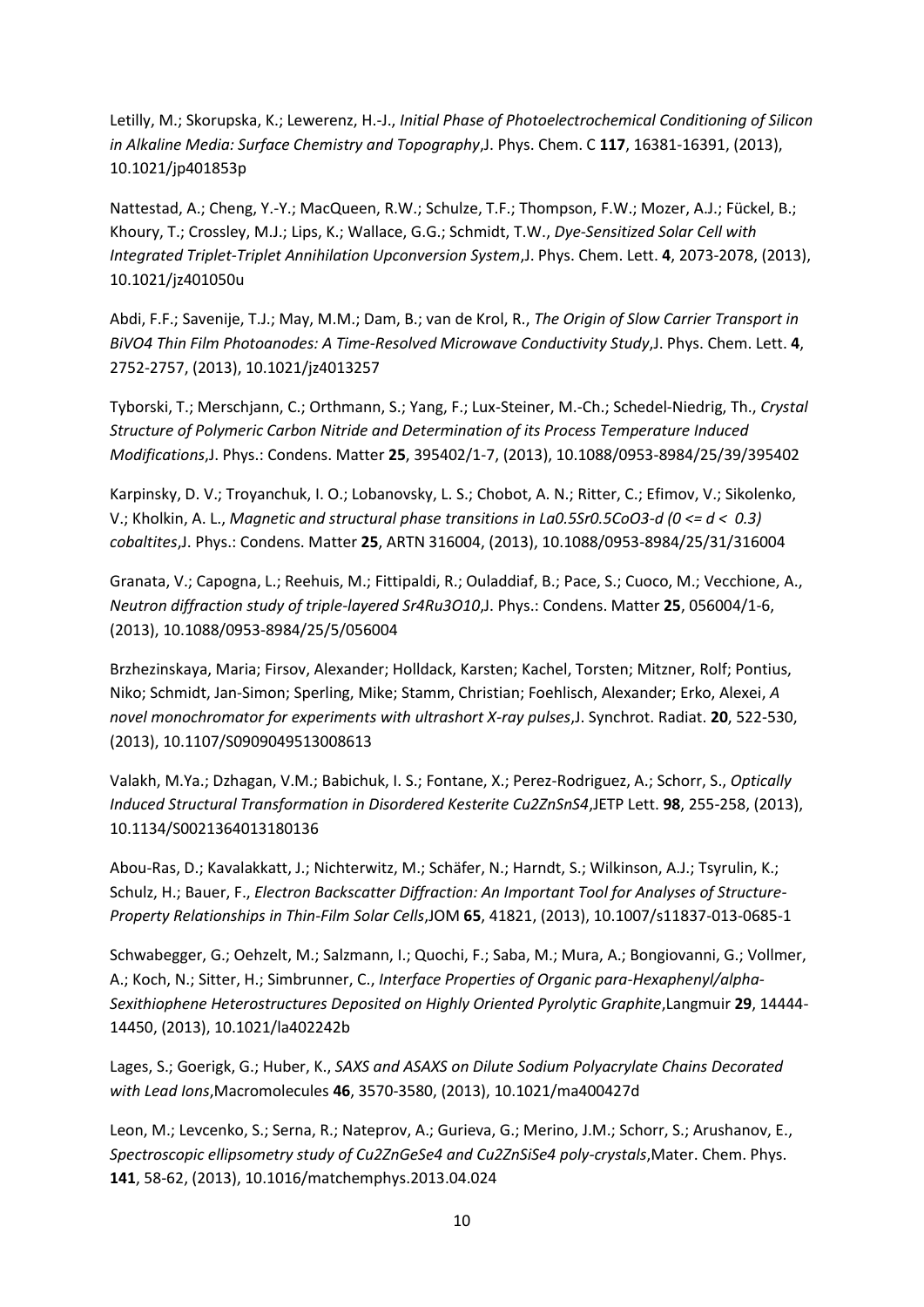Letilly, M.; Skorupska, K.; Lewerenz, H.-J., *Initial Phase of Photoelectrochemical Conditioning of Silicon in Alkaline Media: Surface Chemistry and Topography*,J. Phys. Chem. C **117**, 16381-16391, (2013), 10.1021/jp401853p

Nattestad, A.; Cheng, Y.-Y.; MacQueen, R.W.; Schulze, T.F.; Thompson, F.W.; Mozer, A.J.; Fückel, B.; Khoury, T.; Crossley, M.J.; Lips, K.; Wallace, G.G.; Schmidt, T.W., *Dye-Sensitized Solar Cell with Integrated Triplet-Triplet Annihilation Upconversion System*,J. Phys. Chem. Lett. **4**, 2073-2078, (2013), 10.1021/jz401050u

Abdi, F.F.; Savenije, T.J.; May, M.M.; Dam, B.; van de Krol, R., *The Origin of Slow Carrier Transport in BiVO4 Thin Film Photoanodes: A Time-Resolved Microwave Conductivity Study*,J. Phys. Chem. Lett. **4**, 2752-2757, (2013), 10.1021/jz4013257

Tyborski, T.; Merschjann, C.; Orthmann, S.; Yang, F.; Lux-Steiner, M.-Ch.; Schedel-Niedrig, Th., *Crystal Structure of Polymeric Carbon Nitride and Determination of its Process Temperature Induced Modifications*,J. Phys.: Condens. Matter **25**, 395402/1-7, (2013), 10.1088/0953-8984/25/39/395402

Karpinsky, D. V.; Troyanchuk, I. O.; Lobanovsky, L. S.; Chobot, A. N.; Ritter, C.; Efimov, V.; Sikolenko, V.; Kholkin, A. L., *Magnetic and structural phase transitions in La0.5Sr0.5CoO3-d (0 <= d < 0.3) cobaltites*,J. Phys.: Condens. Matter **25**, ARTN 316004, (2013), 10.1088/0953-8984/25/31/316004

Granata, V.; Capogna, L.; Reehuis, M.; Fittipaldi, R.; Ouladdiaf, B.; Pace, S.; Cuoco, M.; Vecchione, A., *Neutron diffraction study of triple-layered Sr4Ru3O10*,J. Phys.: Condens. Matter **25**, 056004/1-6, (2013), 10.1088/0953-8984/25/5/056004

Brzhezinskaya, Maria; Firsov, Alexander; Holldack, Karsten; Kachel, Torsten; Mitzner, Rolf; Pontius, Niko; Schmidt, Jan-Simon; Sperling, Mike; Stamm, Christian; Foehlisch, Alexander; Erko, Alexei, *A novel monochromator for experiments with ultrashort X-ray pulses*,J. Synchrot. Radiat. **20**, 522-530, (2013), 10.1107/S0909049513008613

Valakh, M.Ya.; Dzhagan, V.M.; Babichuk, I. S.; Fontane, X.; Perez-Rodriguez, A.; Schorr, S., *Optically Induced Structural Transformation in Disordered Kesterite Cu2ZnSnS4*,JETP Lett. **98**, 255-258, (2013), 10.1134/S0021364013180136

Abou-Ras, D.; Kavalakkatt, J.; Nichterwitz, M.; Schäfer, N.; Harndt, S.; Wilkinson, A.J.; Tsyrulin, K.; Schulz, H.; Bauer, F., *Electron Backscatter Diffraction: An Important Tool for Analyses of Structure-Property Relationships in Thin-Film Solar Cells*,JOM **65**, 41821, (2013), 10.1007/s11837-013-0685-1

Schwabegger, G.; Oehzelt, M.; Salzmann, I.; Quochi, F.; Saba, M.; Mura, A.; Bongiovanni, G.; Vollmer, A.; Koch, N.; Sitter, H.; Simbrunner, C., *Interface Properties of Organic para-Hexaphenyl/alpha-Sexithiophene Heterostructures Deposited on Highly Oriented Pyrolytic Graphite*,Langmuir **29**, 14444- 14450, (2013), 10.1021/la402242b

Lages, S.; Goerigk, G.; Huber, K., *SAXS and ASAXS on Dilute Sodium Polyacrylate Chains Decorated with Lead Ions*,Macromolecules **46**, 3570-3580, (2013), 10.1021/ma400427d

Leon, M.; Levcenko, S.; Serna, R.; Nateprov, A.; Gurieva, G.; Merino, J.M.; Schorr, S.; Arushanov, E., *Spectroscopic ellipsometry study of Cu2ZnGeSe4 and Cu2ZnSiSe4 poly-crystals*,Mater. Chem. Phys. **141**, 58-62, (2013), 10.1016/matchemphys.2013.04.024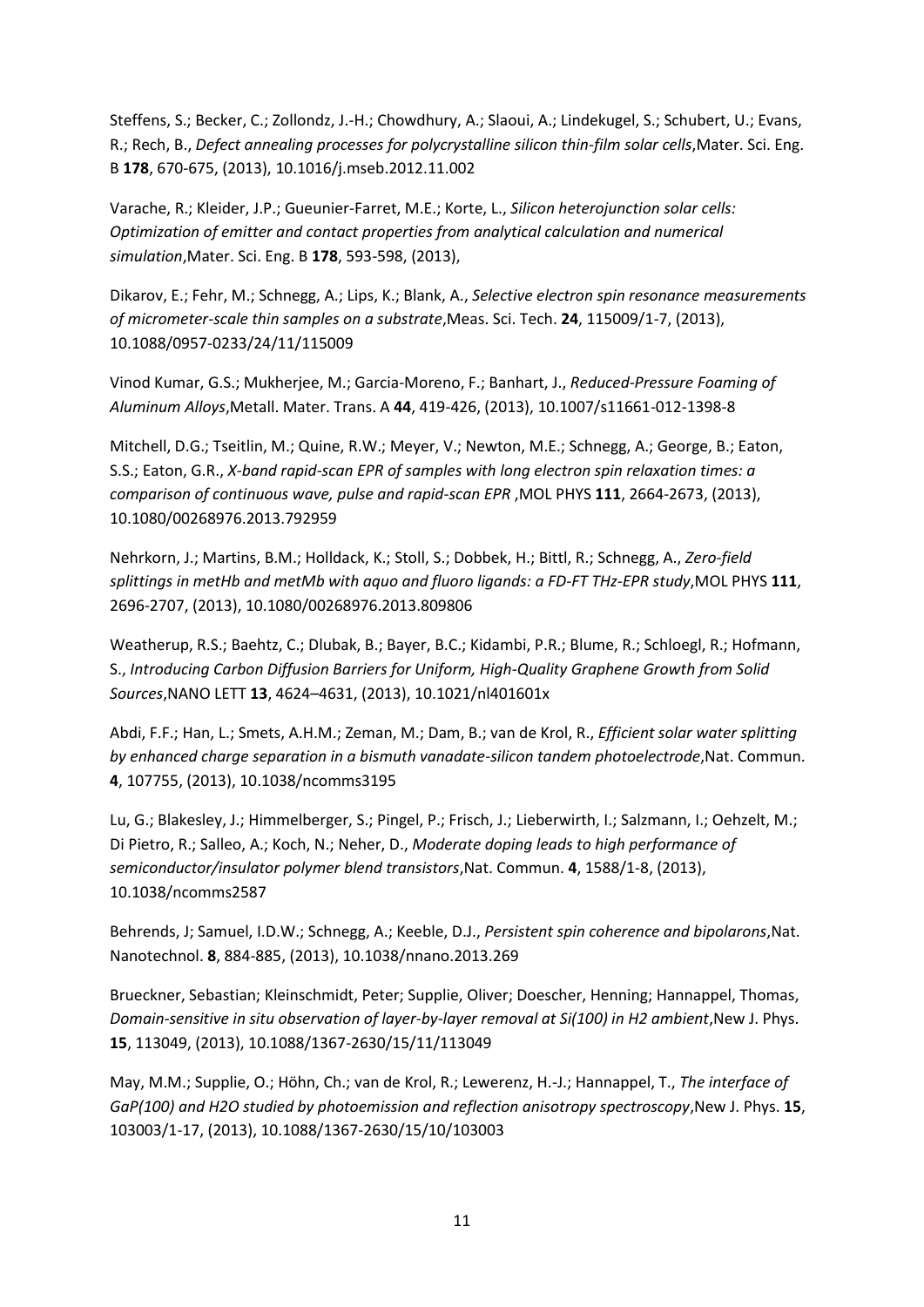Steffens, S.; Becker, C.; Zollondz, J.-H.; Chowdhury, A.; Slaoui, A.; Lindekugel, S.; Schubert, U.; Evans, R.; Rech, B., Defect annealing processes for polycrystalline silicon thin-film solar cells, Mater. Sci. Eng. B **178**, 670-675, (2013), 10.1016/j.mseb.2012.11.002

Varache, R.; Kleider, J.P.; Gueunier-Farret, M.E.; Korte, L., *Silicon heterojunction solar cells: Optimization of emitter and contact properties from analytical calculation and numerical simulation*,Mater. Sci. Eng. B **178**, 593-598, (2013),

Dikarov, E.; Fehr, M.; Schnegg, A.; Lips, K.; Blank, A., *Selective electron spin resonance measurements of micrometer-scale thin samples on a substrate*,Meas. Sci. Tech. **24**, 115009/1-7, (2013), 10.1088/0957-0233/24/11/115009

Vinod Kumar, G.S.; Mukherjee, M.; Garcia-Moreno, F.; Banhart, J., *Reduced-Pressure Foaming of Aluminum Alloys*,Metall. Mater. Trans. A **44**, 419-426, (2013), 10.1007/s11661-012-1398-8

Mitchell, D.G.; Tseitlin, M.; Quine, R.W.; Meyer, V.; Newton, M.E.; Schnegg, A.; George, B.; Eaton, S.S.; Eaton, G.R., *X-band rapid-scan EPR of samples with long electron spin relaxation times: a comparison of continuous wave, pulse and rapid-scan EPR* ,MOL PHYS **111**, 2664-2673, (2013), 10.1080/00268976.2013.792959

Nehrkorn, J.; Martins, B.M.; Holldack, K.; Stoll, S.; Dobbek, H.; Bittl, R.; Schnegg, A., *Zero-field splittings in metHb and metMb with aquo and fluoro ligands: a FD-FT THz-EPR study*,MOL PHYS **111**, 2696-2707, (2013), 10.1080/00268976.2013.809806

Weatherup, R.S.; Baehtz, C.; Dlubak, B.; Bayer, B.C.; Kidambi, P.R.; Blume, R.; Schloegl, R.; Hofmann, S., *Introducing Carbon Diffusion Barriers for Uniform, High-Quality Graphene Growth from Solid Sources*,NANO LETT **13**, 4624–4631, (2013), 10.1021/nl401601x

Abdi, F.F.; Han, L.; Smets, A.H.M.; Zeman, M.; Dam, B.; van de Krol, R., *Efficient solar water splitting by enhanced charge separation in a bismuth vanadate-silicon tandem photoelectrode*,Nat. Commun. **4**, 107755, (2013), 10.1038/ncomms3195

Lu, G.; Blakesley, J.; Himmelberger, S.; Pingel, P.; Frisch, J.; Lieberwirth, I.; Salzmann, I.; Oehzelt, M.; Di Pietro, R.; Salleo, A.; Koch, N.; Neher, D., *Moderate doping leads to high performance of semiconductor/insulator polymer blend transistors*,Nat. Commun. **4**, 1588/1-8, (2013), 10.1038/ncomms2587

Behrends, J; Samuel, I.D.W.; Schnegg, A.; Keeble, D.J., *Persistent spin coherence and bipolarons*,Nat. Nanotechnol. **8**, 884-885, (2013), 10.1038/nnano.2013.269

Brueckner, Sebastian; Kleinschmidt, Peter; Supplie, Oliver; Doescher, Henning; Hannappel, Thomas, *Domain-sensitive in situ observation of layer-by-layer removal at Si(100) in H2 ambient*, New J. Phys. **15**, 113049, (2013), 10.1088/1367-2630/15/11/113049

May, M.M.; Supplie, O.; Höhn, Ch.; van de Krol, R.; Lewerenz, H.-J.; Hannappel, T., *The interface of GaP(100) and H2O studied by photoemission and reflection anisotropy spectroscopy*,New J. Phys. **15**, 103003/1-17, (2013), 10.1088/1367-2630/15/10/103003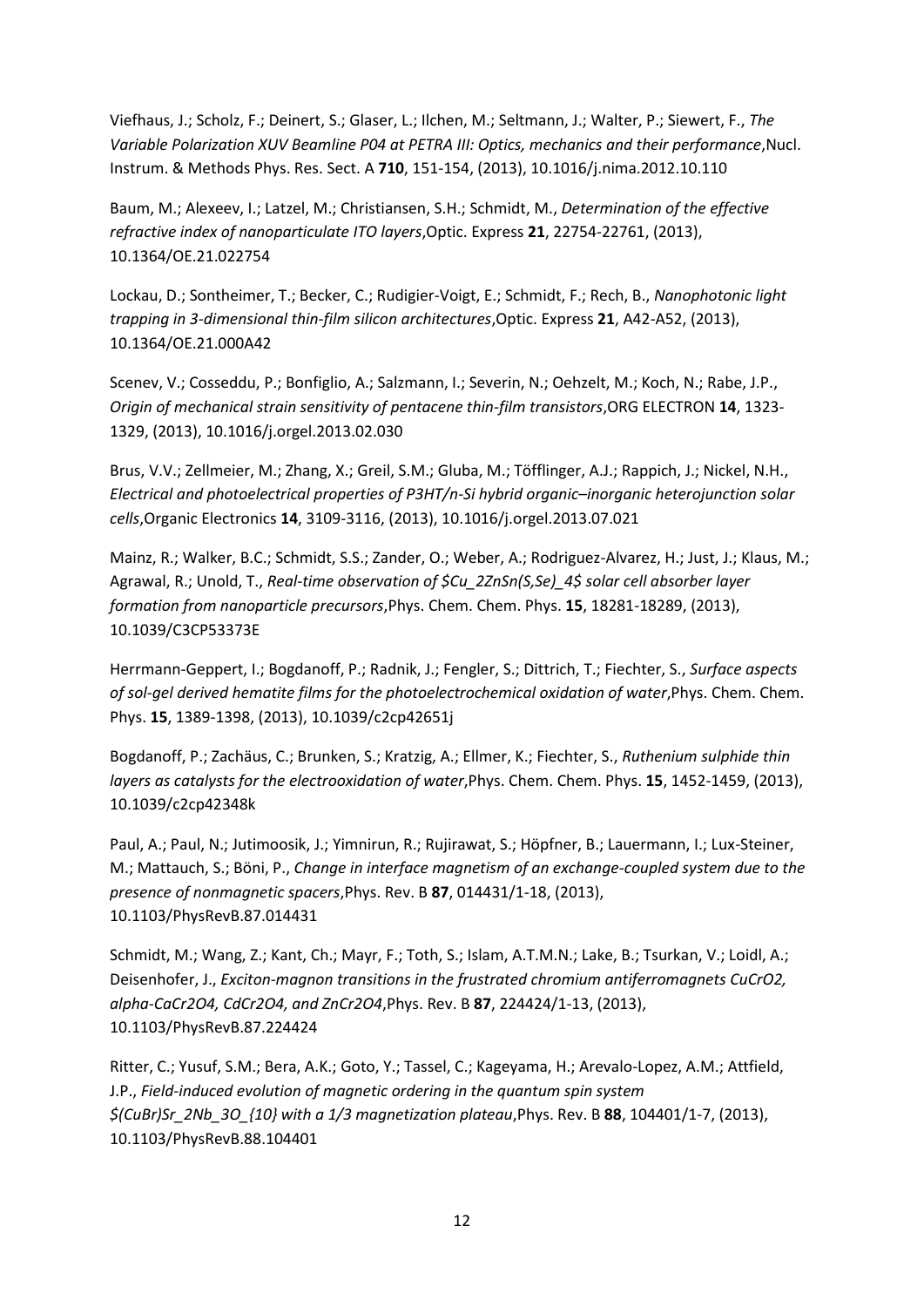Viefhaus, J.; Scholz, F.; Deinert, S.; Glaser, L.; Ilchen, M.; Seltmann, J.; Walter, P.; Siewert, F., *The Variable Polarization XUV Beamline P04 at PETRA III: Optics, mechanics and their performance*, Nucl. Instrum. & Methods Phys. Res. Sect. A **710**, 151-154, (2013), 10.1016/j.nima.2012.10.110

Baum, M.; Alexeev, I.; Latzel, M.; Christiansen, S.H.; Schmidt, M., *Determination of the effective refractive index of nanoparticulate ITO layers*,Optic. Express **21**, 22754-22761, (2013), 10.1364/OE.21.022754

Lockau, D.; Sontheimer, T.; Becker, C.; Rudigier-Voigt, E.; Schmidt, F.; Rech, B., *Nanophotonic light trapping in 3-dimensional thin-film silicon architectures*,Optic. Express **21**, A42-A52, (2013), 10.1364/OE.21.000A42

Scenev, V.; Cosseddu, P.; Bonfiglio, A.; Salzmann, I.; Severin, N.; Oehzelt, M.; Koch, N.; Rabe, J.P., *Origin of mechanical strain sensitivity of pentacene thin-film transistors*,ORG ELECTRON **14**, 1323- 1329, (2013), 10.1016/j.orgel.2013.02.030

Brus, V.V.; Zellmeier, M.; Zhang, X.; Greil, S.M.; Gluba, M.; Töfflinger, A.J.; Rappich, J.; Nickel, N.H., *Electrical and photoelectrical properties of P3HT/n-Si hybrid organic–inorganic heterojunction solar cells*,Organic Electronics **14**, 3109-3116, (2013), 10.1016/j.orgel.2013.07.021

Mainz, R.; Walker, B.C.; Schmidt, S.S.; Zander, O.; Weber, A.; Rodriguez-Alvarez, H.; Just, J.; Klaus, M.; Agrawal, R.; Unold, T., *Real-time observation of \$Cu\_2ZnSn(S,Se)\_4\$ solar cell absorber layer formation from nanoparticle precursors*,Phys. Chem. Chem. Phys. **15**, 18281-18289, (2013), 10.1039/C3CP53373E

Herrmann-Geppert, I.; Bogdanoff, P.; Radnik, J.; Fengler, S.; Dittrich, T.; Fiechter, S., *Surface aspects of sol-gel derived hematite films for the photoelectrochemical oxidation of water*, Phys. Chem. Chem. Phys. **15**, 1389-1398, (2013), 10.1039/c2cp42651j

Bogdanoff, P.; Zachäus, C.; Brunken, S.; Kratzig, A.; Ellmer, K.; Fiechter, S., *Ruthenium sulphide thin layers as catalysts for the electrooxidation of water*,Phys. Chem. Chem. Phys. **15**, 1452-1459, (2013), 10.1039/c2cp42348k

Paul, A.; Paul, N.; Jutimoosik, J.; Yimnirun, R.; Rujirawat, S.; Höpfner, B.; Lauermann, I.; Lux-Steiner, M.; Mattauch, S.; Böni, P., *Change in interface magnetism of an exchange-coupled system due to the presence of nonmagnetic spacers*,Phys. Rev. B **87**, 014431/1-18, (2013), 10.1103/PhysRevB.87.014431

Schmidt, M.; Wang, Z.; Kant, Ch.; Mayr, F.; Toth, S.; Islam, A.T.M.N.; Lake, B.; Tsurkan, V.; Loidl, A.; Deisenhofer, J., *Exciton-magnon transitions in the frustrated chromium antiferromagnets CuCrO2, alpha-CaCr2O4, CdCr2O4, and ZnCr2O4*,Phys. Rev. B **87**, 224424/1-13, (2013), 10.1103/PhysRevB.87.224424

Ritter, C.; Yusuf, S.M.; Bera, A.K.; Goto, Y.; Tassel, C.; Kageyama, H.; Arevalo-Lopez, A.M.; Attfield, J.P., *Field-induced evolution of magnetic ordering in the quantum spin system \$(CuBr)Sr\_2Nb\_3O\_{10} with a 1/3 magnetization plateau*,Phys. Rev. B **88**, 104401/1-7, (2013), 10.1103/PhysRevB.88.104401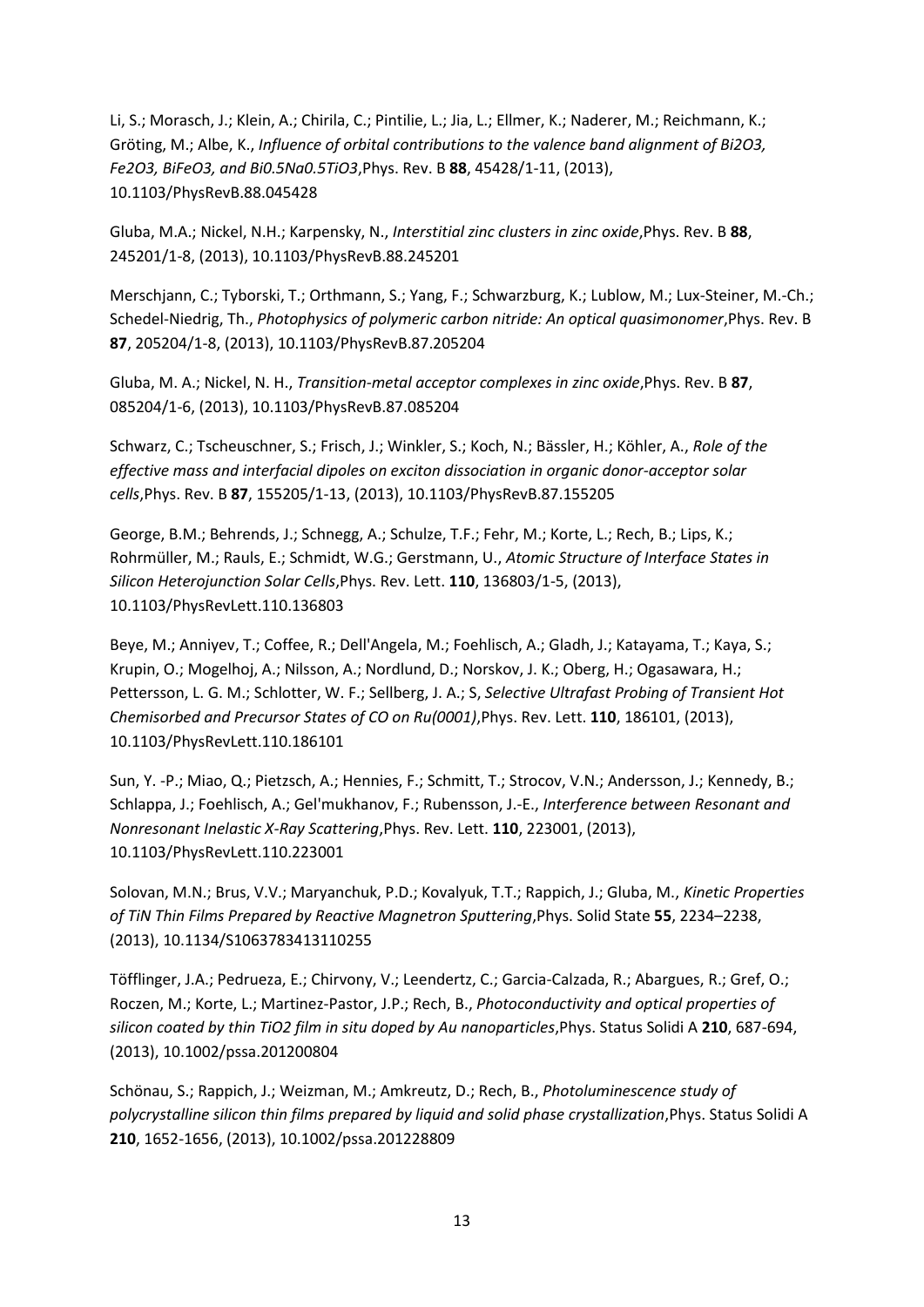Li, S.; Morasch, J.; Klein, A.; Chirila, C.; Pintilie, L.; Jia, L.; Ellmer, K.; Naderer, M.; Reichmann, K.; Gröting, M.; Albe, K., *Influence of orbital contributions to the valence band alignment of Bi2O3, Fe2O3, BiFeO3, and Bi0.5Na0.5TiO3*,Phys. Rev. B **88**, 45428/1-11, (2013), 10.1103/PhysRevB.88.045428

Gluba, M.A.; Nickel, N.H.; Karpensky, N., *Interstitial zinc clusters in zinc oxide*,Phys. Rev. B **88**, 245201/1-8, (2013), 10.1103/PhysRevB.88.245201

Merschjann, C.; Tyborski, T.; Orthmann, S.; Yang, F.; Schwarzburg, K.; Lublow, M.; Lux-Steiner, M.-Ch.; Schedel-Niedrig, Th., *Photophysics of polymeric carbon nitride: An optical quasimonomer*,Phys. Rev. B **87**, 205204/1-8, (2013), 10.1103/PhysRevB.87.205204

Gluba, M. A.; Nickel, N. H., *Transition-metal acceptor complexes in zinc oxide*,Phys. Rev. B **87**, 085204/1-6, (2013), 10.1103/PhysRevB.87.085204

Schwarz, C.; Tscheuschner, S.; Frisch, J.; Winkler, S.; Koch, N.; Bässler, H.; Köhler, A., *Role of the effective mass and interfacial dipoles on exciton dissociation in organic donor-acceptor solar cells*,Phys. Rev. B **87**, 155205/1-13, (2013), 10.1103/PhysRevB.87.155205

George, B.M.; Behrends, J.; Schnegg, A.; Schulze, T.F.; Fehr, M.; Korte, L.; Rech, B.; Lips, K.; Rohrmüller, M.; Rauls, E.; Schmidt, W.G.; Gerstmann, U., *Atomic Structure of Interface States in Silicon Heterojunction Solar Cells*,Phys. Rev. Lett. **110**, 136803/1-5, (2013), 10.1103/PhysRevLett.110.136803

Beye, M.; Anniyev, T.; Coffee, R.; Dell'Angela, M.; Foehlisch, A.; Gladh, J.; Katayama, T.; Kaya, S.; Krupin, O.; Mogelhoj, A.; Nilsson, A.; Nordlund, D.; Norskov, J. K.; Oberg, H.; Ogasawara, H.; Pettersson, L. G. M.; Schlotter, W. F.; Sellberg, J. A.; S, *Selective Ultrafast Probing of Transient Hot Chemisorbed and Precursor States of CO on Ru(0001)*,Phys. Rev. Lett. **110**, 186101, (2013), 10.1103/PhysRevLett.110.186101

Sun, Y. -P.; Miao, Q.; Pietzsch, A.; Hennies, F.; Schmitt, T.; Strocov, V.N.; Andersson, J.; Kennedy, B.; Schlappa, J.; Foehlisch, A.; Gel'mukhanov, F.; Rubensson, J.-E., *Interference between Resonant and Nonresonant Inelastic X-Ray Scattering*,Phys. Rev. Lett. **110**, 223001, (2013), 10.1103/PhysRevLett.110.223001

Solovan, M.N.; Brus, V.V.; Maryanchuk, P.D.; Kovalyuk, T.T.; Rappich, J.; Gluba, M., *Kinetic Properties of TiN Thin Films Prepared by Reactive Magnetron Sputtering*,Phys. Solid State **55**, 2234–2238, (2013), 10.1134/S1063783413110255

Töfflinger, J.A.; Pedrueza, E.; Chirvony, V.; Leendertz, C.; Garcia-Calzada, R.; Abargues, R.; Gref, O.; Roczen, M.; Korte, L.; Martinez-Pastor, J.P.; Rech, B., *Photoconductivity and optical properties of silicon coated by thin TiO2 film in situ doped by Au nanoparticles*,Phys. Status Solidi A **210**, 687-694, (2013), 10.1002/pssa.201200804

Schönau, S.; Rappich, J.; Weizman, M.; Amkreutz, D.; Rech, B., *Photoluminescence study of polycrystalline silicon thin films prepared by liquid and solid phase crystallization*,Phys. Status Solidi A **210**, 1652-1656, (2013), 10.1002/pssa.201228809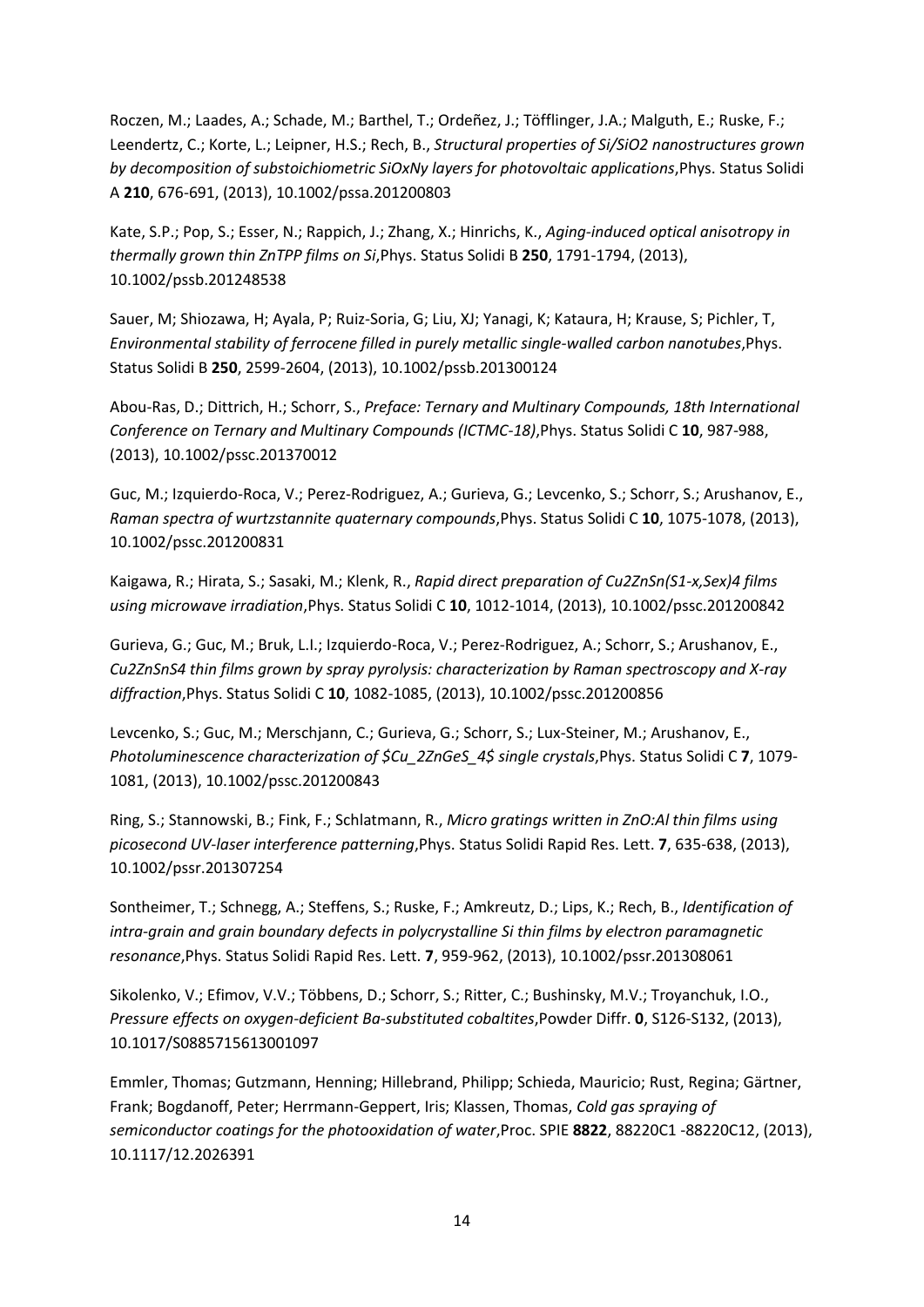Roczen, M.; Laades, A.; Schade, M.; Barthel, T.; Ordeñez, J.; Töfflinger, J.A.; Malguth, E.; Ruske, F.; Leendertz, C.; Korte, L.; Leipner, H.S.; Rech, B., *Structural properties of Si/SiO2 nanostructures grown by decomposition of substoichiometric SiOxNy layers for photovoltaic applications*,Phys. Status Solidi A **210**, 676-691, (2013), 10.1002/pssa.201200803

Kate, S.P.; Pop, S.; Esser, N.; Rappich, J.; Zhang, X.; Hinrichs, K., *Aging-induced optical anisotropy in thermally grown thin ZnTPP films on Si*,Phys. Status Solidi B **250**, 1791-1794, (2013), 10.1002/pssb.201248538

Sauer, M; Shiozawa, H; Ayala, P; Ruiz-Soria, G; Liu, XJ; Yanagi, K; Kataura, H; Krause, S; Pichler, T, *Environmental stability of ferrocene filled in purely metallic single-walled carbon nanotubes*,Phys. Status Solidi B **250**, 2599-2604, (2013), 10.1002/pssb.201300124

Abou-Ras, D.; Dittrich, H.; Schorr, S., *Preface: Ternary and Multinary Compounds, 18th International Conference on Ternary and Multinary Compounds (ICTMC-18)*,Phys. Status Solidi C **10**, 987-988, (2013), 10.1002/pssc.201370012

Guc, M.; Izquierdo-Roca, V.; Perez-Rodriguez, A.; Gurieva, G.; Levcenko, S.; Schorr, S.; Arushanov, E., *Raman spectra of wurtzstannite quaternary compounds*,Phys. Status Solidi C **10**, 1075-1078, (2013), 10.1002/pssc.201200831

Kaigawa, R.; Hirata, S.; Sasaki, M.; Klenk, R., *Rapid direct preparation of Cu2ZnSn(S1-x,Sex)4 films using microwave irradiation*,Phys. Status Solidi C **10**, 1012-1014, (2013), 10.1002/pssc.201200842

Gurieva, G.; Guc, M.; Bruk, L.I.; Izquierdo-Roca, V.; Perez-Rodriguez, A.; Schorr, S.; Arushanov, E., *Cu2ZnSnS4 thin films grown by spray pyrolysis: characterization by Raman spectroscopy and X-ray diffraction*,Phys. Status Solidi C **10**, 1082-1085, (2013), 10.1002/pssc.201200856

Levcenko, S.; Guc, M.; Merschjann, C.; Gurieva, G.; Schorr, S.; Lux-Steiner, M.; Arushanov, E., *Photoluminescence characterization of \$Cu\_2ZnGeS\_4\$ single crystals*,Phys. Status Solidi C **7**, 1079- 1081, (2013), 10.1002/pssc.201200843

Ring, S.; Stannowski, B.; Fink, F.; Schlatmann, R., *Micro gratings written in ZnO:Al thin films using picosecond UV-laser interference patterning*,Phys. Status Solidi Rapid Res. Lett. **7**, 635-638, (2013), 10.1002/pssr.201307254

Sontheimer, T.; Schnegg, A.; Steffens, S.; Ruske, F.; Amkreutz, D.; Lips, K.; Rech, B., *Identification of intra-grain and grain boundary defects in polycrystalline Si thin films by electron paramagnetic resonance*,Phys. Status Solidi Rapid Res. Lett. **7**, 959-962, (2013), 10.1002/pssr.201308061

Sikolenko, V.; Efimov, V.V.; Többens, D.; Schorr, S.; Ritter, C.; Bushinsky, M.V.; Troyanchuk, I.O., *Pressure effects on oxygen-deficient Ba-substituted cobaltites*,Powder Diffr. **0**, S126-S132, (2013), 10.1017/S0885715613001097

Emmler, Thomas; Gutzmann, Henning; Hillebrand, Philipp; Schieda, Mauricio; Rust, Regina; Gärtner, Frank; Bogdanoff, Peter; Herrmann-Geppert, Iris; Klassen, Thomas, *Cold gas spraying of semiconductor coatings for the photooxidation of water*,Proc. SPIE **8822**, 88220C1 -88220C12, (2013), 10.1117/12.2026391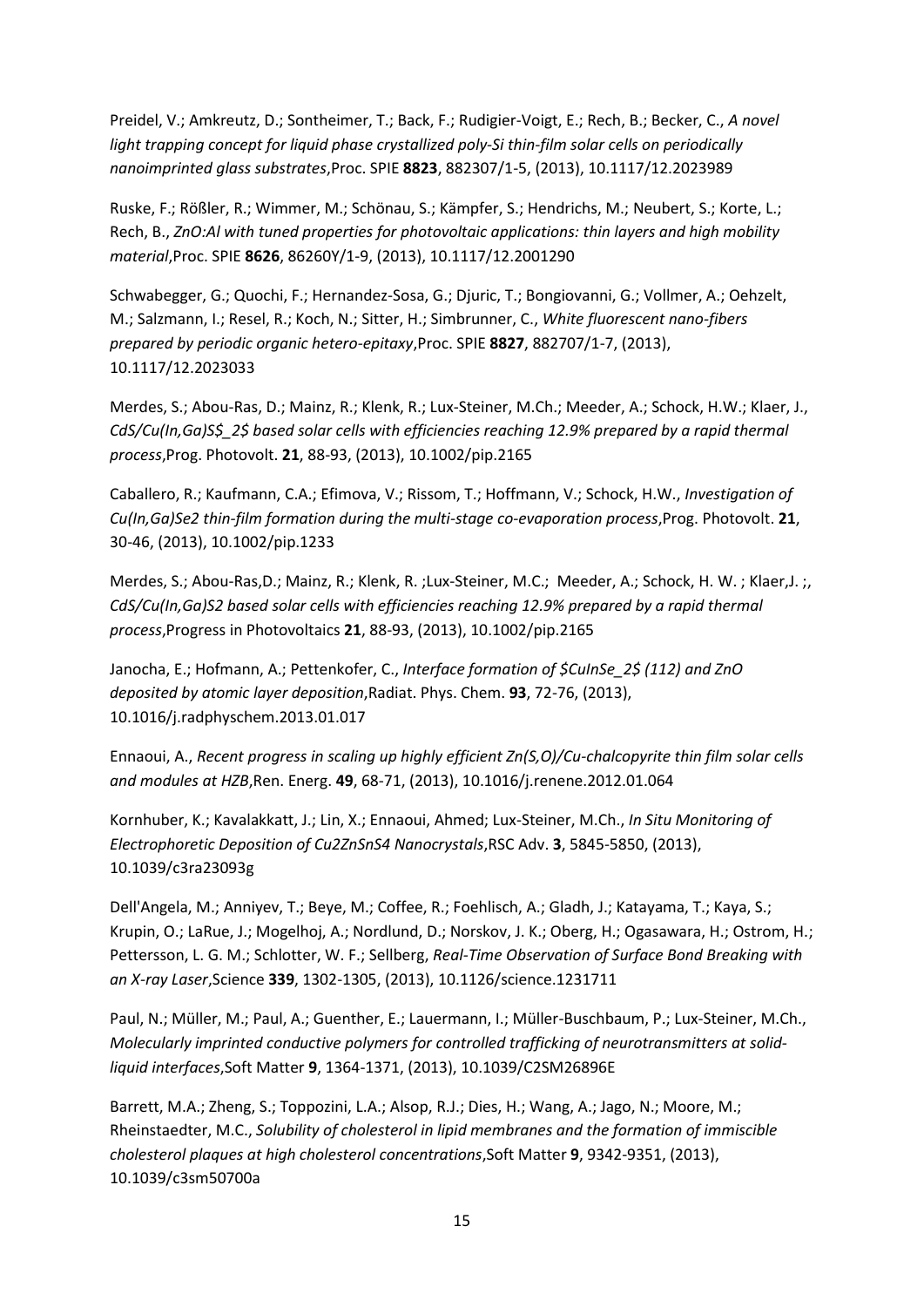Preidel, V.; Amkreutz, D.; Sontheimer, T.; Back, F.; Rudigier-Voigt, E.; Rech, B.; Becker, C., *A novel light trapping concept for liquid phase crystallized poly-Si thin-film solar cells on periodically nanoimprinted glass substrates*,Proc. SPIE **8823**, 882307/1-5, (2013), 10.1117/12.2023989

Ruske, F.; Rößler, R.; Wimmer, M.; Schönau, S.; Kämpfer, S.; Hendrichs, M.; Neubert, S.; Korte, L.; Rech, B., *ZnO:Al with tuned properties for photovoltaic applications: thin layers and high mobility material*,Proc. SPIE **8626**, 86260Y/1-9, (2013), 10.1117/12.2001290

Schwabegger, G.; Quochi, F.; Hernandez-Sosa, G.; Djuric, T.; Bongiovanni, G.; Vollmer, A.; Oehzelt, M.; Salzmann, I.; Resel, R.; Koch, N.; Sitter, H.; Simbrunner, C., *White fluorescent nano-fibers prepared by periodic organic hetero-epitaxy*,Proc. SPIE **8827**, 882707/1-7, (2013), 10.1117/12.2023033

Merdes, S.; Abou-Ras, D.; Mainz, R.; Klenk, R.; Lux-Steiner, M.Ch.; Meeder, A.; Schock, H.W.; Klaer, J., *CdS/Cu(In,Ga)S\$\_2\$ based solar cells with efficiencies reaching 12.9% prepared by a rapid thermal process*,Prog. Photovolt. **21**, 88-93, (2013), 10.1002/pip.2165

Caballero, R.; Kaufmann, C.A.; Efimova, V.; Rissom, T.; Hoffmann, V.; Schock, H.W., *Investigation of Cu(In,Ga)Se2 thin-film formation during the multi-stage co-evaporation process*,Prog. Photovolt. **21**, 30-46, (2013), 10.1002/pip.1233

Merdes, S.; Abou-Ras,D.; Mainz, R.; Klenk, R. ;Lux-Steiner, M.C.; Meeder, A.; Schock, H. W. ; Klaer,J. ;, *CdS/Cu(In,Ga)S2 based solar cells with efficiencies reaching 12.9% prepared by a rapid thermal process*,Progress in Photovoltaics **21**, 88-93, (2013), 10.1002/pip.2165

Janocha, E.; Hofmann, A.; Pettenkofer, C., *Interface formation of \$CuInSe\_2\$ (112) and ZnO deposited by atomic layer deposition*,Radiat. Phys. Chem. **93**, 72-76, (2013), 10.1016/j.radphyschem.2013.01.017

Ennaoui, A., *Recent progress in scaling up highly efficient Zn(S,O)/Cu-chalcopyrite thin film solar cells and modules at HZB*,Ren. Energ. **49**, 68-71, (2013), 10.1016/j.renene.2012.01.064

Kornhuber, K.; Kavalakkatt, J.; Lin, X.; Ennaoui, Ahmed; Lux-Steiner, M.Ch., *In Situ Monitoring of Electrophoretic Deposition of Cu2ZnSnS4 Nanocrystals*,RSC Adv. **3**, 5845-5850, (2013), 10.1039/c3ra23093g

Dell'Angela, M.; Anniyev, T.; Beye, M.; Coffee, R.; Foehlisch, A.; Gladh, J.; Katayama, T.; Kaya, S.; Krupin, O.; LaRue, J.; Mogelhoj, A.; Nordlund, D.; Norskov, J. K.; Oberg, H.; Ogasawara, H.; Ostrom, H.; Pettersson, L. G. M.; Schlotter, W. F.; Sellberg, *Real-Time Observation of Surface Bond Breaking with an X-ray Laser*,Science **339**, 1302-1305, (2013), 10.1126/science.1231711

Paul, N.; Müller, M.; Paul, A.; Guenther, E.; Lauermann, I.; Müller-Buschbaum, P.; Lux-Steiner, M.Ch., *Molecularly imprinted conductive polymers for controlled trafficking of neurotransmitters at solidliquid interfaces*,Soft Matter **9**, 1364-1371, (2013), 10.1039/C2SM26896E

Barrett, M.A.; Zheng, S.; Toppozini, L.A.; Alsop, R.J.; Dies, H.; Wang, A.; Jago, N.; Moore, M.; Rheinstaedter, M.C., *Solubility of cholesterol in lipid membranes and the formation of immiscible cholesterol plaques at high cholesterol concentrations*,Soft Matter **9**, 9342-9351, (2013), 10.1039/c3sm50700a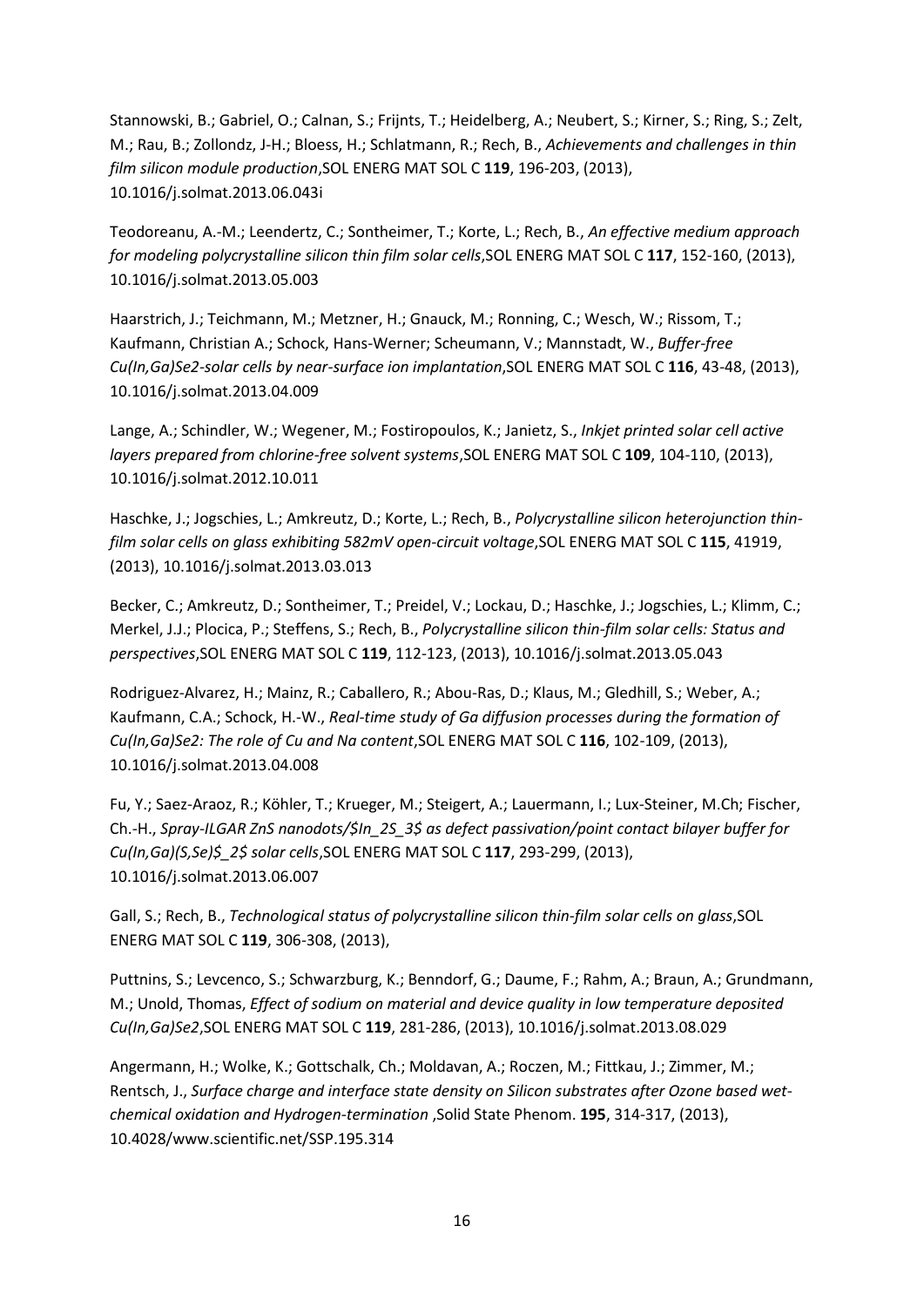Stannowski, B.; Gabriel, O.; Calnan, S.; Frijnts, T.; Heidelberg, A.; Neubert, S.; Kirner, S.; Ring, S.; Zelt, M.; Rau, B.; Zollondz, J-H.; Bloess, H.; Schlatmann, R.; Rech, B., *Achievements and challenges in thin film silicon module production*,SOL ENERG MAT SOL C **119**, 196-203, (2013), 10.1016/j.solmat.2013.06.043i

Teodoreanu, A.-M.; Leendertz, C.; Sontheimer, T.; Korte, L.; Rech, B., *An effective medium approach for modeling polycrystalline silicon thin film solar cells*,SOL ENERG MAT SOL C **117**, 152-160, (2013), 10.1016/j.solmat.2013.05.003

Haarstrich, J.; Teichmann, M.; Metzner, H.; Gnauck, M.; Ronning, C.; Wesch, W.; Rissom, T.; Kaufmann, Christian A.; Schock, Hans-Werner; Scheumann, V.; Mannstadt, W., *Buffer-free Cu(In,Ga)Se2-solar cells by near-surface ion implantation*,SOL ENERG MAT SOL C **116**, 43-48, (2013), 10.1016/j.solmat.2013.04.009

Lange, A.; Schindler, W.; Wegener, M.; Fostiropoulos, K.; Janietz, S., *Inkjet printed solar cell active layers prepared from chlorine-free solvent systems*,SOL ENERG MAT SOL C **109**, 104-110, (2013), 10.1016/j.solmat.2012.10.011

Haschke, J.; Jogschies, L.; Amkreutz, D.; Korte, L.; Rech, B., *Polycrystalline silicon heterojunction thinfilm solar cells on glass exhibiting 582mV open-circuit voltage*,SOL ENERG MAT SOL C **115**, 41919, (2013), 10.1016/j.solmat.2013.03.013

Becker, C.; Amkreutz, D.; Sontheimer, T.; Preidel, V.; Lockau, D.; Haschke, J.; Jogschies, L.; Klimm, C.; Merkel, J.J.; Plocica, P.; Steffens, S.; Rech, B., *Polycrystalline silicon thin-film solar cells: Status and perspectives*,SOL ENERG MAT SOL C **119**, 112-123, (2013), 10.1016/j.solmat.2013.05.043

Rodriguez-Alvarez, H.; Mainz, R.; Caballero, R.; Abou-Ras, D.; Klaus, M.; Gledhill, S.; Weber, A.; Kaufmann, C.A.; Schock, H.-W., *Real-time study of Ga diffusion processes during the formation of Cu(In,Ga)Se2: The role of Cu and Na content*,SOL ENERG MAT SOL C **116**, 102-109, (2013), 10.1016/j.solmat.2013.04.008

Fu, Y.; Saez-Araoz, R.; Köhler, T.; Krueger, M.; Steigert, A.; Lauermann, I.; Lux-Steiner, M.Ch; Fischer, Ch.-H., *Spray-ILGAR ZnS nanodots/\$In\_2S\_3\$ as defect passivation/point contact bilayer buffer for Cu(In,Ga)(S,Se)\$\_2\$ solar cells*,SOL ENERG MAT SOL C **117**, 293-299, (2013), 10.1016/j.solmat.2013.06.007

Gall, S.; Rech, B., *Technological status of polycrystalline silicon thin-film solar cells on glass*,SOL ENERG MAT SOL C **119**, 306-308, (2013),

Puttnins, S.; Levcenco, S.; Schwarzburg, K.; Benndorf, G.; Daume, F.; Rahm, A.; Braun, A.; Grundmann, M.; Unold, Thomas, *Effect of sodium on material and device quality in low temperature deposited Cu(In,Ga)Se2*,SOL ENERG MAT SOL C **119**, 281-286, (2013), 10.1016/j.solmat.2013.08.029

Angermann, H.; Wolke, K.; Gottschalk, Ch.; Moldavan, A.; Roczen, M.; Fittkau, J.; Zimmer, M.; Rentsch, J., *Surface charge and interface state density on Silicon substrates after Ozone based wetchemical oxidation and Hydrogen-termination* ,Solid State Phenom. **195**, 314-317, (2013), 10.4028/www.scientific.net/SSP.195.314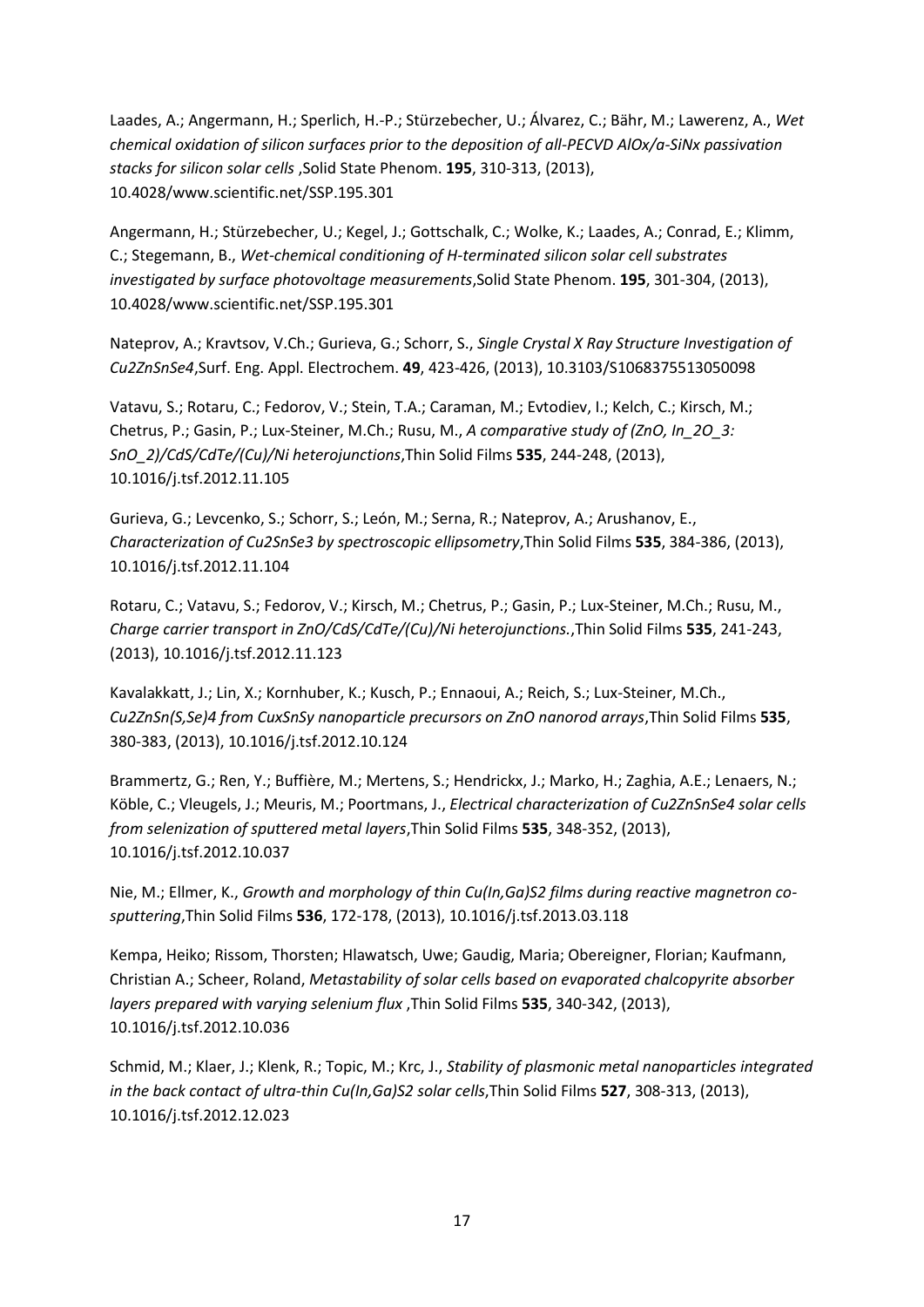Laades, A.; Angermann, H.; Sperlich, H.-P.; Stürzebecher, U.; Álvarez, C.; Bähr, M.; Lawerenz, A., *Wet chemical oxidation of silicon surfaces prior to the deposition of all-PECVD AlOx/a-SiNx passivation stacks for silicon solar cells* ,Solid State Phenom. **195**, 310-313, (2013), 10.4028/www.scientific.net/SSP.195.301

Angermann, H.; Stürzebecher, U.; Kegel, J.; Gottschalk, C.; Wolke, K.; Laades, A.; Conrad, E.; Klimm, C.; Stegemann, B., *Wet-chemical conditioning of H-terminated silicon solar cell substrates investigated by surface photovoltage measurements*,Solid State Phenom. **195**, 301-304, (2013), 10.4028/www.scientific.net/SSP.195.301

Nateprov, A.; Kravtsov, V.Ch.; Gurieva, G.; Schorr, S., *Single Crystal X Ray Structure Investigation of Cu2ZnSnSe4*,Surf. Eng. Appl. Electrochem. **49**, 423-426, (2013), 10.3103/S1068375513050098

Vatavu, S.; Rotaru, C.; Fedorov, V.; Stein, T.A.; Caraman, M.; Evtodiev, I.; Kelch, C.; Kirsch, M.; Chetrus, P.; Gasin, P.; Lux-Steiner, M.Ch.; Rusu, M., *A comparative study of (ZnO, In\_2O\_3: SnO\_2)/CdS/CdTe/(Cu)/Ni heterojunctions*,Thin Solid Films **535**, 244-248, (2013), 10.1016/j.tsf.2012.11.105

Gurieva, G.; Levcenko, S.; Schorr, S.; León, M.; Serna, R.; Nateprov, A.; Arushanov, E., *Characterization of Cu2SnSe3 by spectroscopic ellipsometry*,Thin Solid Films **535**, 384-386, (2013), 10.1016/j.tsf.2012.11.104

Rotaru, C.; Vatavu, S.; Fedorov, V.; Kirsch, M.; Chetrus, P.; Gasin, P.; Lux-Steiner, M.Ch.; Rusu, M., *Charge carrier transport in ZnO/CdS/CdTe/(Cu)/Ni heterojunctions.*,Thin Solid Films **535**, 241-243, (2013), 10.1016/j.tsf.2012.11.123

Kavalakkatt, J.; Lin, X.; Kornhuber, K.; Kusch, P.; Ennaoui, A.; Reich, S.; Lux-Steiner, M.Ch., *Cu2ZnSn(S,Se)4 from CuxSnSy nanoparticle precursors on ZnO nanorod arrays*,Thin Solid Films **535**, 380-383, (2013), 10.1016/j.tsf.2012.10.124

Brammertz, G.; Ren, Y.; Buffière, M.; Mertens, S.; Hendrickx, J.; Marko, H.; Zaghia, A.E.; Lenaers, N.; Köble, C.; Vleugels, J.; Meuris, M.; Poortmans, J., *Electrical characterization of Cu2ZnSnSe4 solar cells from selenization of sputtered metal layers*,Thin Solid Films **535**, 348-352, (2013), 10.1016/j.tsf.2012.10.037

Nie, M.; Ellmer, K., *Growth and morphology of thin Cu(In,Ga)S2 films during reactive magnetron cosputtering*,Thin Solid Films **536**, 172-178, (2013), 10.1016/j.tsf.2013.03.118

Kempa, Heiko; Rissom, Thorsten; Hlawatsch, Uwe; Gaudig, Maria; Obereigner, Florian; Kaufmann, Christian A.; Scheer, Roland, *Metastability of solar cells based on evaporated chalcopyrite absorber layers prepared with varying selenium flux* ,Thin Solid Films **535**, 340-342, (2013), 10.1016/j.tsf.2012.10.036

Schmid, M.; Klaer, J.; Klenk, R.; Topic, M.; Krc, J., *Stability of plasmonic metal nanoparticles integrated in the back contact of ultra-thin Cu(In,Ga)S2 solar cells*,Thin Solid Films **527**, 308-313, (2013), 10.1016/j.tsf.2012.12.023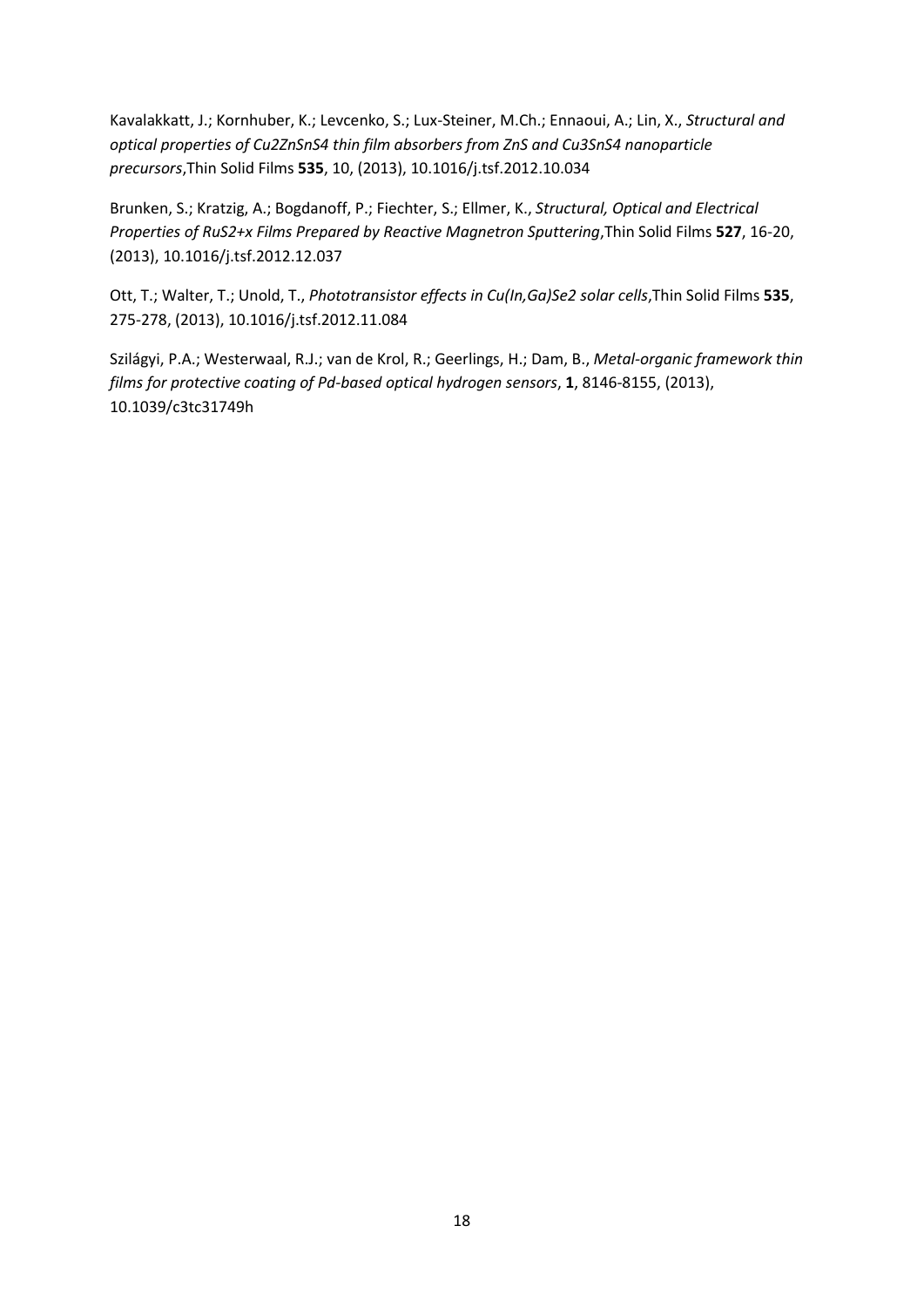Kavalakkatt, J.; Kornhuber, K.; Levcenko, S.; Lux-Steiner, M.Ch.; Ennaoui, A.; Lin, X., *Structural and optical properties of Cu2ZnSnS4 thin film absorbers from ZnS and Cu3SnS4 nanoparticle precursors*,Thin Solid Films **535**, 10, (2013), 10.1016/j.tsf.2012.10.034

Brunken, S.; Kratzig, A.; Bogdanoff, P.; Fiechter, S.; Ellmer, K., *Structural, Optical and Electrical Properties of RuS2+x Films Prepared by Reactive Magnetron Sputtering*,Thin Solid Films **527**, 16-20, (2013), 10.1016/j.tsf.2012.12.037

Ott, T.; Walter, T.; Unold, T., *Phototransistor effects in Cu(In,Ga)Se2 solar cells*,Thin Solid Films **535**, 275-278, (2013), 10.1016/j.tsf.2012.11.084

Szilágyi, P.A.; Westerwaal, R.J.; van de Krol, R.; Geerlings, H.; Dam, B., *Metal-organic framework thin films for protective coating of Pd-based optical hydrogen sensors*, **1**, 8146-8155, (2013), 10.1039/c3tc31749h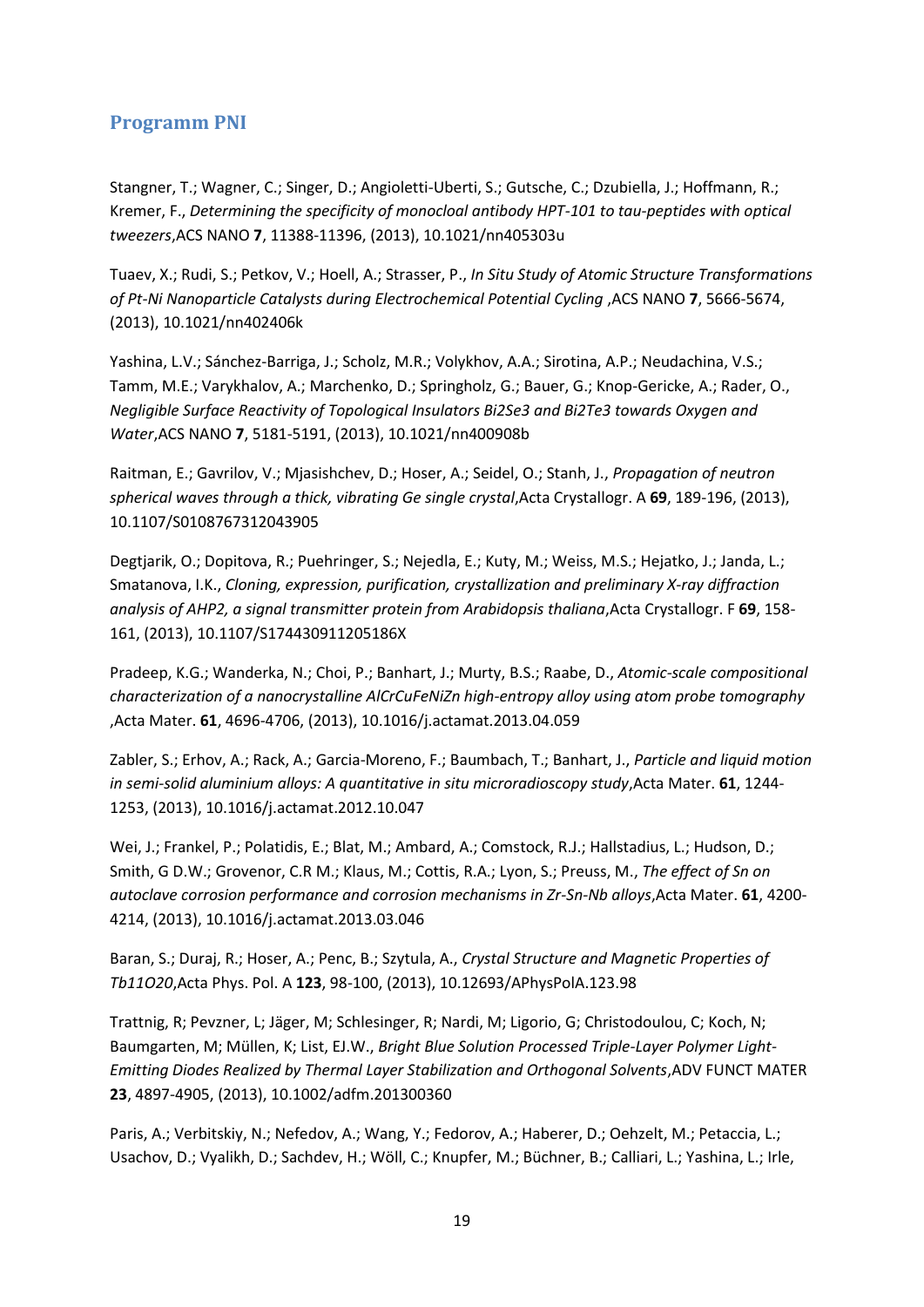#### <span id="page-18-0"></span>**Programm PNI**

Stangner, T.; Wagner, C.; Singer, D.; Angioletti-Uberti, S.; Gutsche, C.; Dzubiella, J.; Hoffmann, R.; Kremer, F., *Determining the specificity of monocloal antibody HPT-101 to tau-peptides with optical tweezers*,ACS NANO **7**, 11388-11396, (2013), 10.1021/nn405303u

Tuaev, X.; Rudi, S.; Petkov, V.; Hoell, A.; Strasser, P., *In Situ Study of Atomic Structure Transformations of Pt-Ni Nanoparticle Catalysts during Electrochemical Potential Cycling* ,ACS NANO **7**, 5666-5674, (2013), 10.1021/nn402406k

Yashina, L.V.; Sánchez-Barriga, J.; Scholz, M.R.; Volykhov, A.A.; Sirotina, A.P.; Neudachina, V.S.; Tamm, M.E.; Varykhalov, A.; Marchenko, D.; Springholz, G.; Bauer, G.; Knop-Gericke, A.; Rader, O., *Negligible Surface Reactivity of Topological Insulators Bi2Se3 and Bi2Te3 towards Oxygen and Water*,ACS NANO **7**, 5181-5191, (2013), 10.1021/nn400908b

Raitman, E.; Gavrilov, V.; Mjasishchev, D.; Hoser, A.; Seidel, O.; Stanh, J., *Propagation of neutron spherical waves through a thick, vibrating Ge single crystal*,Acta Crystallogr. A **69**, 189-196, (2013), 10.1107/S0108767312043905

Degtjarik, O.; Dopitova, R.; Puehringer, S.; Nejedla, E.; Kuty, M.; Weiss, M.S.; Hejatko, J.; Janda, L.; Smatanova, I.K., *Cloning, expression, purification, crystallization and preliminary X-ray diffraction analysis of AHP2, a signal transmitter protein from Arabidopsis thaliana*,Acta Crystallogr. F **69**, 158- 161, (2013), 10.1107/S174430911205186X

Pradeep, K.G.; Wanderka, N.; Choi, P.; Banhart, J.; Murty, B.S.; Raabe, D., *Atomic-scale compositional characterization of a nanocrystalline AlCrCuFeNiZn high-entropy alloy using atom probe tomography*  ,Acta Mater. **61**, 4696-4706, (2013), 10.1016/j.actamat.2013.04.059

Zabler, S.; Erhov, A.; Rack, A.; Garcia-Moreno, F.; Baumbach, T.; Banhart, J., *Particle and liquid motion in semi-solid aluminium alloys: A quantitative in situ microradioscopy study*,Acta Mater. **61**, 1244- 1253, (2013), 10.1016/j.actamat.2012.10.047

Wei, J.; Frankel, P.; Polatidis, E.; Blat, M.; Ambard, A.; Comstock, R.J.; Hallstadius, L.; Hudson, D.; Smith, G D.W.; Grovenor, C.R M.; Klaus, M.; Cottis, R.A.; Lyon, S.; Preuss, M., *The effect of Sn on autoclave corrosion performance and corrosion mechanisms in Zr-Sn-Nb alloys*,Acta Mater. **61**, 4200- 4214, (2013), 10.1016/j.actamat.2013.03.046

Baran, S.; Duraj, R.; Hoser, A.; Penc, B.; Szytula, A., *Crystal Structure and Magnetic Properties of Tb11O20*,Acta Phys. Pol. A **123**, 98-100, (2013), 10.12693/APhysPolA.123.98

Trattnig, R; Pevzner, L; Jäger, M; Schlesinger, R; Nardi, M; Ligorio, G; Christodoulou, C; Koch, N; Baumgarten, M; Müllen, K; List, EJ.W., *Bright Blue Solution Processed Triple-Layer Polymer Light-Emitting Diodes Realized by Thermal Layer Stabilization and Orthogonal Solvents*,ADV FUNCT MATER **23**, 4897-4905, (2013), 10.1002/adfm.201300360

Paris, A.; Verbitskiy, N.; Nefedov, A.; Wang, Y.; Fedorov, A.; Haberer, D.; Oehzelt, M.; Petaccia, L.; Usachov, D.; Vyalikh, D.; Sachdev, H.; Wöll, C.; Knupfer, M.; Büchner, B.; Calliari, L.; Yashina, L.; Irle,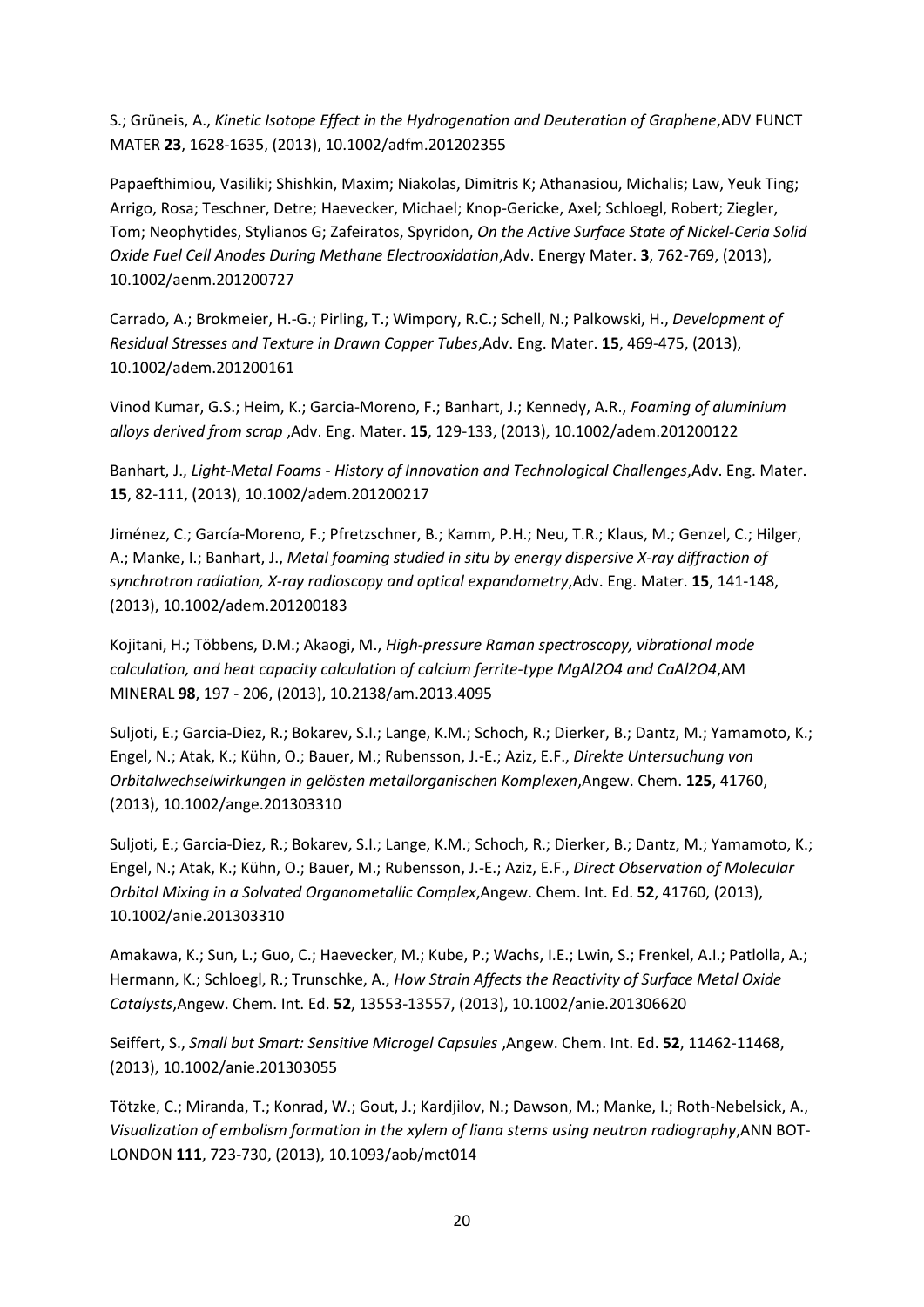S.; Grüneis, A., *Kinetic Isotope Effect in the Hydrogenation and Deuteration of Graphene*,ADV FUNCT MATER **23**, 1628-1635, (2013), 10.1002/adfm.201202355

Papaefthimiou, Vasiliki; Shishkin, Maxim; Niakolas, Dimitris K; Athanasiou, Michalis; Law, Yeuk Ting; Arrigo, Rosa; Teschner, Detre; Haevecker, Michael; Knop-Gericke, Axel; Schloegl, Robert; Ziegler, Tom; Neophytides, Stylianos G; Zafeiratos, Spyridon, *On the Active Surface State of Nickel-Ceria Solid Oxide Fuel Cell Anodes During Methane Electrooxidation*,Adv. Energy Mater. **3**, 762-769, (2013), 10.1002/aenm.201200727

Carrado, A.; Brokmeier, H.-G.; Pirling, T.; Wimpory, R.C.; Schell, N.; Palkowski, H., *Development of Residual Stresses and Texture in Drawn Copper Tubes*,Adv. Eng. Mater. **15**, 469-475, (2013), 10.1002/adem.201200161

Vinod Kumar, G.S.; Heim, K.; Garcia-Moreno, F.; Banhart, J.; Kennedy, A.R., *Foaming of aluminium alloys derived from scrap* ,Adv. Eng. Mater. **15**, 129-133, (2013), 10.1002/adem.201200122

Banhart, J., *Light-Metal Foams - History of Innovation and Technological Challenges*,Adv. Eng. Mater. **15**, 82-111, (2013), 10.1002/adem.201200217

Jiménez, C.; García-Moreno, F.; Pfretzschner, B.; Kamm, P.H.; Neu, T.R.; Klaus, M.; Genzel, C.; Hilger, A.; Manke, I.; Banhart, J., *Metal foaming studied in situ by energy dispersive X-ray diffraction of synchrotron radiation, X-ray radioscopy and optical expandometry*,Adv. Eng. Mater. **15**, 141-148, (2013), 10.1002/adem.201200183

Kojitani, H.; Többens, D.M.; Akaogi, M., *High-pressure Raman spectroscopy, vibrational mode calculation, and heat capacity calculation of calcium ferrite-type MgAl2O4 and CaAl2O4*,AM MINERAL **98**, 197 - 206, (2013), 10.2138/am.2013.4095

Suljoti, E.; Garcia-Diez, R.; Bokarev, S.I.; Lange, K.M.; Schoch, R.; Dierker, B.; Dantz, M.; Yamamoto, K.; Engel, N.; Atak, K.; Kühn, O.; Bauer, M.; Rubensson, J.-E.; Aziz, E.F., *Direkte Untersuchung von Orbitalwechselwirkungen in gelösten metallorganischen Komplexen*,Angew. Chem. **125**, 41760, (2013), 10.1002/ange.201303310

Suljoti, E.; Garcia-Diez, R.; Bokarev, S.I.; Lange, K.M.; Schoch, R.; Dierker, B.; Dantz, M.; Yamamoto, K.; Engel, N.; Atak, K.; Kühn, O.; Bauer, M.; Rubensson, J.-E.; Aziz, E.F., *Direct Observation of Molecular Orbital Mixing in a Solvated Organometallic Complex*,Angew. Chem. Int. Ed. **52**, 41760, (2013), 10.1002/anie.201303310

Amakawa, K.; Sun, L.; Guo, C.; Haevecker, M.; Kube, P.; Wachs, I.E.; Lwin, S.; Frenkel, A.I.; Patlolla, A.; Hermann, K.; Schloegl, R.; Trunschke, A., *How Strain Affects the Reactivity of Surface Metal Oxide Catalysts*,Angew. Chem. Int. Ed. **52**, 13553-13557, (2013), 10.1002/anie.201306620

Seiffert, S., Small but Smart: Sensitive Microgel Capsules ,Angew. Chem. Int. Ed. 52, 11462-11468, (2013), 10.1002/anie.201303055

Tötzke, C.; Miranda, T.; Konrad, W.; Gout, J.; Kardjilov, N.; Dawson, M.; Manke, I.; Roth-Nebelsick, A., *Visualization of embolism formation in the xylem of liana stems using neutron radiography*,ANN BOT-LONDON **111**, 723-730, (2013), 10.1093/aob/mct014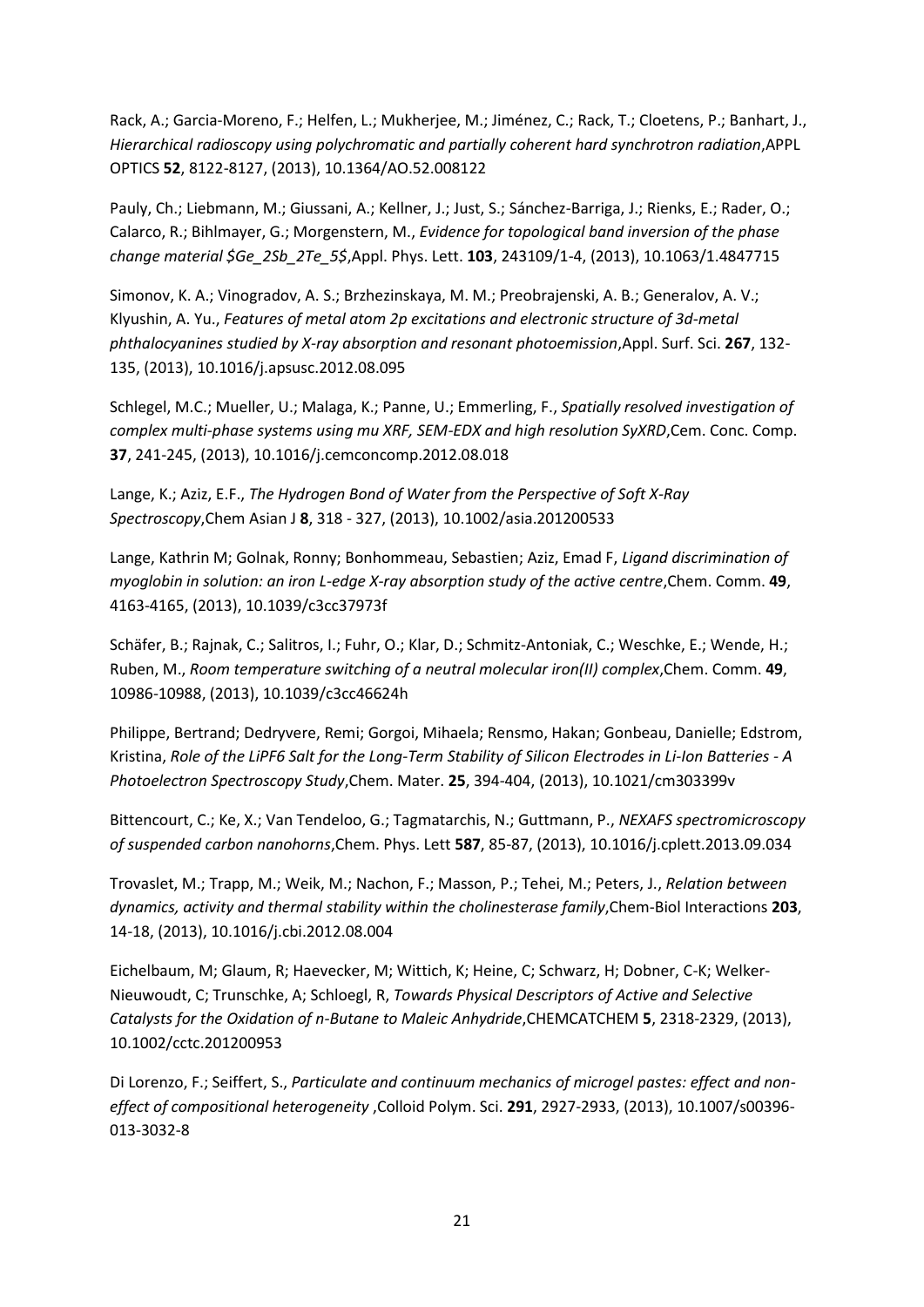Rack, A.; Garcia-Moreno, F.; Helfen, L.; Mukherjee, M.; Jiménez, C.; Rack, T.; Cloetens, P.; Banhart, J., *Hierarchical radioscopy using polychromatic and partially coherent hard synchrotron radiation*,APPL OPTICS **52**, 8122-8127, (2013), 10.1364/AO.52.008122

Pauly, Ch.; Liebmann, M.; Giussani, A.; Kellner, J.; Just, S.; Sánchez-Barriga, J.; Rienks, E.; Rader, O.; Calarco, R.; Bihlmayer, G.; Morgenstern, M., *Evidence for topological band inversion of the phase change material \$Ge\_2Sb\_2Te\_5\$*,Appl. Phys. Lett. **103**, 243109/1-4, (2013), 10.1063/1.4847715

Simonov, K. A.; Vinogradov, A. S.; Brzhezinskaya, M. M.; Preobrajenski, A. B.; Generalov, A. V.; Klyushin, A. Yu., *Features of metal atom 2p excitations and electronic structure of 3d-metal phthalocyanines studied by X-ray absorption and resonant photoemission*,Appl. Surf. Sci. **267**, 132- 135, (2013), 10.1016/j.apsusc.2012.08.095

Schlegel, M.C.; Mueller, U.; Malaga, K.; Panne, U.; Emmerling, F., *Spatially resolved investigation of complex multi-phase systems using mu XRF, SEM-EDX and high resolution SyXRD*,Cem. Conc. Comp. **37**, 241-245, (2013), 10.1016/j.cemconcomp.2012.08.018

Lange, K.; Aziz, E.F., *The Hydrogen Bond of Water from the Perspective of Soft X-Ray Spectroscopy*,Chem Asian J **8**, 318 - 327, (2013), 10.1002/asia.201200533

Lange, Kathrin M; Golnak, Ronny; Bonhommeau, Sebastien; Aziz, Emad F, *Ligand discrimination of myoglobin in solution: an iron L-edge X-ray absorption study of the active centre, Chem. Comm.* **49**, 4163-4165, (2013), 10.1039/c3cc37973f

Schäfer, B.; Rajnak, C.; Salitros, I.; Fuhr, O.; Klar, D.; Schmitz-Antoniak, C.; Weschke, E.; Wende, H.; Ruben, M., *Room temperature switching of a neutral molecular iron(II) complex*,Chem. Comm. **49**, 10986-10988, (2013), 10.1039/c3cc46624h

Philippe, Bertrand; Dedryvere, Remi; Gorgoi, Mihaela; Rensmo, Hakan; Gonbeau, Danielle; Edstrom, Kristina, *Role of the LiPF6 Salt for the Long-Term Stability of Silicon Electrodes in Li-Ion Batteries - A Photoelectron Spectroscopy Study*,Chem. Mater. **25**, 394-404, (2013), 10.1021/cm303399v

Bittencourt, C.; Ke, X.; Van Tendeloo, G.; Tagmatarchis, N.; Guttmann, P., *NEXAFS spectromicroscopy of suspended carbon nanohorns*,Chem. Phys. Lett **587**, 85-87, (2013), 10.1016/j.cplett.2013.09.034

Trovaslet, M.; Trapp, M.; Weik, M.; Nachon, F.; Masson, P.; Tehei, M.; Peters, J., *Relation between dynamics, activity and thermal stability within the cholinesterase family*,Chem-Biol Interactions **203**, 14-18, (2013), 10.1016/j.cbi.2012.08.004

Eichelbaum, M; Glaum, R; Haevecker, M; Wittich, K; Heine, C; Schwarz, H; Dobner, C-K; Welker-Nieuwoudt, C; Trunschke, A; Schloegl, R, *Towards Physical Descriptors of Active and Selective Catalysts for the Oxidation of n-Butane to Maleic Anhydride*,CHEMCATCHEM **5**, 2318-2329, (2013), 10.1002/cctc.201200953

Di Lorenzo, F.; Seiffert, S., *Particulate and continuum mechanics of microgel pastes: effect and noneffect of compositional heterogeneity* ,Colloid Polym. Sci. **291**, 2927-2933, (2013), 10.1007/s00396- 013-3032-8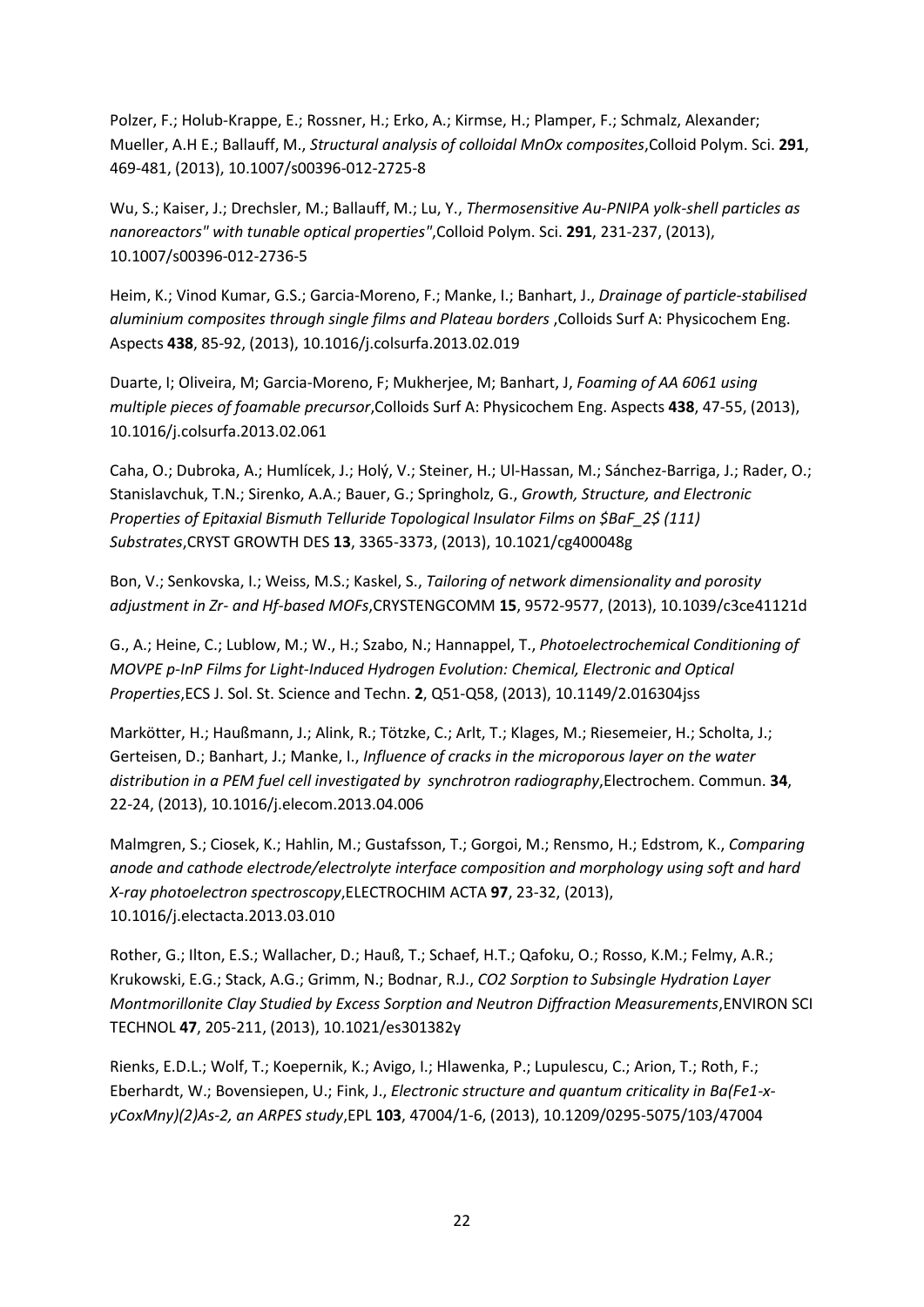Polzer, F.; Holub-Krappe, E.; Rossner, H.; Erko, A.; Kirmse, H.; Plamper, F.; Schmalz, Alexander; Mueller, A.H E.; Ballauff, M., *Structural analysis of colloidal MnOx composites*,Colloid Polym. Sci. **291**, 469-481, (2013), 10.1007/s00396-012-2725-8

Wu, S.; Kaiser, J.; Drechsler, M.; Ballauff, M.; Lu, Y., *Thermosensitive Au-PNIPA yolk-shell particles as nanoreactors" with tunable optical properties"*,Colloid Polym. Sci. **291**, 231-237, (2013), 10.1007/s00396-012-2736-5

Heim, K.; Vinod Kumar, G.S.; Garcia-Moreno, F.; Manke, I.; Banhart, J., *Drainage of particle-stabilised aluminium composites through single films and Plateau borders* ,Colloids Surf A: Physicochem Eng. Aspects **438**, 85-92, (2013), 10.1016/j.colsurfa.2013.02.019

Duarte, I; Oliveira, M; Garcia-Moreno, F; Mukherjee, M; Banhart, J, *Foaming of AA 6061 using multiple pieces of foamable precursor*,Colloids Surf A: Physicochem Eng. Aspects **438**, 47-55, (2013), 10.1016/j.colsurfa.2013.02.061

Caha, O.; Dubroka, A.; Humlícek, J.; Holý, V.; Steiner, H.; Ul-Hassan, M.; Sánchez-Barriga, J.; Rader, O.; Stanislavchuk, T.N.; Sirenko, A.A.; Bauer, G.; Springholz, G., *Growth, Structure, and Electronic Properties of Epitaxial Bismuth Telluride Topological Insulator Films on \$BaF\_2\$ (111) Substrates*,CRYST GROWTH DES **13**, 3365-3373, (2013), 10.1021/cg400048g

Bon, V.; Senkovska, I.; Weiss, M.S.; Kaskel, S., *Tailoring of network dimensionality and porosity adjustment in Zr- and Hf-based MOFs*,CRYSTENGCOMM **15**, 9572-9577, (2013), 10.1039/c3ce41121d

G., A.; Heine, C.; Lublow, M.; W., H.; Szabo, N.; Hannappel, T., *Photoelectrochemical Conditioning of MOVPE p-InP Films for Light-Induced Hydrogen Evolution: Chemical, Electronic and Optical Properties*,ECS J. Sol. St. Science and Techn. **2**, Q51-Q58, (2013), 10.1149/2.016304jss

Markötter, H.; Haußmann, J.; Alink, R.; Tötzke, C.; Arlt, T.; Klages, M.; Riesemeier, H.; Scholta, J.; Gerteisen, D.; Banhart, J.; Manke, I., *Influence of cracks in the microporous layer on the water distribution in a PEM fuel cell investigated by synchrotron radiography*,Electrochem. Commun. **34**, 22-24, (2013), 10.1016/j.elecom.2013.04.006

Malmgren, S.; Ciosek, K.; Hahlin, M.; Gustafsson, T.; Gorgoi, M.; Rensmo, H.; Edstrom, K., *Comparing anode and cathode electrode/electrolyte interface composition and morphology using soft and hard X-ray photoelectron spectroscopy*,ELECTROCHIM ACTA **97**, 23-32, (2013), 10.1016/j.electacta.2013.03.010

Rother, G.; Ilton, E.S.; Wallacher, D.; Hauß, T.; Schaef, H.T.; Qafoku, O.; Rosso, K.M.; Felmy, A.R.; Krukowski, E.G.; Stack, A.G.; Grimm, N.; Bodnar, R.J., *CO2 Sorption to Subsingle Hydration Layer Montmorillonite Clay Studied by Excess Sorption and Neutron Diffraction Measurements*,ENVIRON SCI TECHNOL **47**, 205-211, (2013), 10.1021/es301382y

Rienks, E.D.L.; Wolf, T.; Koepernik, K.; Avigo, I.; Hlawenka, P.; Lupulescu, C.; Arion, T.; Roth, F.; Eberhardt, W.; Bovensiepen, U.; Fink, J., *Electronic structure and quantum criticality in Ba(Fe1-xyCoxMny)(2)As-2, an ARPES study*,EPL **103**, 47004/1-6, (2013), 10.1209/0295-5075/103/47004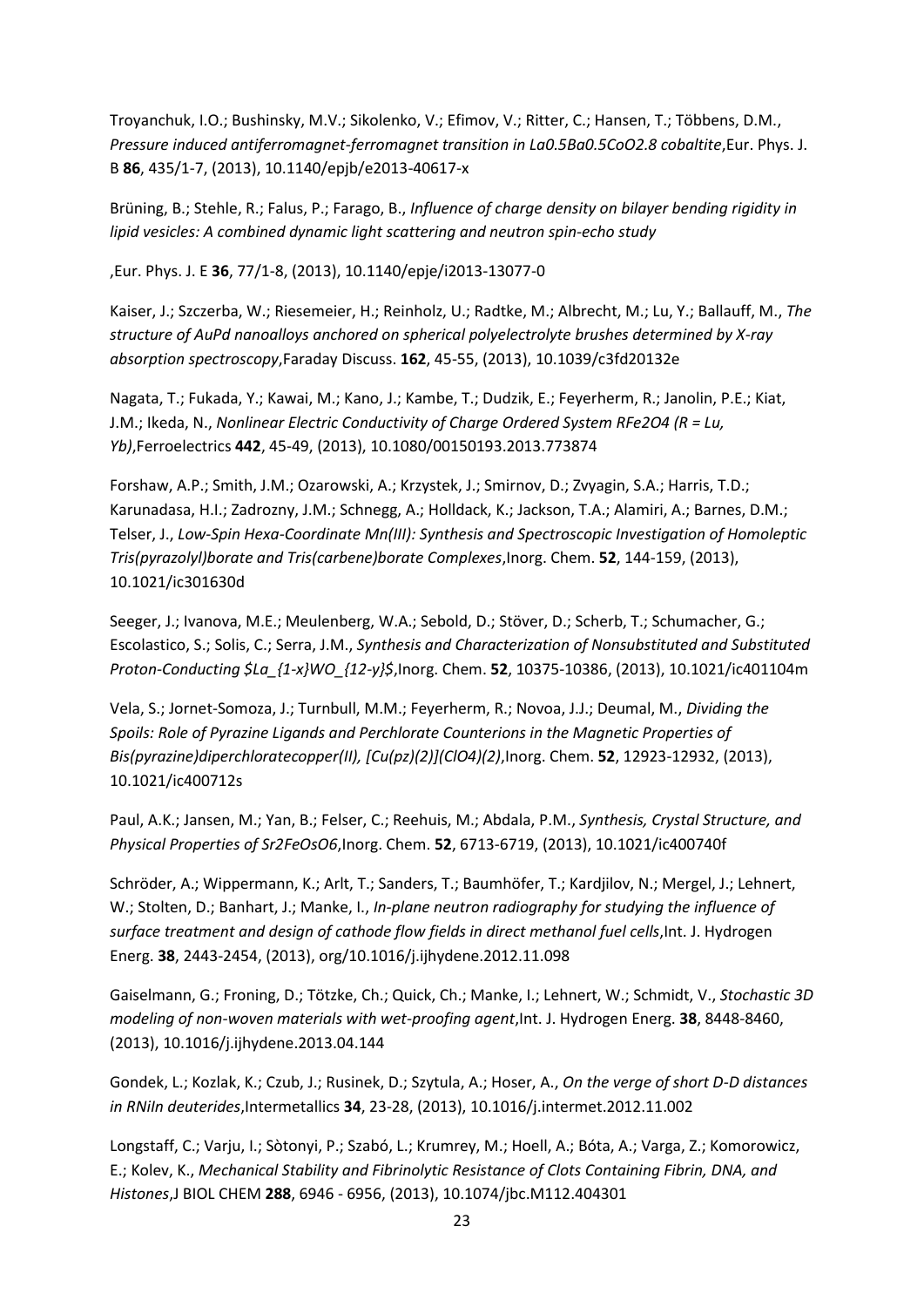Troyanchuk, I.O.; Bushinsky, M.V.; Sikolenko, V.; Efimov, V.; Ritter, C.; Hansen, T.; Többens, D.M., Pressure induced antiferromagnet-ferromagnet transition in La0.5Ba0.5CoO2.8 cobaltite,Eur. Phys. J. B **86**, 435/1-7, (2013), 10.1140/epjb/e2013-40617-x

Brüning, B.; Stehle, R.; Falus, P.; Farago, B., *Influence of charge density on bilayer bending rigidity in lipid vesicles: A combined dynamic light scattering and neutron spin-echo study* 

,Eur. Phys. J. E **36**, 77/1-8, (2013), 10.1140/epje/i2013-13077-0

Kaiser, J.; Szczerba, W.; Riesemeier, H.; Reinholz, U.; Radtke, M.; Albrecht, M.; Lu, Y.; Ballauff, M., *The structure of AuPd nanoalloys anchored on spherical polyelectrolyte brushes determined by X-ray absorption spectroscopy*,Faraday Discuss. **162**, 45-55, (2013), 10.1039/c3fd20132e

Nagata, T.; Fukada, Y.; Kawai, M.; Kano, J.; Kambe, T.; Dudzik, E.; Feyerherm, R.; Janolin, P.E.; Kiat, J.M.; Ikeda, N., *Nonlinear Electric Conductivity of Charge Ordered System RFe2O4 (R = Lu, Yb)*,Ferroelectrics **442**, 45-49, (2013), 10.1080/00150193.2013.773874

Forshaw, A.P.; Smith, J.M.; Ozarowski, A.; Krzystek, J.; Smirnov, D.; Zvyagin, S.A.; Harris, T.D.; Karunadasa, H.I.; Zadrozny, J.M.; Schnegg, A.; Holldack, K.; Jackson, T.A.; Alamiri, A.; Barnes, D.M.; Telser, J., *Low-Spin Hexa-Coordinate Mn(III): Synthesis and Spectroscopic Investigation of Homoleptic Tris(pyrazolyl)borate and Tris(carbene)borate Complexes*,Inorg. Chem. **52**, 144-159, (2013), 10.1021/ic301630d

Seeger, J.; Ivanova, M.E.; Meulenberg, W.A.; Sebold, D.; Stöver, D.; Scherb, T.; Schumacher, G.; Escolastico, S.; Solis, C.; Serra, J.M., *Synthesis and Characterization of Nonsubstituted and Substituted Proton-Conducting \$La\_{1-x}WO\_{12-y}\$*,Inorg. Chem. **52**, 10375-10386, (2013), 10.1021/ic401104m

Vela, S.; Jornet-Somoza, J.; Turnbull, M.M.; Feyerherm, R.; Novoa, J.J.; Deumal, M., *Dividing the Spoils: Role of Pyrazine Ligands and Perchlorate Counterions in the Magnetic Properties of Bis(pyrazine)diperchloratecopper(II), [Cu(pz)(2)](ClO4)(2)*,Inorg. Chem. **52**, 12923-12932, (2013), 10.1021/ic400712s

Paul, A.K.; Jansen, M.; Yan, B.; Felser, C.; Reehuis, M.; Abdala, P.M., *Synthesis, Crystal Structure, and Physical Properties of Sr2FeOsO6*,Inorg. Chem. **52**, 6713-6719, (2013), 10.1021/ic400740f

Schröder, A.; Wippermann, K.; Arlt, T.; Sanders, T.; Baumhöfer, T.; Kardjilov, N.; Mergel, J.; Lehnert, W.; Stolten, D.; Banhart, J.; Manke, I., *In-plane neutron radiography for studying the influence of surface treatment and design of cathode flow fields in direct methanol fuel cells*,Int. J. Hydrogen Energ. **38**, 2443-2454, (2013), org/10.1016/j.ijhydene.2012.11.098

Gaiselmann, G.; Froning, D.; Tötzke, Ch.; Quick, Ch.; Manke, I.; Lehnert, W.; Schmidt, V., *Stochastic 3D modeling of non-woven materials with wet-proofing agent*,Int. J. Hydrogen Energ. **38**, 8448-8460, (2013), 10.1016/j.ijhydene.2013.04.144

Gondek, L.; Kozlak, K.; Czub, J.; Rusinek, D.; Szytula, A.; Hoser, A., *On the verge of short D-D distances in RNiIn deuterides*,Intermetallics **34**, 23-28, (2013), 10.1016/j.intermet.2012.11.002

Longstaff, C.; Varju, I.; Sòtonyi, P.; Szabó, L.; Krumrey, M.; Hoell, A.; Bóta, A.; Varga, Z.; Komorowicz, E.; Kolev, K., *Mechanical Stability and Fibrinolytic Resistance of Clots Containing Fibrin, DNA, and Histones*,J BIOL CHEM **288**, 6946 - 6956, (2013), 10.1074/jbc.M112.404301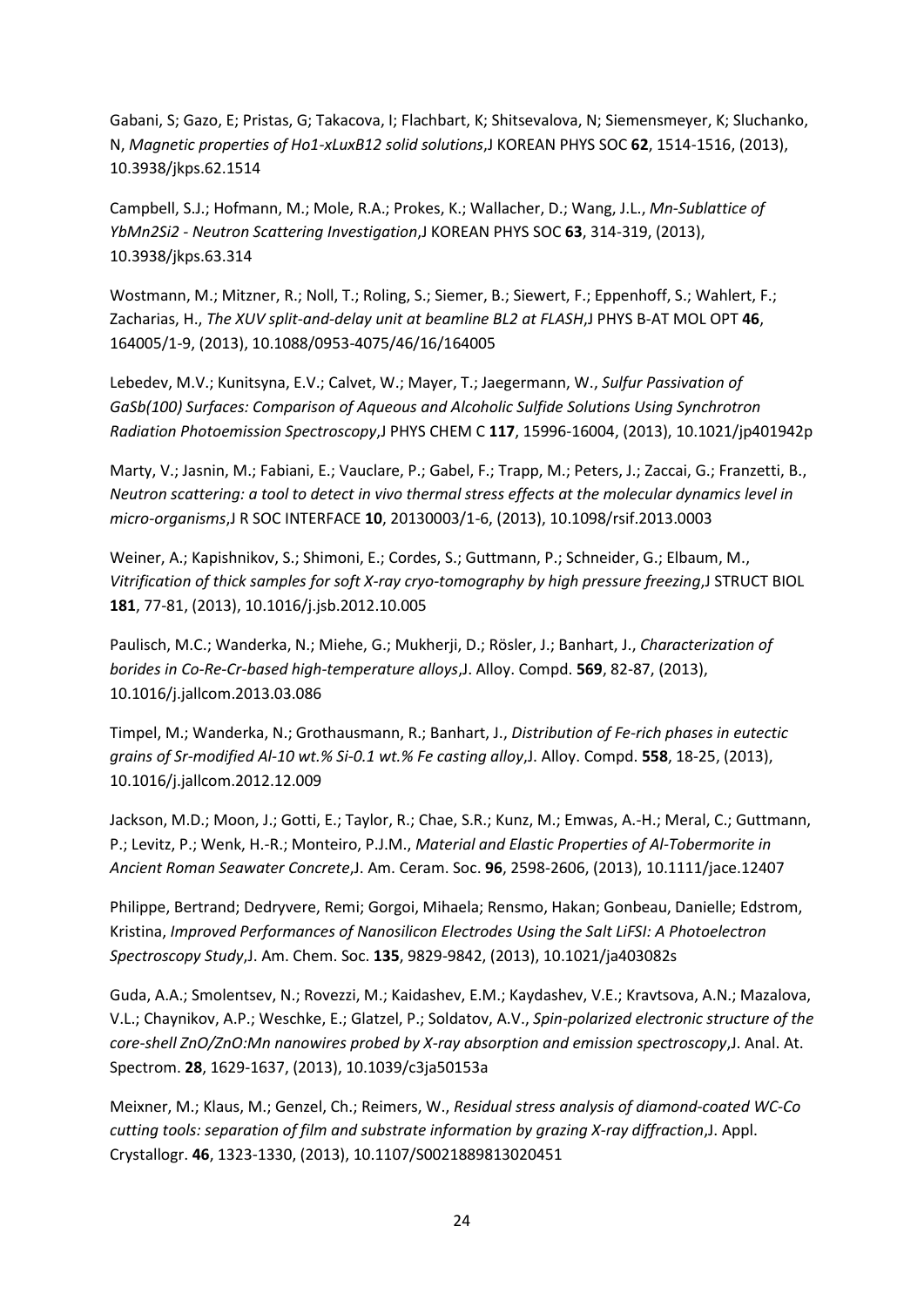Gabani, S; Gazo, E; Pristas, G; Takacova, I; Flachbart, K; Shitsevalova, N; Siemensmeyer, K; Sluchanko, N, *Magnetic properties of Ho1-xLuxB12 solid solutions*,J KOREAN PHYS SOC **62**, 1514-1516, (2013), 10.3938/jkps.62.1514

Campbell, S.J.; Hofmann, M.; Mole, R.A.; Prokes, K.; Wallacher, D.; Wang, J.L., *Mn-Sublattice of YbMn2Si2 - Neutron Scattering Investigation*,J KOREAN PHYS SOC **63**, 314-319, (2013), 10.3938/jkps.63.314

Wostmann, M.; Mitzner, R.; Noll, T.; Roling, S.; Siemer, B.; Siewert, F.; Eppenhoff, S.; Wahlert, F.; Zacharias, H., *The XUV split-and-delay unit at beamline BL2 at FLASH*,J PHYS B-AT MOL OPT **46**, 164005/1-9, (2013), 10.1088/0953-4075/46/16/164005

Lebedev, M.V.; Kunitsyna, E.V.; Calvet, W.; Mayer, T.; Jaegermann, W., *Sulfur Passivation of GaSb(100) Surfaces: Comparison of Aqueous and Alcoholic Sulfide Solutions Using Synchrotron Radiation Photoemission Spectroscopy*,J PHYS CHEM C **117**, 15996-16004, (2013), 10.1021/jp401942p

Marty, V.; Jasnin, M.; Fabiani, E.; Vauclare, P.; Gabel, F.; Trapp, M.; Peters, J.; Zaccai, G.; Franzetti, B., *Neutron scattering: a tool to detect in vivo thermal stress effects at the molecular dynamics level in micro-organisms*,J R SOC INTERFACE **10**, 20130003/1-6, (2013), 10.1098/rsif.2013.0003

Weiner, A.; Kapishnikov, S.; Shimoni, E.; Cordes, S.; Guttmann, P.; Schneider, G.; Elbaum, M., *Vitrification of thick samples for soft X-ray cryo-tomography by high pressure freezing*,J STRUCT BIOL **181**, 77-81, (2013), 10.1016/j.jsb.2012.10.005

Paulisch, M.C.; Wanderka, N.; Miehe, G.; Mukherji, D.; Rösler, J.; Banhart, J., *Characterization of borides in Co-Re-Cr-based high-temperature alloys*,J. Alloy. Compd. **569**, 82-87, (2013), 10.1016/j.jallcom.2013.03.086

Timpel, M.; Wanderka, N.; Grothausmann, R.; Banhart, J., *Distribution of Fe-rich phases in eutectic grains of Sr-modified Al-10 wt.% Si-0.1 wt.% Fe casting alloy*,J. Alloy. Compd. **558**, 18-25, (2013), 10.1016/j.jallcom.2012.12.009

Jackson, M.D.; Moon, J.; Gotti, E.; Taylor, R.; Chae, S.R.; Kunz, M.; Emwas, A.-H.; Meral, C.; Guttmann, P.; Levitz, P.; Wenk, H.-R.; Monteiro, P.J.M., *Material and Elastic Properties of Al-Tobermorite in Ancient Roman Seawater Concrete*,J. Am. Ceram. Soc. **96**, 2598-2606, (2013), 10.1111/jace.12407

Philippe, Bertrand; Dedryvere, Remi; Gorgoi, Mihaela; Rensmo, Hakan; Gonbeau, Danielle; Edstrom, Kristina, *Improved Performances of Nanosilicon Electrodes Using the Salt LiFSI: A Photoelectron Spectroscopy Study*,J. Am. Chem. Soc. **135**, 9829-9842, (2013), 10.1021/ja403082s

Guda, A.A.; Smolentsev, N.; Rovezzi, M.; Kaidashev, E.M.; Kaydashev, V.E.; Kravtsova, A.N.; Mazalova, V.L.; Chaynikov, A.P.; Weschke, E.; Glatzel, P.; Soldatov, A.V., *Spin-polarized electronic structure of the core-shell ZnO/ZnO:Mn nanowires probed by X-ray absorption and emission spectroscopy*,J. Anal. At. Spectrom. **28**, 1629-1637, (2013), 10.1039/c3ja50153a

Meixner, M.; Klaus, M.; Genzel, Ch.; Reimers, W., *Residual stress analysis of diamond-coated WC-Co cutting tools: separation of film and substrate information by grazing X-ray diffraction*,J. Appl. Crystallogr. **46**, 1323-1330, (2013), 10.1107/S0021889813020451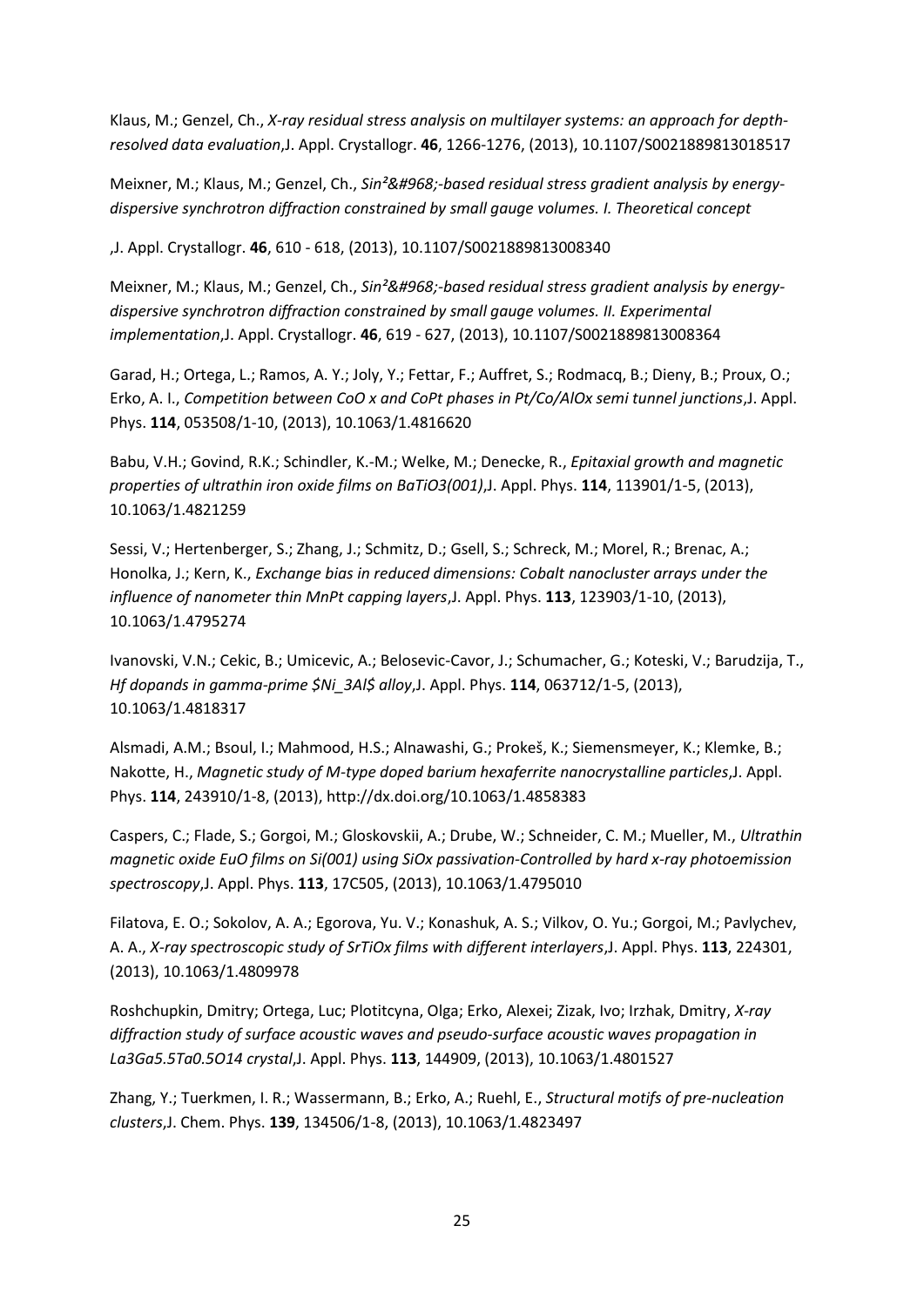Klaus, M.; Genzel, Ch., *X-ray residual stress analysis on multilayer systems: an approach for depthresolved data evaluation*,J. Appl. Crystallogr. **46**, 1266-1276, (2013), 10.1107/S0021889813018517

Meixner, M.; Klaus, M.; Genzel, Ch., Sin<sup>2</sup>&#968;-based residual stress gradient analysis by energy*dispersive synchrotron diffraction constrained by small gauge volumes. I. Theoretical concept* 

,J. Appl. Crystallogr. **46**, 610 - 618, (2013), 10.1107/S0021889813008340

Meixner, M.; Klaus, M.; Genzel, Ch., Sin<sup>2</sup>&#968;-based residual stress gradient analysis by energy*dispersive synchrotron diffraction constrained by small gauge volumes. II. Experimental implementation*,J. Appl. Crystallogr. **46**, 619 - 627, (2013), 10.1107/S0021889813008364

Garad, H.; Ortega, L.; Ramos, A. Y.; Joly, Y.; Fettar, F.; Auffret, S.; Rodmacq, B.; Dieny, B.; Proux, O.; Erko, A. I., *Competition between CoO x and CoPt phases in Pt/Co/AlOx semi tunnel junctions*,J. Appl. Phys. **114**, 053508/1-10, (2013), 10.1063/1.4816620

Babu, V.H.; Govind, R.K.; Schindler, K.-M.; Welke, M.; Denecke, R., *Epitaxial growth and magnetic properties of ultrathin iron oxide films on BaTiO3(001)*,J. Appl. Phys. **114**, 113901/1-5, (2013), 10.1063/1.4821259

Sessi, V.; Hertenberger, S.; Zhang, J.; Schmitz, D.; Gsell, S.; Schreck, M.; Morel, R.; Brenac, A.; Honolka, J.; Kern, K., *Exchange bias in reduced dimensions: Cobalt nanocluster arrays under the influence of nanometer thin MnPt capping layers*,J. Appl. Phys. **113**, 123903/1-10, (2013), 10.1063/1.4795274

Ivanovski, V.N.; Cekic, B.; Umicevic, A.; Belosevic-Cavor, J.; Schumacher, G.; Koteski, V.; Barudzija, T., *Hf dopands in gamma-prime \$Ni\_3Al\$ alloy*,J. Appl. Phys. **114**, 063712/1-5, (2013), 10.1063/1.4818317

Alsmadi, A.M.; Bsoul, I.; Mahmood, H.S.; Alnawashi, G.; Prokeš, K.; Siemensmeyer, K.; Klemke, B.; Nakotte, H., *Magnetic study of M-type doped barium hexaferrite nanocrystalline particles*,J. Appl. Phys. **114**, 243910/1-8, (2013), http://dx.doi.org/10.1063/1.4858383

Caspers, C.; Flade, S.; Gorgoi, M.; Gloskovskii, A.; Drube, W.; Schneider, C. M.; Mueller, M., *Ultrathin magnetic oxide EuO films on Si(001) using SiOx passivation-Controlled by hard x-ray photoemission spectroscopy*,J. Appl. Phys. **113**, 17C505, (2013), 10.1063/1.4795010

Filatova, E. O.; Sokolov, A. A.; Egorova, Yu. V.; Konashuk, A. S.; Vilkov, O. Yu.; Gorgoi, M.; Pavlychev, A. A., *X-ray spectroscopic study of SrTiOx films with different interlayers*,J. Appl. Phys. **113**, 224301, (2013), 10.1063/1.4809978

Roshchupkin, Dmitry; Ortega, Luc; Plotitcyna, Olga; Erko, Alexei; Zizak, Ivo; Irzhak, Dmitry, *X-ray diffraction study of surface acoustic waves and pseudo-surface acoustic waves propagation in La3Ga5.5Ta0.5O14 crystal*,J. Appl. Phys. **113**, 144909, (2013), 10.1063/1.4801527

Zhang, Y.; Tuerkmen, I. R.; Wassermann, B.; Erko, A.; Ruehl, E., *Structural motifs of pre-nucleation clusters*,J. Chem. Phys. **139**, 134506/1-8, (2013), 10.1063/1.4823497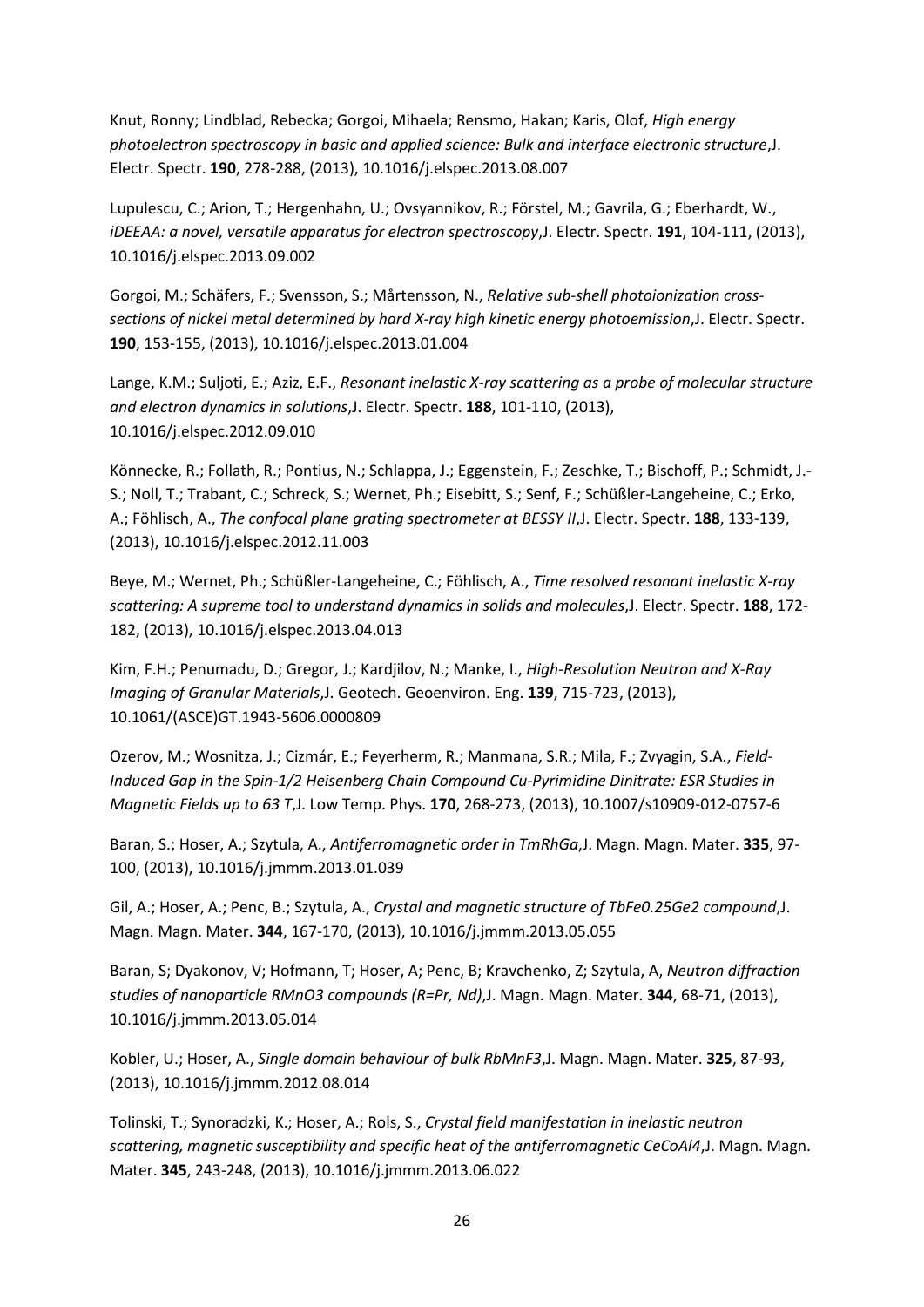Knut, Ronny; Lindblad, Rebecka; Gorgoi, Mihaela; Rensmo, Hakan; Karis, Olof, *High energy photoelectron spectroscopy in basic and applied science: Bulk and interface electronic structure*,J. Electr. Spectr. **190**, 278-288, (2013), 10.1016/j.elspec.2013.08.007

Lupulescu, C.; Arion, T.; Hergenhahn, U.; Ovsyannikov, R.; Förstel, M.; Gavrila, G.; Eberhardt, W., *iDEEAA: a novel, versatile apparatus for electron spectroscopy*,J. Electr. Spectr. **191**, 104-111, (2013), 10.1016/j.elspec.2013.09.002

Gorgoi, M.; Schäfers, F.; Svensson, S.; Mårtensson, N., *Relative sub-shell photoionization crosssections of nickel metal determined by hard X-ray high kinetic energy photoemission*,J. Electr. Spectr. **190**, 153-155, (2013), 10.1016/j.elspec.2013.01.004

Lange, K.M.; Suljoti, E.; Aziz, E.F., *Resonant inelastic X-ray scattering as a probe of molecular structure and electron dynamics in solutions*,J. Electr. Spectr. **188**, 101-110, (2013), 10.1016/j.elspec.2012.09.010

Könnecke, R.; Follath, R.; Pontius, N.; Schlappa, J.; Eggenstein, F.; Zeschke, T.; Bischoff, P.; Schmidt, J.- S.; Noll, T.; Trabant, C.; Schreck, S.; Wernet, Ph.; Eisebitt, S.; Senf, F.; Schüßler-Langeheine, C.; Erko, A.; Föhlisch, A., *The confocal plane grating spectrometer at BESSY II*,J. Electr. Spectr. **188**, 133-139, (2013), 10.1016/j.elspec.2012.11.003

Beye, M.; Wernet, Ph.; Schüßler-Langeheine, C.; Föhlisch, A., *Time resolved resonant inelastic X-ray scattering: A supreme tool to understand dynamics in solids and molecules*,J. Electr. Spectr. **188**, 172- 182, (2013), 10.1016/j.elspec.2013.04.013

Kim, F.H.; Penumadu, D.; Gregor, J.; Kardjilov, N.; Manke, I., *High-Resolution Neutron and X-Ray Imaging of Granular Materials*,J. Geotech. Geoenviron. Eng. **139**, 715-723, (2013), 10.1061/(ASCE)GT.1943-5606.0000809

Ozerov, M.; Wosnitza, J.; Cizmár, E.; Feyerherm, R.; Manmana, S.R.; Mila, F.; Zvyagin, S.A., *Field-Induced Gap in the Spin-1/2 Heisenberg Chain Compound Cu-Pyrimidine Dinitrate: ESR Studies in Magnetic Fields up to 63 T*,J. Low Temp. Phys. **170**, 268-273, (2013), 10.1007/s10909-012-0757-6

Baran, S.; Hoser, A.; Szytula, A., *Antiferromagnetic order in TmRhGa*,J. Magn. Magn. Mater. **335**, 97- 100, (2013), 10.1016/j.jmmm.2013.01.039

Gil, A.; Hoser, A.; Penc, B.; Szytula, A., *Crystal and magnetic structure of TbFe0.25Ge2 compound*,J. Magn. Magn. Mater. **344**, 167-170, (2013), 10.1016/j.jmmm.2013.05.055

Baran, S; Dyakonov, V; Hofmann, T; Hoser, A; Penc, B; Kravchenko, Z; Szytula, A, *Neutron diffraction studies of nanoparticle RMnO3 compounds (R=Pr, Nd)*,J. Magn. Magn. Mater. **344**, 68-71, (2013), 10.1016/j.jmmm.2013.05.014

Kobler, U.; Hoser, A., *Single domain behaviour of bulk RbMnF3*,J. Magn. Magn. Mater. **325**, 87-93, (2013), 10.1016/j.jmmm.2012.08.014

Tolinski, T.; Synoradzki, K.; Hoser, A.; Rols, S., *Crystal field manifestation in inelastic neutron scattering, magnetic susceptibility and specific heat of the antiferromagnetic CeCoAl4*,J. Magn. Magn. Mater. **345**, 243-248, (2013), 10.1016/j.jmmm.2013.06.022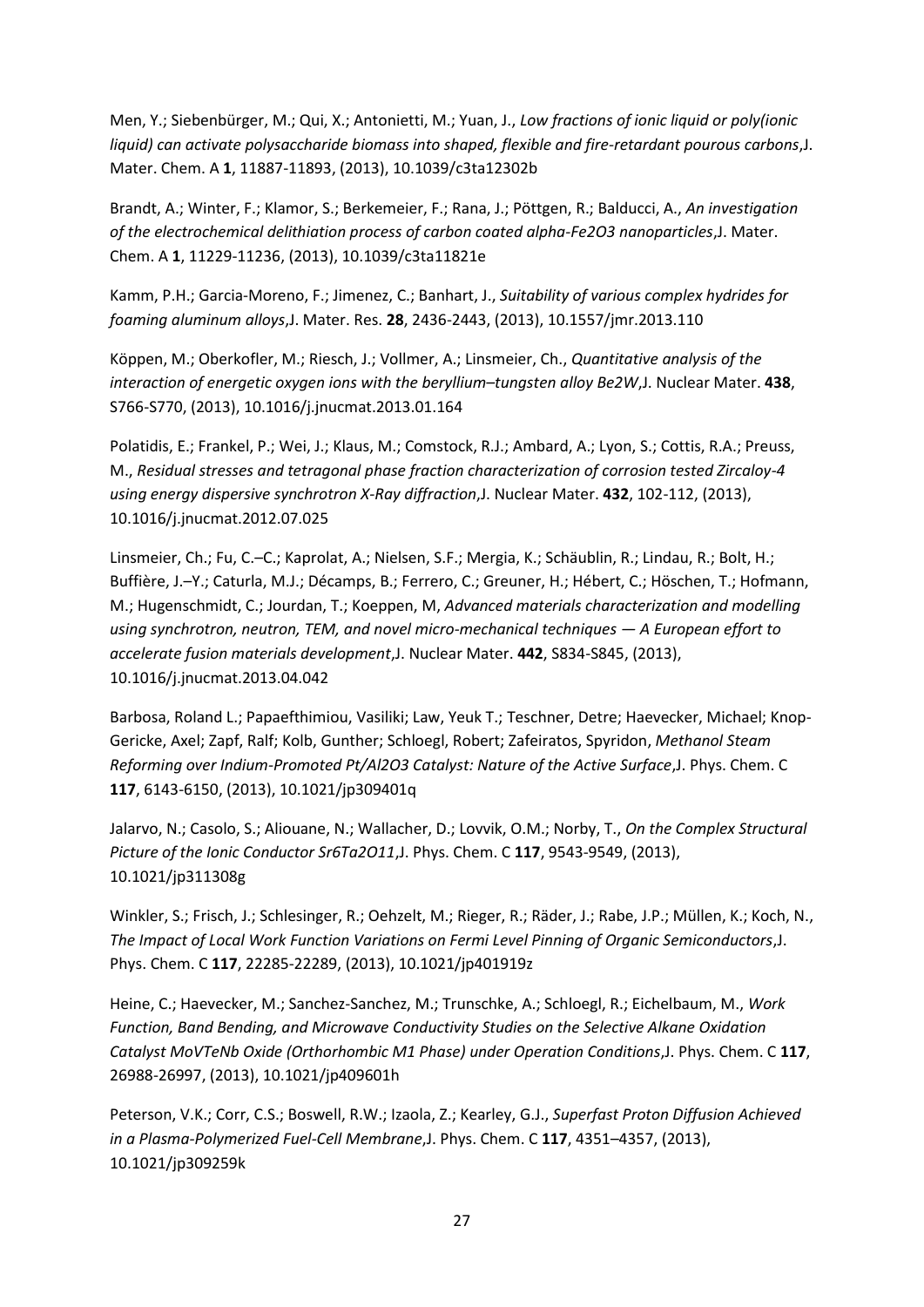Men, Y.; Siebenbürger, M.; Qui, X.; Antonietti, M.; Yuan, J., *Low fractions of ionic liquid or poly(ionic liquid) can activate polysaccharide biomass into shaped, flexible and fire-retardant pourous carbons*,J. Mater. Chem. A **1**, 11887-11893, (2013), 10.1039/c3ta12302b

Brandt, A.; Winter, F.; Klamor, S.; Berkemeier, F.; Rana, J.; Pöttgen, R.; Balducci, A., *An investigation of the electrochemical delithiation process of carbon coated alpha-Fe2O3 nanoparticles*,J. Mater. Chem. A **1**, 11229-11236, (2013), 10.1039/c3ta11821e

Kamm, P.H.; Garcia-Moreno, F.; Jimenez, C.; Banhart, J., *Suitability of various complex hydrides for foaming aluminum alloys*,J. Mater. Res. **28**, 2436-2443, (2013), 10.1557/jmr.2013.110

Köppen, M.; Oberkofler, M.; Riesch, J.; Vollmer, A.; Linsmeier, Ch., *Quantitative analysis of the interaction of energetic oxygen ions with the beryllium–tungsten alloy Be2W*,J. Nuclear Mater. **438**, S766-S770, (2013), 10.1016/j.jnucmat.2013.01.164

Polatidis, E.; Frankel, P.; Wei, J.; Klaus, M.; Comstock, R.J.; Ambard, A.; Lyon, S.; Cottis, R.A.; Preuss, M., *Residual stresses and tetragonal phase fraction characterization of corrosion tested Zircaloy-4 using energy dispersive synchrotron X-Ray diffraction*,J. Nuclear Mater. **432**, 102-112, (2013), 10.1016/j.jnucmat.2012.07.025

Linsmeier, Ch.; Fu, C.–C.; Kaprolat, A.; Nielsen, S.F.; Mergia, K.; Schäublin, R.; Lindau, R.; Bolt, H.; Buffière, J.–Y.; Caturla, M.J.; Décamps, B.; Ferrero, C.; Greuner, H.; Hébert, C.; Höschen, T.; Hofmann, M.; Hugenschmidt, C.; Jourdan, T.; Koeppen, M, *Advanced materials characterization and modelling using synchrotron, neutron, TEM, and novel micro-mechanical techniques — A European effort to accelerate fusion materials development*,J. Nuclear Mater. **442**, S834-S845, (2013), 10.1016/j.jnucmat.2013.04.042

Barbosa, Roland L.; Papaefthimiou, Vasiliki; Law, Yeuk T.; Teschner, Detre; Haevecker, Michael; Knop-Gericke, Axel; Zapf, Ralf; Kolb, Gunther; Schloegl, Robert; Zafeiratos, Spyridon, *Methanol Steam Reforming over Indium-Promoted Pt/Al2O3 Catalyst: Nature of the Active Surface*,J. Phys. Chem. C **117**, 6143-6150, (2013), 10.1021/jp309401q

Jalarvo, N.; Casolo, S.; Aliouane, N.; Wallacher, D.; Lovvik, O.M.; Norby, T., *On the Complex Structural Picture of the Ionic Conductor Sr6Ta2O11*,J. Phys. Chem. C **117**, 9543-9549, (2013), 10.1021/jp311308g

Winkler, S.; Frisch, J.; Schlesinger, R.; Oehzelt, M.; Rieger, R.; Räder, J.; Rabe, J.P.; Müllen, K.; Koch, N., *The Impact of Local Work Function Variations on Fermi Level Pinning of Organic Semiconductors*,J. Phys. Chem. C **117**, 22285-22289, (2013), 10.1021/jp401919z

Heine, C.; Haevecker, M.; Sanchez-Sanchez, M.; Trunschke, A.; Schloegl, R.; Eichelbaum, M., *Work Function, Band Bending, and Microwave Conductivity Studies on the Selective Alkane Oxidation Catalyst MoVTeNb Oxide (Orthorhombic M1 Phase) under Operation Conditions*,J. Phys. Chem. C **117**, 26988-26997, (2013), 10.1021/jp409601h

Peterson, V.K.; Corr, C.S.; Boswell, R.W.; Izaola, Z.; Kearley, G.J., *Superfast Proton Diffusion Achieved in a Plasma-Polymerized Fuel-Cell Membrane*,J. Phys. Chem. C **117**, 4351–4357, (2013), 10.1021/jp309259k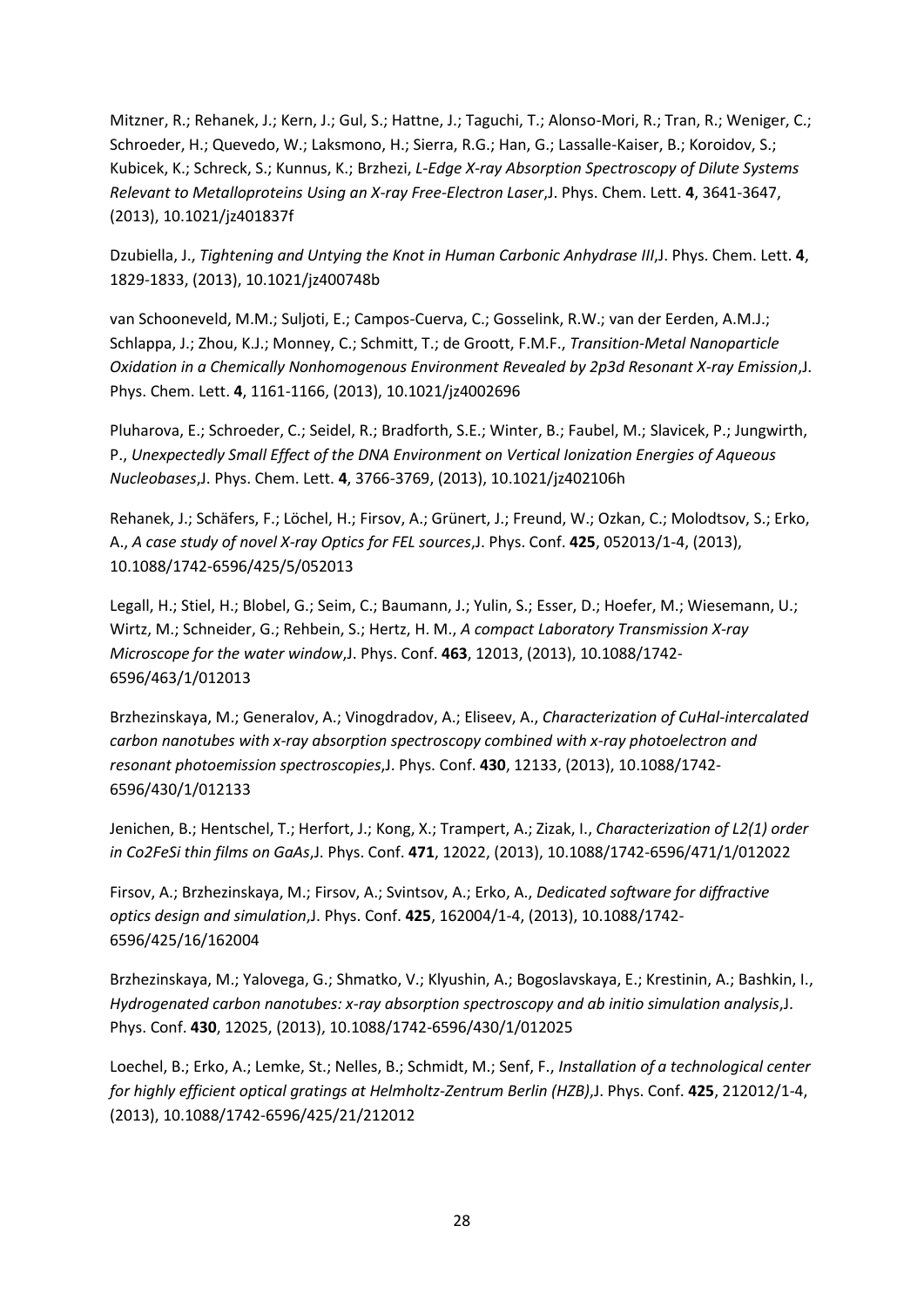Mitzner, R.; Rehanek, J.; Kern, J.; Gul, S.; Hattne, J.; Taguchi, T.; Alonso-Mori, R.; Tran, R.; Weniger, C.; Schroeder, H.; Quevedo, W.; Laksmono, H.; Sierra, R.G.; Han, G.; Lassalle-Kaiser, B.; Koroidov, S.; Kubicek, K.; Schreck, S.; Kunnus, K.; Brzhezi, *L-Edge X-ray Absorption Spectroscopy of Dilute Systems Relevant to Metalloproteins Using an X-ray Free-Electron Laser*,J. Phys. Chem. Lett. **4**, 3641-3647, (2013), 10.1021/jz401837f

Dzubiella, J., *Tightening and Untying the Knot in Human Carbonic Anhydrase III*,J. Phys. Chem. Lett. **4**, 1829-1833, (2013), 10.1021/jz400748b

van Schooneveld, M.M.; Suljoti, E.; Campos-Cuerva, C.; Gosselink, R.W.; van der Eerden, A.M.J.; Schlappa, J.; Zhou, K.J.; Monney, C.; Schmitt, T.; de Groott, F.M.F., *Transition-Metal Nanoparticle Oxidation in a Chemically Nonhomogenous Environment Revealed by 2p3d Resonant X-ray Emission*,J. Phys. Chem. Lett. **4**, 1161-1166, (2013), 10.1021/jz4002696

Pluharova, E.; Schroeder, C.; Seidel, R.; Bradforth, S.E.; Winter, B.; Faubel, M.; Slavicek, P.; Jungwirth, P., *Unexpectedly Small Effect of the DNA Environment on Vertical Ionization Energies of Aqueous Nucleobases*,J. Phys. Chem. Lett. **4**, 3766-3769, (2013), 10.1021/jz402106h

Rehanek, J.; Schäfers, F.; Löchel, H.; Firsov, A.; Grünert, J.; Freund, W.; Ozkan, C.; Molodtsov, S.; Erko, A., *A case study of novel X-ray Optics for FEL sources*,J. Phys. Conf. **425**, 052013/1-4, (2013), 10.1088/1742-6596/425/5/052013

Legall, H.; Stiel, H.; Blobel, G.; Seim, C.; Baumann, J.; Yulin, S.; Esser, D.; Hoefer, M.; Wiesemann, U.; Wirtz, M.; Schneider, G.; Rehbein, S.; Hertz, H. M., *A compact Laboratory Transmission X-ray Microscope for the water window*,J. Phys. Conf. **463**, 12013, (2013), 10.1088/1742- 6596/463/1/012013

Brzhezinskaya, M.; Generalov, A.; Vinogdradov, A.; Eliseev, A., *Characterization of CuHal-intercalated carbon nanotubes with x-ray absorption spectroscopy combined with x-ray photoelectron and resonant photoemission spectroscopies*,J. Phys. Conf. **430**, 12133, (2013), 10.1088/1742- 6596/430/1/012133

Jenichen, B.; Hentschel, T.; Herfort, J.; Kong, X.; Trampert, A.; Zizak, I., *Characterization of L2(1) order in Co2FeSi thin films on GaAs*,J. Phys. Conf. **471**, 12022, (2013), 10.1088/1742-6596/471/1/012022

Firsov, A.; Brzhezinskaya, M.; Firsov, A.; Svintsov, A.; Erko, A., *Dedicated software for diffractive optics design and simulation*,J. Phys. Conf. **425**, 162004/1-4, (2013), 10.1088/1742- 6596/425/16/162004

Brzhezinskaya, M.; Yalovega, G.; Shmatko, V.; Klyushin, A.; Bogoslavskaya, E.; Krestinin, A.; Bashkin, I., *Hydrogenated carbon nanotubes: x-ray absorption spectroscopy and ab initio simulation analysis*,J. Phys. Conf. **430**, 12025, (2013), 10.1088/1742-6596/430/1/012025

Loechel, B.; Erko, A.; Lemke, St.; Nelles, B.; Schmidt, M.; Senf, F., *Installation of a technological center for highly efficient optical gratings at Helmholtz-Zentrum Berlin (HZB)*,J. Phys. Conf. **425**, 212012/1-4, (2013), 10.1088/1742-6596/425/21/212012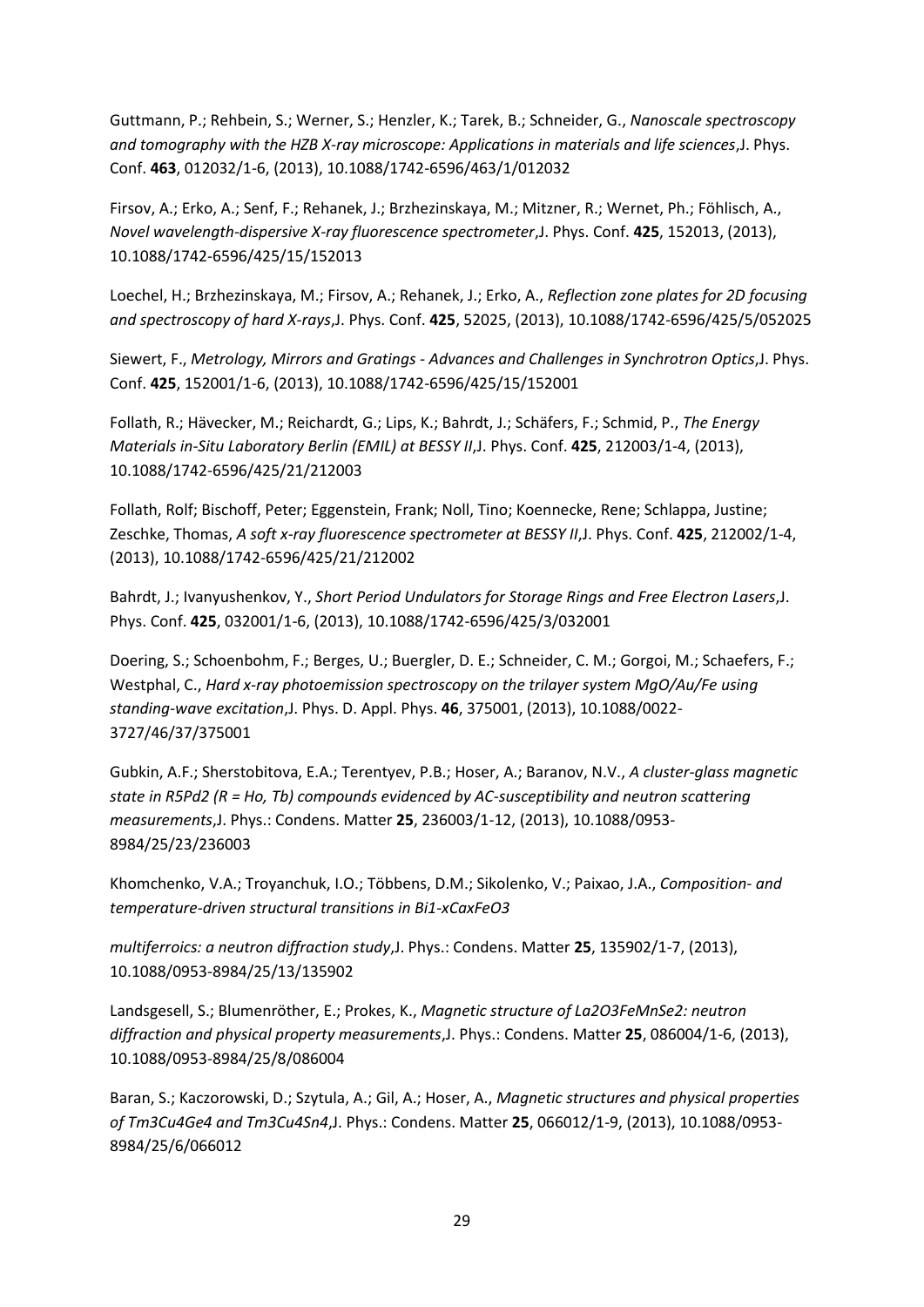Guttmann, P.; Rehbein, S.; Werner, S.; Henzler, K.; Tarek, B.; Schneider, G., *Nanoscale spectroscopy and tomography with the HZB X-ray microscope: Applications in materials and life sciences*,J. Phys. Conf. **463**, 012032/1-6, (2013), 10.1088/1742-6596/463/1/012032

Firsov, A.; Erko, A.; Senf, F.; Rehanek, J.; Brzhezinskaya, M.; Mitzner, R.; Wernet, Ph.; Föhlisch, A., *Novel wavelength-dispersive X-ray fluorescence spectrometer*,J. Phys. Conf. **425**, 152013, (2013), 10.1088/1742-6596/425/15/152013

Loechel, H.; Brzhezinskaya, M.; Firsov, A.; Rehanek, J.; Erko, A., *Reflection zone plates for 2D focusing and spectroscopy of hard X-rays*,J. Phys. Conf. **425**, 52025, (2013), 10.1088/1742-6596/425/5/052025

Siewert, F., *Metrology, Mirrors and Gratings - Advances and Challenges in Synchrotron Optics*,J. Phys. Conf. **425**, 152001/1-6, (2013), 10.1088/1742-6596/425/15/152001

Follath, R.; Hävecker, M.; Reichardt, G.; Lips, K.; Bahrdt, J.; Schäfers, F.; Schmid, P., *The Energy Materials in-Situ Laboratory Berlin (EMIL) at BESSY II*,J. Phys. Conf. **425**, 212003/1-4, (2013), 10.1088/1742-6596/425/21/212003

Follath, Rolf; Bischoff, Peter; Eggenstein, Frank; Noll, Tino; Koennecke, Rene; Schlappa, Justine; Zeschke, Thomas, *A soft x-ray fluorescence spectrometer at BESSY II*,J. Phys. Conf. **425**, 212002/1-4, (2013), 10.1088/1742-6596/425/21/212002

Bahrdt, J.; Ivanyushenkov, Y., *Short Period Undulators for Storage Rings and Free Electron Lasers*,J. Phys. Conf. **425**, 032001/1-6, (2013), 10.1088/1742-6596/425/3/032001

Doering, S.; Schoenbohm, F.; Berges, U.; Buergler, D. E.; Schneider, C. M.; Gorgoi, M.; Schaefers, F.; Westphal, C., *Hard x-ray photoemission spectroscopy on the trilayer system MgO/Au/Fe using standing-wave excitation*,J. Phys. D. Appl. Phys. **46**, 375001, (2013), 10.1088/0022- 3727/46/37/375001

Gubkin, A.F.; Sherstobitova, E.A.; Terentyev, P.B.; Hoser, A.; Baranov, N.V., *A cluster-glass magnetic state in R5Pd2 (R = Ho, Tb) compounds evidenced by AC-susceptibility and neutron scattering measurements*,J. Phys.: Condens. Matter **25**, 236003/1-12, (2013), 10.1088/0953- 8984/25/23/236003

Khomchenko, V.A.; Troyanchuk, I.O.; Többens, D.M.; Sikolenko, V.; Paixao, J.A., *Composition- and temperature-driven structural transitions in Bi1-xCaxFeO3* 

*multiferroics: a neutron diffraction study*,J. Phys.: Condens. Matter **25**, 135902/1-7, (2013), 10.1088/0953-8984/25/13/135902

Landsgesell, S.; Blumenröther, E.; Prokes, K., *Magnetic structure of La2O3FeMnSe2: neutron diffraction and physical property measurements*,J. Phys.: Condens. Matter **25**, 086004/1-6, (2013), 10.1088/0953-8984/25/8/086004

Baran, S.; Kaczorowski, D.; Szytula, A.; Gil, A.; Hoser, A., *Magnetic structures and physical properties of Tm3Cu4Ge4 and Tm3Cu4Sn4*,J. Phys.: Condens. Matter **25**, 066012/1-9, (2013), 10.1088/0953- 8984/25/6/066012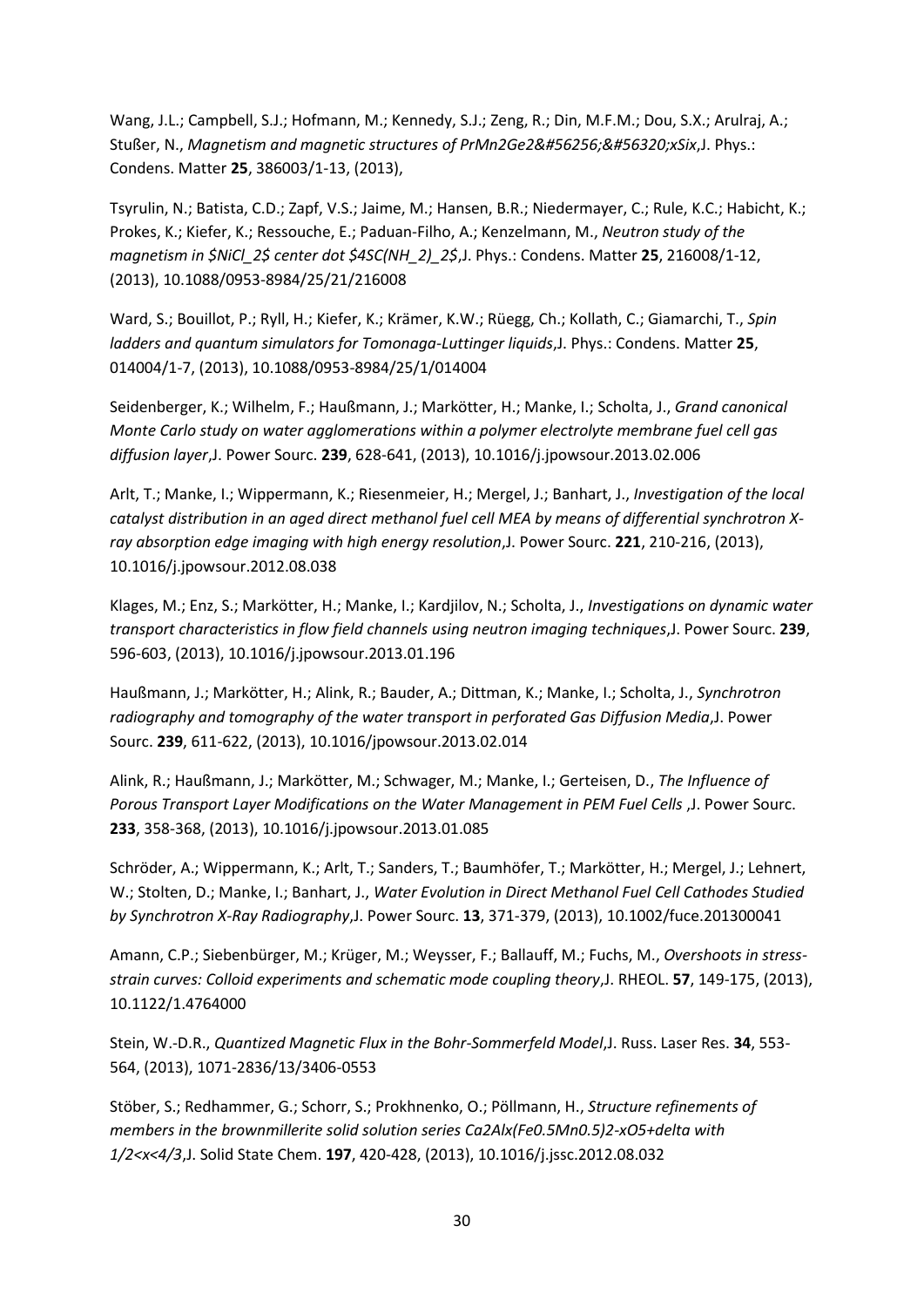Wang, J.L.; Campbell, S.J.; Hofmann, M.; Kennedy, S.J.; Zeng, R.; Din, M.F.M.; Dou, S.X.; Arulraj, A.; Stußer, N., *Magnetism and magnetic structures of PrMn2Ge2��xSix*,J. Phys.: Condens. Matter **25**, 386003/1-13, (2013),

Tsyrulin, N.; Batista, C.D.; Zapf, V.S.; Jaime, M.; Hansen, B.R.; Niedermayer, C.; Rule, K.C.; Habicht, K.; Prokes, K.; Kiefer, K.; Ressouche, E.; Paduan-Filho, A.; Kenzelmann, M., *Neutron study of the magnetism in \$NiCl\_2\$ center dot \$4SC(NH\_2)\_2\$*,J. Phys.: Condens. Matter **25**, 216008/1-12, (2013), 10.1088/0953-8984/25/21/216008

Ward, S.; Bouillot, P.; Ryll, H.; Kiefer, K.; Krämer, K.W.; Rüegg, Ch.; Kollath, C.; Giamarchi, T., *Spin ladders and quantum simulators for Tomonaga-Luttinger liquids*,J. Phys.: Condens. Matter **25**, 014004/1-7, (2013), 10.1088/0953-8984/25/1/014004

Seidenberger, K.; Wilhelm, F.; Haußmann, J.; Markötter, H.; Manke, I.; Scholta, J., *Grand canonical Monte Carlo study on water agglomerations within a polymer electrolyte membrane fuel cell gas diffusion layer*,J. Power Sourc. **239**, 628-641, (2013), 10.1016/j.jpowsour.2013.02.006

Arlt, T.; Manke, I.; Wippermann, K.; Riesenmeier, H.; Mergel, J.; Banhart, J., *Investigation of the local catalyst distribution in an aged direct methanol fuel cell MEA by means of differential synchrotron Xray absorption edge imaging with high energy resolution*,J. Power Sourc. **221**, 210-216, (2013), 10.1016/j.jpowsour.2012.08.038

Klages, M.; Enz, S.; Markötter, H.; Manke, I.; Kardjilov, N.; Scholta, J., *Investigations on dynamic water transport characteristics in flow field channels using neutron imaging techniques*,J. Power Sourc. **239**, 596-603, (2013), 10.1016/j.jpowsour.2013.01.196

Haußmann, J.; Markötter, H.; Alink, R.; Bauder, A.; Dittman, K.; Manke, I.; Scholta, J., *Synchrotron radiography and tomography of the water transport in perforated Gas Diffusion Media*,J. Power Sourc. **239**, 611-622, (2013), 10.1016/jpowsour.2013.02.014

Alink, R.; Haußmann, J.; Markötter, M.; Schwager, M.; Manke, I.; Gerteisen, D., *The Influence of Porous Transport Layer Modifications on the Water Management in PEM Fuel Cells* ,J. Power Sourc. **233**, 358-368, (2013), 10.1016/j.jpowsour.2013.01.085

Schröder, A.; Wippermann, K.; Arlt, T.; Sanders, T.; Baumhöfer, T.; Markötter, H.; Mergel, J.; Lehnert, W.; Stolten, D.; Manke, I.; Banhart, J., *Water Evolution in Direct Methanol Fuel Cell Cathodes Studied by Synchrotron X-Ray Radiography*,J. Power Sourc. **13**, 371-379, (2013), 10.1002/fuce.201300041

Amann, C.P.; Siebenbürger, M.; Krüger, M.; Weysser, F.; Ballauff, M.; Fuchs, M., *Overshoots in stressstrain curves: Colloid experiments and schematic mode coupling theory*,J. RHEOL. **57**, 149-175, (2013), 10.1122/1.4764000

Stein, W.-D.R., *Quantized Magnetic Flux in the Bohr-Sommerfeld Model*,J. Russ. Laser Res. **34**, 553- 564, (2013), 1071-2836/13/3406-0553

Stöber, S.; Redhammer, G.; Schorr, S.; Prokhnenko, O.; Pöllmann, H., *Structure refinements of members in the brownmillerite solid solution series Ca2Alx(Fe0.5Mn0.5)2-xO5+delta with 1/2<x<4/3*,J. Solid State Chem. **197**, 420-428, (2013), 10.1016/j.jssc.2012.08.032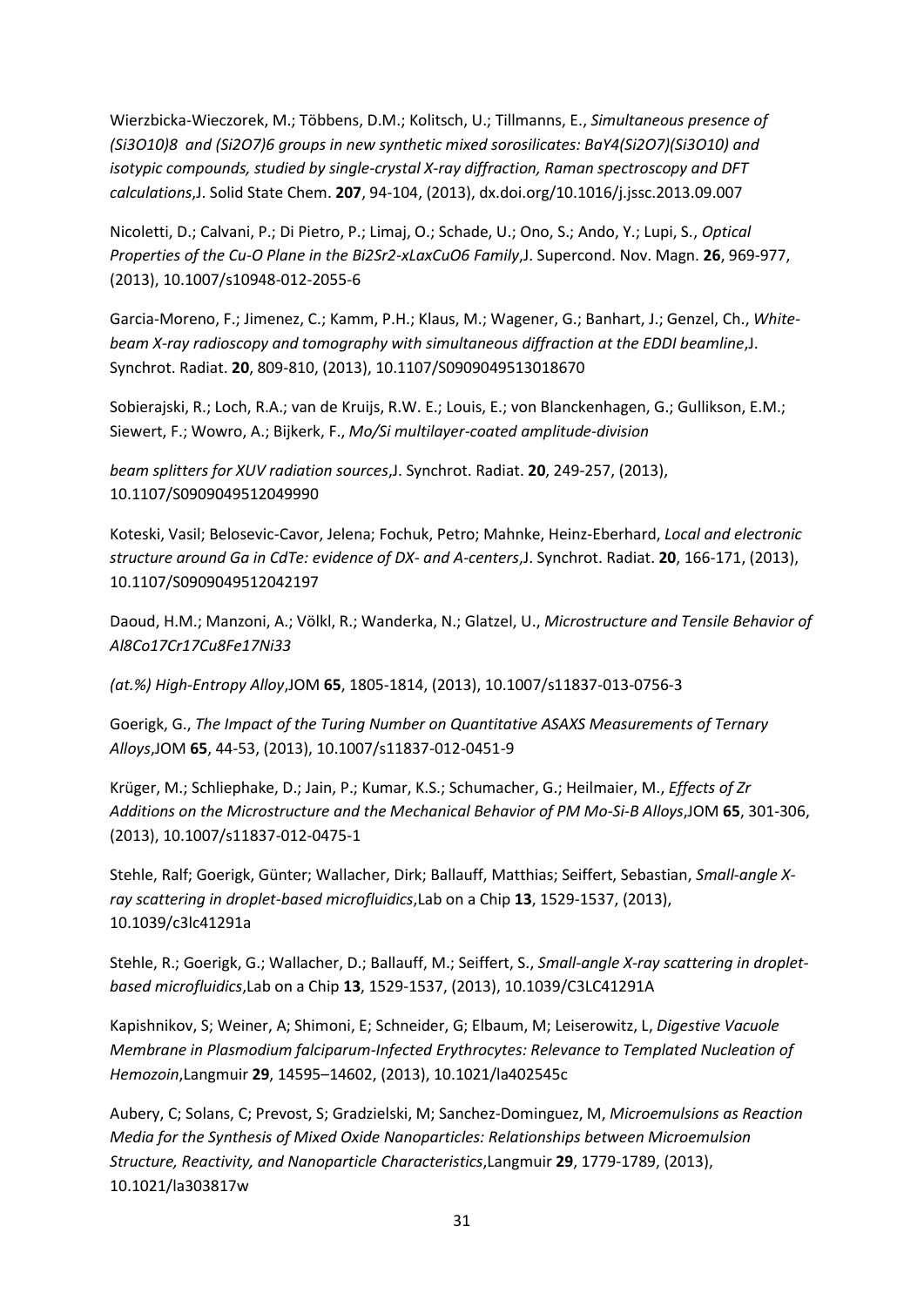Wierzbicka-Wieczorek, M.; Többens, D.M.; Kolitsch, U.; Tillmanns, E., *Simultaneous presence of (Si3O10)8 and (Si2O7)6 groups in new synthetic mixed sorosilicates: BaY4(Si2O7)(Si3O10) and isotypic compounds, studied by single-crystal X-ray diffraction, Raman spectroscopy and DFT calculations*,J. Solid State Chem. **207**, 94-104, (2013), dx.doi.org/10.1016/j.jssc.2013.09.007

Nicoletti, D.; Calvani, P.; Di Pietro, P.; Limaj, O.; Schade, U.; Ono, S.; Ando, Y.; Lupi, S., *Optical Properties of the Cu-O Plane in the Bi2Sr2-xLaxCuO6 Family*,J. Supercond. Nov. Magn. **26**, 969-977, (2013), 10.1007/s10948-012-2055-6

Garcia-Moreno, F.; Jimenez, C.; Kamm, P.H.; Klaus, M.; Wagener, G.; Banhart, J.; Genzel, Ch., *Whitebeam X-ray radioscopy and tomography with simultaneous diffraction at the EDDI beamline*,J. Synchrot. Radiat. **20**, 809-810, (2013), 10.1107/S0909049513018670

Sobierajski, R.; Loch, R.A.; van de Kruijs, R.W. E.; Louis, E.; von Blanckenhagen, G.; Gullikson, E.M.; Siewert, F.; Wowro, A.; Bijkerk, F., *Mo/Si multilayer-coated amplitude-division* 

*beam splitters for XUV radiation sources*,J. Synchrot. Radiat. **20**, 249-257, (2013), 10.1107/S0909049512049990

Koteski, Vasil; Belosevic-Cavor, Jelena; Fochuk, Petro; Mahnke, Heinz-Eberhard, *Local and electronic structure around Ga in CdTe: evidence of DX- and A-centers*,J. Synchrot. Radiat. **20**, 166-171, (2013), 10.1107/S0909049512042197

Daoud, H.M.; Manzoni, A.; Völkl, R.; Wanderka, N.; Glatzel, U., *Microstructure and Tensile Behavior of Al8Co17Cr17Cu8Fe17Ni33* 

*(at.%) High-Entropy Alloy*,JOM **65**, 1805-1814, (2013), 10.1007/s11837-013-0756-3

Goerigk, G., *The Impact of the Turing Number on Quantitative ASAXS Measurements of Ternary Alloys*,JOM **65**, 44-53, (2013), 10.1007/s11837-012-0451-9

Krüger, M.; Schliephake, D.; Jain, P.; Kumar, K.S.; Schumacher, G.; Heilmaier, M., *Effects of Zr Additions on the Microstructure and the Mechanical Behavior of PM Mo-Si-B Alloys*,JOM **65**, 301-306, (2013), 10.1007/s11837-012-0475-1

Stehle, Ralf; Goerigk, Günter; Wallacher, Dirk; Ballauff, Matthias; Seiffert, Sebastian, *Small-angle Xray scattering in droplet-based microfluidics*,Lab on a Chip **13**, 1529-1537, (2013), 10.1039/c3lc41291a

Stehle, R.; Goerigk, G.; Wallacher, D.; Ballauff, M.; Seiffert, S., *Small-angle X-ray scattering in dropletbased microfluidics*,Lab on a Chip **13**, 1529-1537, (2013), 10.1039/C3LC41291A

Kapishnikov, S; Weiner, A; Shimoni, E; Schneider, G; Elbaum, M; Leiserowitz, L, *Digestive Vacuole Membrane in Plasmodium falciparum-Infected Erythrocytes: Relevance to Templated Nucleation of Hemozoin*,Langmuir **29**, 14595–14602, (2013), 10.1021/la402545c

Aubery, C; Solans, C; Prevost, S; Gradzielski, M; Sanchez-Dominguez, M, *Microemulsions as Reaction Media for the Synthesis of Mixed Oxide Nanoparticles: Relationships between Microemulsion Structure, Reactivity, and Nanoparticle Characteristics*,Langmuir **29**, 1779-1789, (2013), 10.1021/la303817w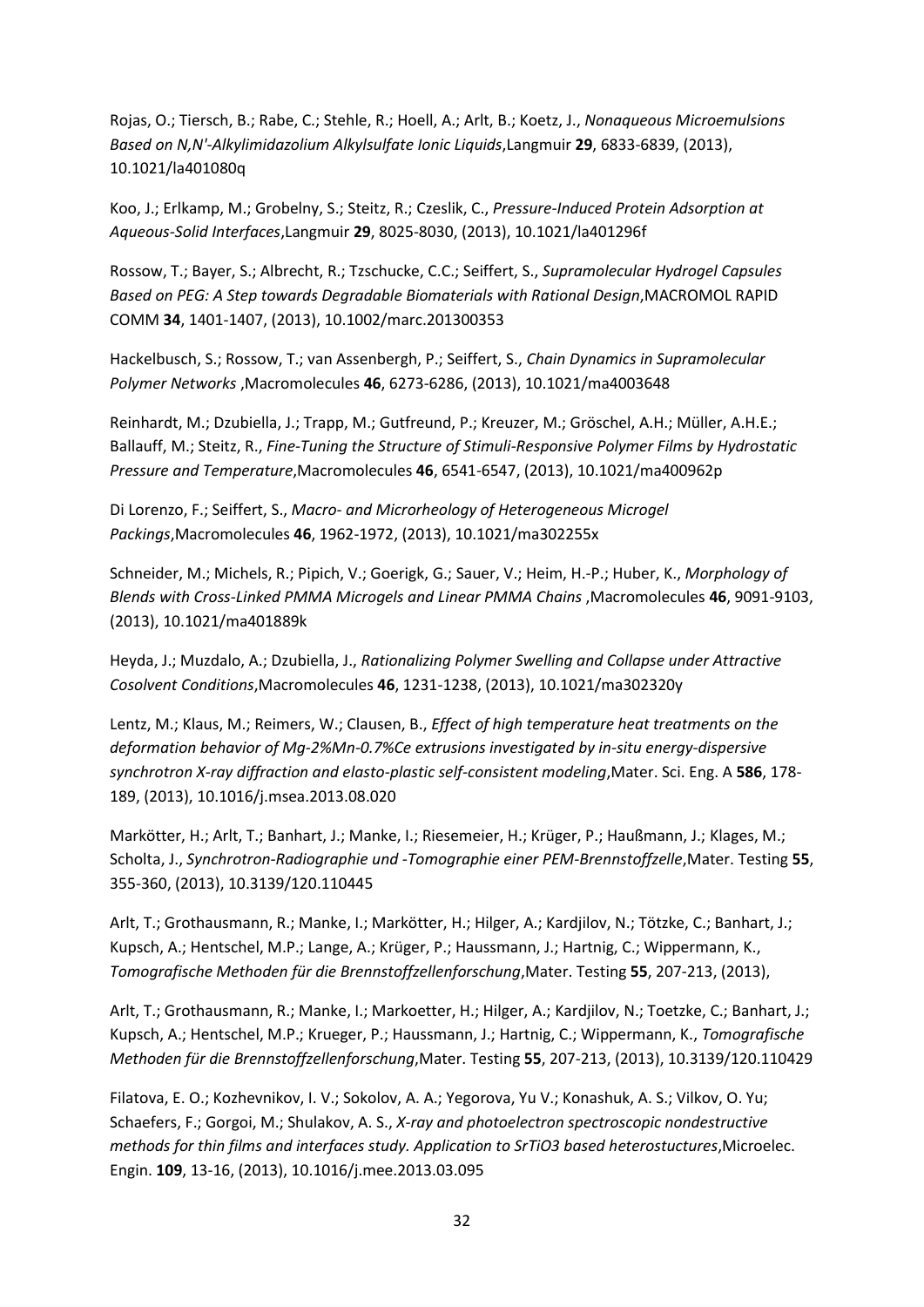Rojas, O.; Tiersch, B.; Rabe, C.; Stehle, R.; Hoell, A.; Arlt, B.; Koetz, J., *Nonaqueous Microemulsions Based on N,N'-Alkylimidazolium Alkylsulfate Ionic Liquids*,Langmuir **29**, 6833-6839, (2013), 10.1021/la401080q

Koo, J.; Erlkamp, M.; Grobelny, S.; Steitz, R.; Czeslik, C., *Pressure-Induced Protein Adsorption at Aqueous-Solid Interfaces*,Langmuir **29**, 8025-8030, (2013), 10.1021/la401296f

Rossow, T.; Bayer, S.; Albrecht, R.; Tzschucke, C.C.; Seiffert, S., *Supramolecular Hydrogel Capsules*  **Based on PEG: A Step towards Degradable Biomaterials with Rational Design, MACROMOL RAPID** COMM **34**, 1401-1407, (2013), 10.1002/marc.201300353

Hackelbusch, S.; Rossow, T.; van Assenbergh, P.; Seiffert, S., *Chain Dynamics in Supramolecular Polymer Networks* ,Macromolecules **46**, 6273-6286, (2013), 10.1021/ma4003648

Reinhardt, M.; Dzubiella, J.; Trapp, M.; Gutfreund, P.; Kreuzer, M.; Gröschel, A.H.; Müller, A.H.E.; Ballauff, M.; Steitz, R., *Fine-Tuning the Structure of Stimuli-Responsive Polymer Films by Hydrostatic Pressure and Temperature*,Macromolecules **46**, 6541-6547, (2013), 10.1021/ma400962p

Di Lorenzo, F.; Seiffert, S., *Macro- and Microrheology of Heterogeneous Microgel Packings*,Macromolecules **46**, 1962-1972, (2013), 10.1021/ma302255x

Schneider, M.; Michels, R.; Pipich, V.; Goerigk, G.; Sauer, V.; Heim, H.-P.; Huber, K., *Morphology of Blends with Cross-Linked PMMA Microgels and Linear PMMA Chains* ,Macromolecules **46**, 9091-9103, (2013), 10.1021/ma401889k

Heyda, J.; Muzdalo, A.; Dzubiella, J., *Rationalizing Polymer Swelling and Collapse under Attractive Cosolvent Conditions*,Macromolecules **46**, 1231-1238, (2013), 10.1021/ma302320y

Lentz, M.; Klaus, M.; Reimers, W.; Clausen, B., *Effect of high temperature heat treatments on the deformation behavior of Mg-2%Mn-0.7%Ce extrusions investigated by in-situ energy-dispersive synchrotron X-ray diffraction and elasto-plastic self-consistent modeling*,Mater. Sci. Eng. A **586**, 178- 189, (2013), 10.1016/j.msea.2013.08.020

Markötter, H.; Arlt, T.; Banhart, J.; Manke, I.; Riesemeier, H.; Krüger, P.; Haußmann, J.; Klages, M.; Scholta, J., *Synchrotron-Radiographie und -Tomographie einer PEM-Brennstoffzelle*,Mater. Testing **55**, 355-360, (2013), 10.3139/120.110445

Arlt, T.; Grothausmann, R.; Manke, I.; Markötter, H.; Hilger, A.; Kardjilov, N.; Tötzke, C.; Banhart, J.; Kupsch, A.; Hentschel, M.P.; Lange, A.; Krüger, P.; Haussmann, J.; Hartnig, C.; Wippermann, K., *Tomografische Methoden für die Brennstoffzellenforschung*,Mater. Testing **55**, 207-213, (2013),

Arlt, T.; Grothausmann, R.; Manke, I.; Markoetter, H.; Hilger, A.; Kardjilov, N.; Toetzke, C.; Banhart, J.; Kupsch, A.; Hentschel, M.P.; Krueger, P.; Haussmann, J.; Hartnig, C.; Wippermann, K., *Tomografische Methoden für die Brennstoffzellenforschung*,Mater. Testing **55**, 207-213, (2013), 10.3139/120.110429

Filatova, E. O.; Kozhevnikov, I. V.; Sokolov, A. A.; Yegorova, Yu V.; Konashuk, A. S.; Vilkov, O. Yu; Schaefers, F.; Gorgoi, M.; Shulakov, A. S., *X-ray and photoelectron spectroscopic nondestructive methods for thin films and interfaces study. Application to SrTiO3 based heterostuctures*,Microelec. Engin. **109**, 13-16, (2013), 10.1016/j.mee.2013.03.095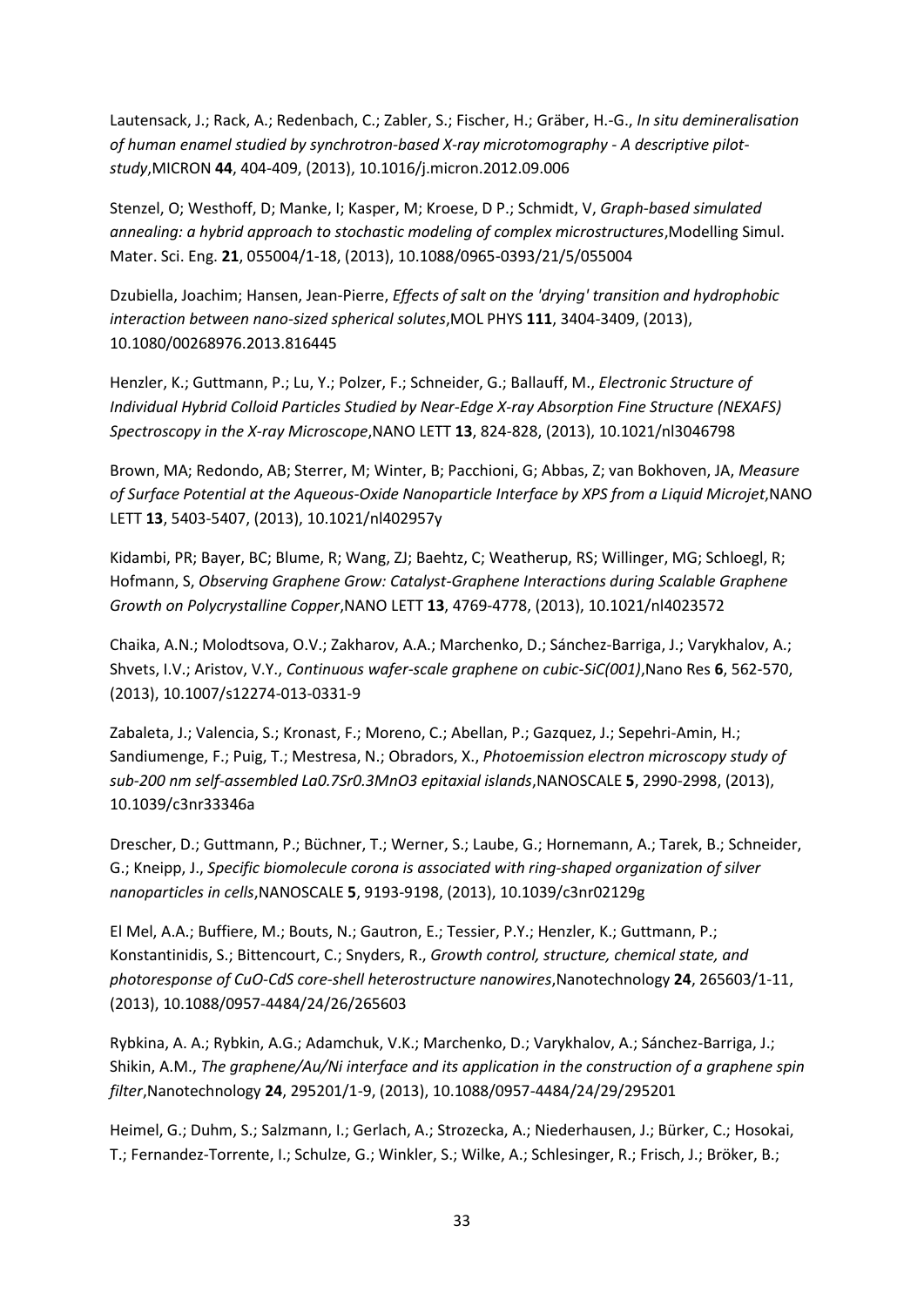Lautensack, J.; Rack, A.; Redenbach, C.; Zabler, S.; Fischer, H.; Gräber, H.-G., *In situ demineralisation of human enamel studied by synchrotron-based X-ray microtomography - A descriptive pilotstudy*,MICRON **44**, 404-409, (2013), 10.1016/j.micron.2012.09.006

Stenzel, O; Westhoff, D; Manke, I; Kasper, M; Kroese, D P.; Schmidt, V, *Graph-based simulated annealing: a hybrid approach to stochastic modeling of complex microstructures*,Modelling Simul. Mater. Sci. Eng. **21**, 055004/1-18, (2013), 10.1088/0965-0393/21/5/055004

Dzubiella, Joachim; Hansen, Jean-Pierre, *Effects of salt on the 'drying' transition and hydrophobic interaction between nano-sized spherical solutes*,MOL PHYS **111**, 3404-3409, (2013), 10.1080/00268976.2013.816445

Henzler, K.; Guttmann, P.; Lu, Y.; Polzer, F.; Schneider, G.; Ballauff, M., *Electronic Structure of Individual Hybrid Colloid Particles Studied by Near-Edge X-ray Absorption Fine Structure (NEXAFS) Spectroscopy in the X-ray Microscope*,NANO LETT **13**, 824-828, (2013), 10.1021/nl3046798

Brown, MA; Redondo, AB; Sterrer, M; Winter, B; Pacchioni, G; Abbas, Z; van Bokhoven, JA, *Measure of Surface Potential at the Aqueous-Oxide Nanoparticle Interface by XPS from a Liquid Microjet*,NANO LETT **13**, 5403-5407, (2013), 10.1021/nl402957y

Kidambi, PR; Bayer, BC; Blume, R; Wang, ZJ; Baehtz, C; Weatherup, RS; Willinger, MG; Schloegl, R; Hofmann, S, *Observing Graphene Grow: Catalyst-Graphene Interactions during Scalable Graphene Growth on Polycrystalline Copper*,NANO LETT **13**, 4769-4778, (2013), 10.1021/nl4023572

Chaika, A.N.; Molodtsova, O.V.; Zakharov, A.A.; Marchenko, D.; Sánchez-Barriga, J.; Varykhalov, A.; Shvets, I.V.; Aristov, V.Y., *Continuous wafer-scale graphene on cubic-SiC(001)*,Nano Res **6**, 562-570, (2013), 10.1007/s12274-013-0331-9

Zabaleta, J.; Valencia, S.; Kronast, F.; Moreno, C.; Abellan, P.; Gazquez, J.; Sepehri-Amin, H.; Sandiumenge, F.; Puig, T.; Mestresa, N.; Obradors, X., *Photoemission electron microscopy study of sub-200 nm self-assembled La0.7Sr0.3MnO3 epitaxial islands*,NANOSCALE **5**, 2990-2998, (2013), 10.1039/c3nr33346a

Drescher, D.; Guttmann, P.; Büchner, T.; Werner, S.; Laube, G.; Hornemann, A.; Tarek, B.; Schneider, G.; Kneipp, J., *Specific biomolecule corona is associated with ring-shaped organization of silver nanoparticles in cells*,NANOSCALE **5**, 9193-9198, (2013), 10.1039/c3nr02129g

El Mel, A.A.; Buffiere, M.; Bouts, N.; Gautron, E.; Tessier, P.Y.; Henzler, K.; Guttmann, P.; Konstantinidis, S.; Bittencourt, C.; Snyders, R., *Growth control, structure, chemical state, and photoresponse of CuO-CdS core-shell heterostructure nanowires*,Nanotechnology **24**, 265603/1-11, (2013), 10.1088/0957-4484/24/26/265603

Rybkina, A. A.; Rybkin, A.G.; Adamchuk, V.K.; Marchenko, D.; Varykhalov, A.; Sánchez-Barriga, J.; Shikin, A.M., *The graphene/Au/Ni interface and its application in the construction of a graphene spin filter*,Nanotechnology **24**, 295201/1-9, (2013), 10.1088/0957-4484/24/29/295201

Heimel, G.; Duhm, S.; Salzmann, I.; Gerlach, A.; Strozecka, A.; Niederhausen, J.; Bürker, C.; Hosokai, T.; Fernandez-Torrente, I.; Schulze, G.; Winkler, S.; Wilke, A.; Schlesinger, R.; Frisch, J.; Bröker, B.;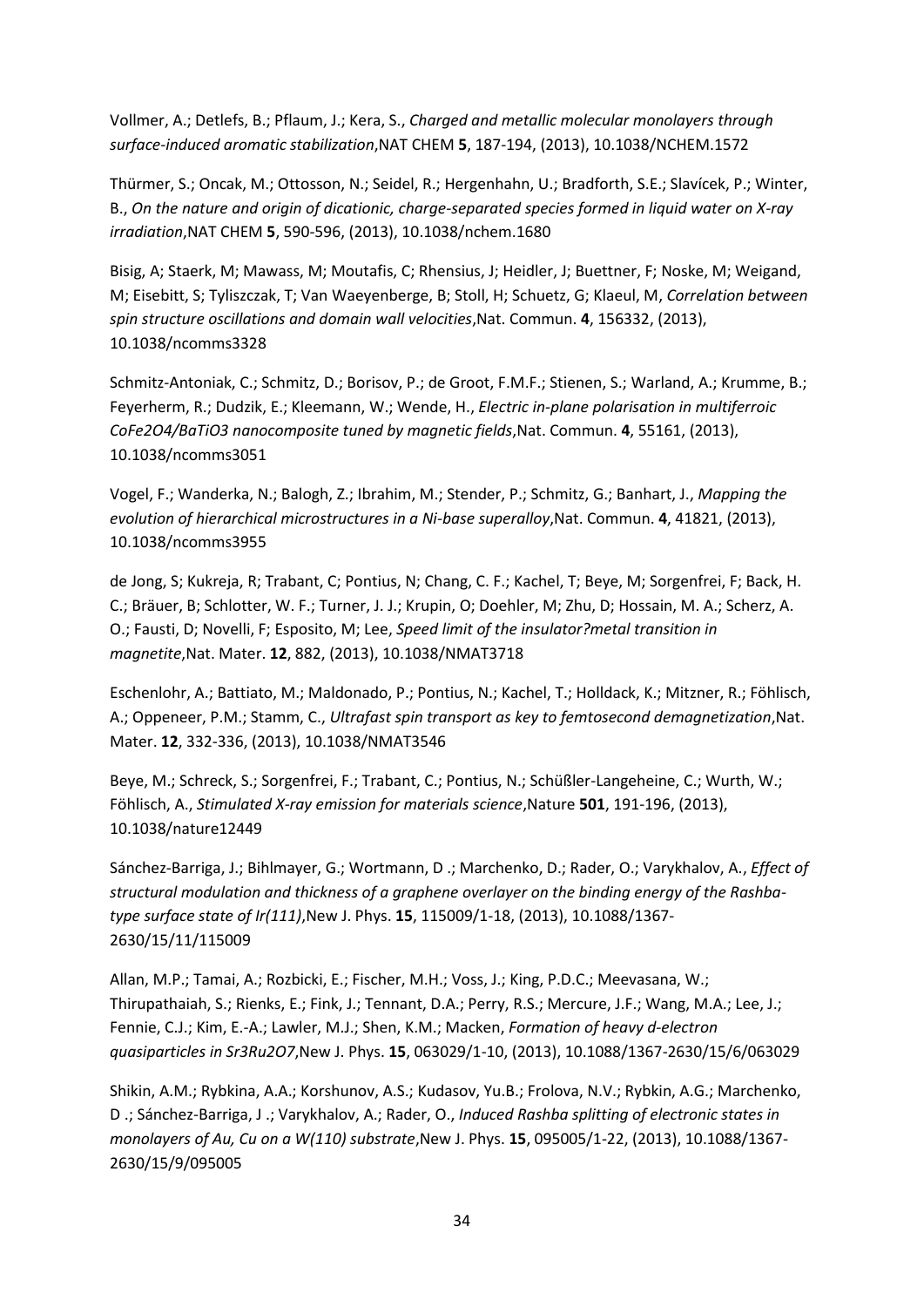Vollmer, A.; Detlefs, B.; Pflaum, J.; Kera, S., *Charged and metallic molecular monolayers through surface-induced aromatic stabilization*,NAT CHEM **5**, 187-194, (2013), 10.1038/NCHEM.1572

Thürmer, S.; Oncak, M.; Ottosson, N.; Seidel, R.; Hergenhahn, U.; Bradforth, S.E.; Slavícek, P.; Winter, B., *On the nature and origin of dicationic, charge-separated species formed in liquid water on X-ray irradiation*,NAT CHEM **5**, 590-596, (2013), 10.1038/nchem.1680

Bisig, A; Staerk, M; Mawass, M; Moutafis, C; Rhensius, J; Heidler, J; Buettner, F; Noske, M; Weigand, M; Eisebitt, S; Tyliszczak, T; Van Waeyenberge, B; Stoll, H; Schuetz, G; Klaeul, M, *Correlation between spin structure oscillations and domain wall velocities*,Nat. Commun. **4**, 156332, (2013), 10.1038/ncomms3328

Schmitz-Antoniak, C.; Schmitz, D.; Borisov, P.; de Groot, F.M.F.; Stienen, S.; Warland, A.; Krumme, B.; Feyerherm, R.; Dudzik, E.; Kleemann, W.; Wende, H., *Electric in-plane polarisation in multiferroic CoFe2O4/BaTiO3 nanocomposite tuned by magnetic fields*,Nat. Commun. **4**, 55161, (2013), 10.1038/ncomms3051

Vogel, F.; Wanderka, N.; Balogh, Z.; Ibrahim, M.; Stender, P.; Schmitz, G.; Banhart, J., *Mapping the evolution of hierarchical microstructures in a Ni-base superalloy*,Nat. Commun. **4**, 41821, (2013), 10.1038/ncomms3955

de Jong, S; Kukreja, R; Trabant, C; Pontius, N; Chang, C. F.; Kachel, T; Beye, M; Sorgenfrei, F; Back, H. C.; Bräuer, B; Schlotter, W. F.; Turner, J. J.; Krupin, O; Doehler, M; Zhu, D; Hossain, M. A.; Scherz, A. O.; Fausti, D; Novelli, F; Esposito, M; Lee, *Speed limit of the insulator?metal transition in magnetite*,Nat. Mater. **12**, 882, (2013), 10.1038/NMAT3718

Eschenlohr, A.; Battiato, M.; Maldonado, P.; Pontius, N.; Kachel, T.; Holldack, K.; Mitzner, R.; Föhlisch, A.; Oppeneer, P.M.; Stamm, C., *Ultrafast spin transport as key to femtosecond demagnetization*,Nat. Mater. **12**, 332-336, (2013), 10.1038/NMAT3546

Beye, M.; Schreck, S.; Sorgenfrei, F.; Trabant, C.; Pontius, N.; Schüßler-Langeheine, C.; Wurth, W.; Föhlisch, A., *Stimulated X-ray emission for materials science*,Nature **501**, 191-196, (2013), 10.1038/nature12449

Sánchez-Barriga, J.; Bihlmayer, G.; Wortmann, D .; Marchenko, D.; Rader, O.; Varykhalov, A., *Effect of structural modulation and thickness of a graphene overlayer on the binding energy of the Rashbatype surface state of Ir(111)*,New J. Phys. **15**, 115009/1-18, (2013), 10.1088/1367- 2630/15/11/115009

Allan, M.P.; Tamai, A.; Rozbicki, E.; Fischer, M.H.; Voss, J.; King, P.D.C.; Meevasana, W.; Thirupathaiah, S.; Rienks, E.; Fink, J.; Tennant, D.A.; Perry, R.S.; Mercure, J.F.; Wang, M.A.; Lee, J.; Fennie, C.J.; Kim, E.-A.; Lawler, M.J.; Shen, K.M.; Macken, *Formation of heavy d-electron quasiparticles in Sr3Ru2O7*,New J. Phys. **15**, 063029/1-10, (2013), 10.1088/1367-2630/15/6/063029

Shikin, A.M.; Rybkina, A.A.; Korshunov, A.S.; Kudasov, Yu.B.; Frolova, N.V.; Rybkin, A.G.; Marchenko, D .; Sánchez-Barriga, J .; Varykhalov, A.; Rader, O., *Induced Rashba splitting of electronic states in monolayers of Au, Cu on a W(110) substrate*,New J. Phys. **15**, 095005/1-22, (2013), 10.1088/1367- 2630/15/9/095005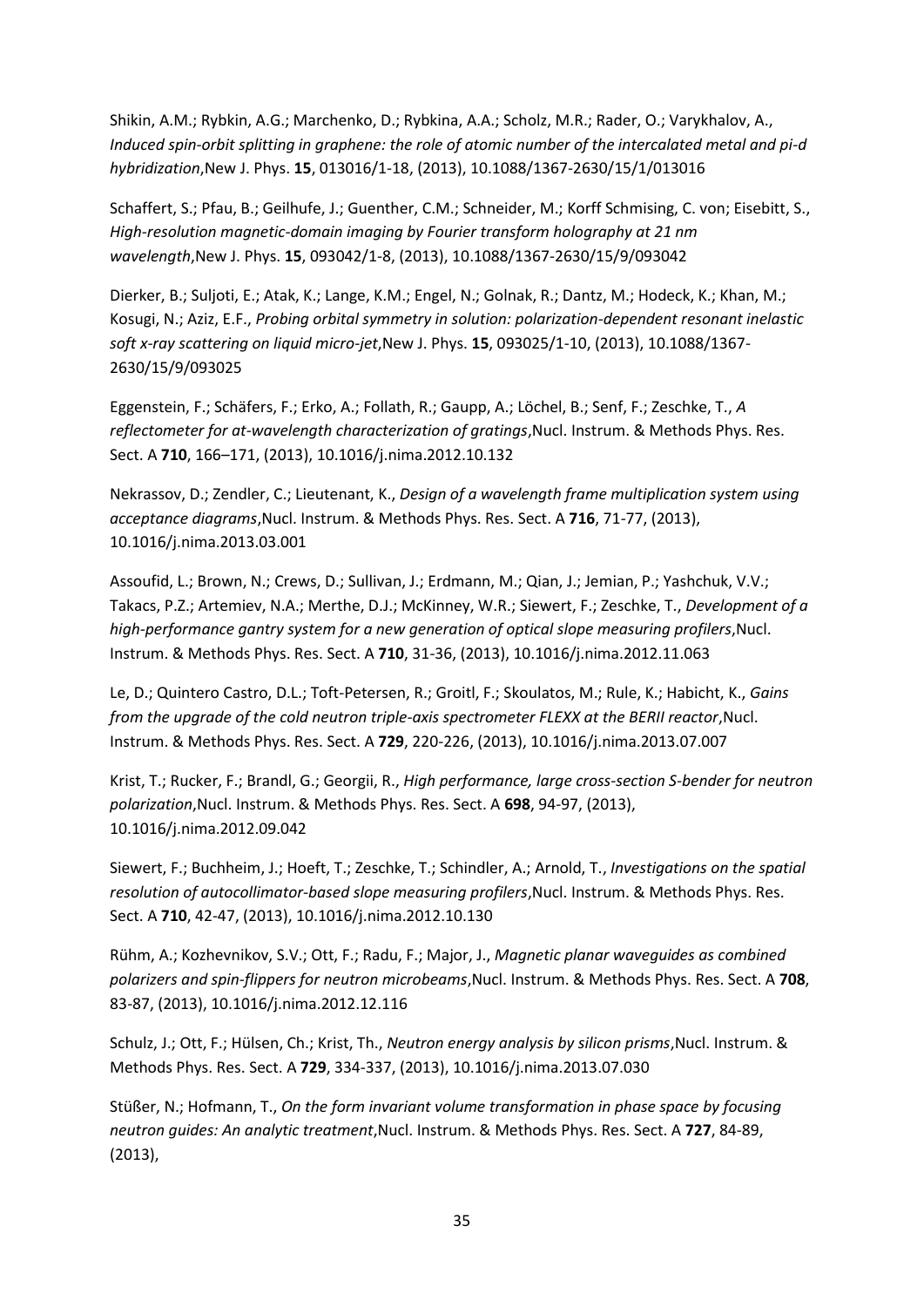Shikin, A.M.; Rybkin, A.G.; Marchenko, D.; Rybkina, A.A.; Scholz, M.R.; Rader, O.; Varykhalov, A., *Induced spin-orbit splitting in graphene: the role of atomic number of the intercalated metal and pi-d hybridization*,New J. Phys. **15**, 013016/1-18, (2013), 10.1088/1367-2630/15/1/013016

Schaffert, S.; Pfau, B.; Geilhufe, J.; Guenther, C.M.; Schneider, M.; Korff Schmising, C. von; Eisebitt, S., *High-resolution magnetic-domain imaging by Fourier transform holography at 21 nm wavelength*,New J. Phys. **15**, 093042/1-8, (2013), 10.1088/1367-2630/15/9/093042

Dierker, B.; Suljoti, E.; Atak, K.; Lange, K.M.; Engel, N.; Golnak, R.; Dantz, M.; Hodeck, K.; Khan, M.; Kosugi, N.; Aziz, E.F., *Probing orbital symmetry in solution: polarization-dependent resonant inelastic soft x-ray scattering on liquid micro-jet*,New J. Phys. **15**, 093025/1-10, (2013), 10.1088/1367- 2630/15/9/093025

Eggenstein, F.; Schäfers, F.; Erko, A.; Follath, R.; Gaupp, A.; Löchel, B.; Senf, F.; Zeschke, T., *A reflectometer for at-wavelength characterization of gratings*,Nucl. Instrum. & Methods Phys. Res. Sect. A **710**, 166–171, (2013), 10.1016/j.nima.2012.10.132

Nekrassov, D.; Zendler, C.; Lieutenant, K., *Design of a wavelength frame multiplication system using acceptance diagrams*,Nucl. Instrum. & Methods Phys. Res. Sect. A **716**, 71-77, (2013), 10.1016/j.nima.2013.03.001

Assoufid, L.; Brown, N.; Crews, D.; Sullivan, J.; Erdmann, M.; Qian, J.; Jemian, P.; Yashchuk, V.V.; Takacs, P.Z.; Artemiev, N.A.; Merthe, D.J.; McKinney, W.R.; Siewert, F.; Zeschke, T., *Development of a high-performance gantry system for a new generation of optical slope measuring profilers*,Nucl. Instrum. & Methods Phys. Res. Sect. A **710**, 31-36, (2013), 10.1016/j.nima.2012.11.063

Le, D.; Quintero Castro, D.L.; Toft-Petersen, R.; Groitl, F.; Skoulatos, M.; Rule, K.; Habicht, K., *Gains from the upgrade of the cold neutron triple-axis spectrometer FLEXX at the BERII reactor*, Nucl. Instrum. & Methods Phys. Res. Sect. A **729**, 220-226, (2013), 10.1016/j.nima.2013.07.007

Krist, T.; Rucker, F.; Brandl, G.; Georgii, R., *High performance, large cross-section S-bender for neutron polarization*,Nucl. Instrum. & Methods Phys. Res. Sect. A **698**, 94-97, (2013), 10.1016/j.nima.2012.09.042

Siewert, F.; Buchheim, J.; Hoeft, T.; Zeschke, T.; Schindler, A.; Arnold, T., *Investigations on the spatial resolution of autocollimator-based slope measuring profilers*,Nucl. Instrum. & Methods Phys. Res. Sect. A **710**, 42-47, (2013), 10.1016/j.nima.2012.10.130

Rühm, A.; Kozhevnikov, S.V.; Ott, F.; Radu, F.; Major, J., *Magnetic planar waveguides as combined polarizers and spin-flippers for neutron microbeams*,Nucl. Instrum. & Methods Phys. Res. Sect. A **708**, 83-87, (2013), 10.1016/j.nima.2012.12.116

Schulz, J.; Ott, F.; Hülsen, Ch.; Krist, Th., *Neutron energy analysis by silicon prisms*,Nucl. Instrum. & Methods Phys. Res. Sect. A **729**, 334-337, (2013), 10.1016/j.nima.2013.07.030

Stüßer, N.; Hofmann, T., *On the form invariant volume transformation in phase space by focusing neutron guides: An analytic treatment*,Nucl. Instrum. & Methods Phys. Res. Sect. A **727**, 84-89, (2013),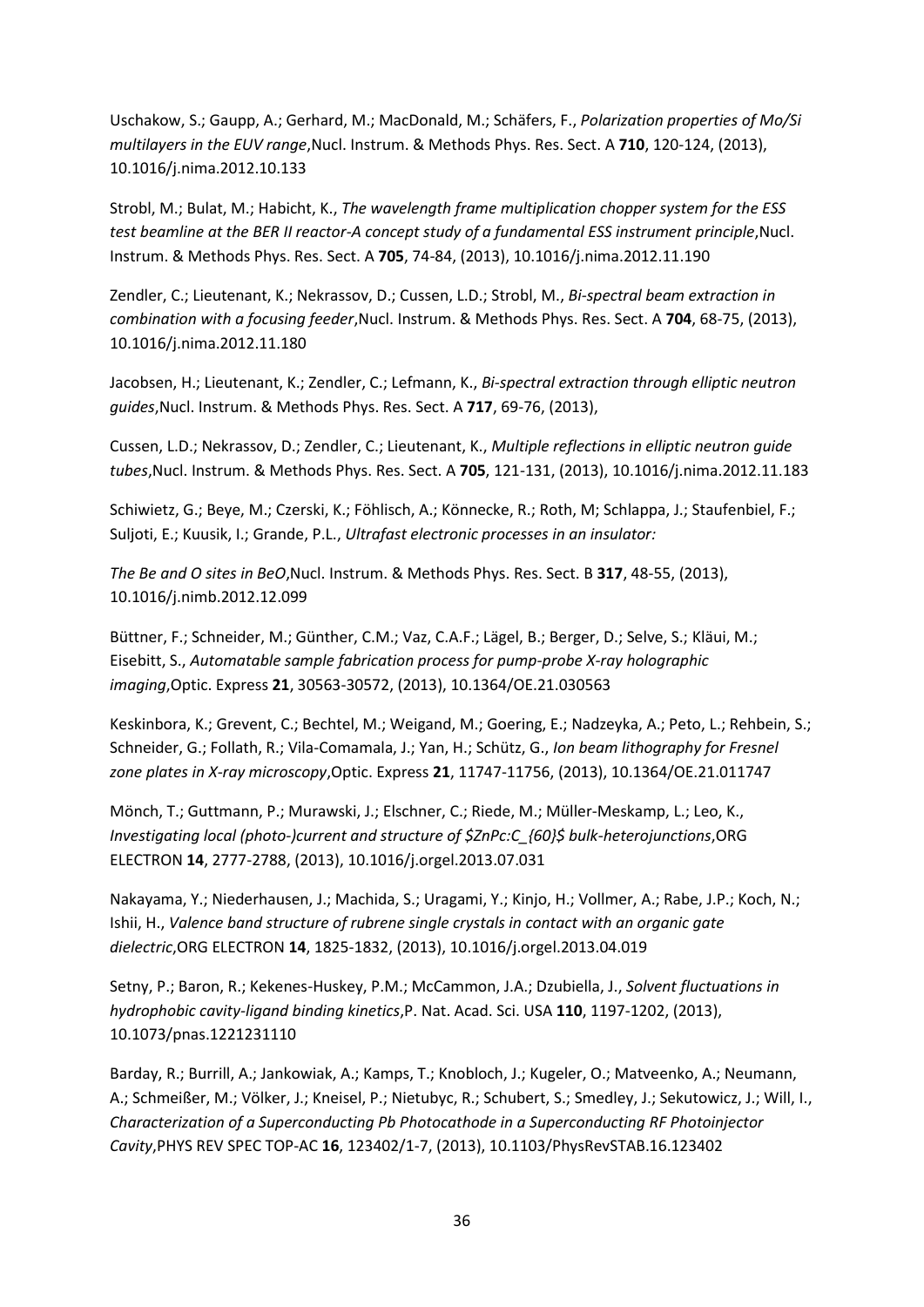Uschakow, S.; Gaupp, A.; Gerhard, M.; MacDonald, M.; Schäfers, F., *Polarization properties of Mo/Si multilayers in the EUV range*,Nucl. Instrum. & Methods Phys. Res. Sect. A **710**, 120-124, (2013), 10.1016/j.nima.2012.10.133

Strobl, M.; Bulat, M.; Habicht, K., *The wavelength frame multiplication chopper system for the ESS test beamline at the BER II reactor-A concept study of a fundamental ESS instrument principle*, Nucl. Instrum. & Methods Phys. Res. Sect. A **705**, 74-84, (2013), 10.1016/j.nima.2012.11.190

Zendler, C.; Lieutenant, K.; Nekrassov, D.; Cussen, L.D.; Strobl, M., *Bi-spectral beam extraction in combination with a focusing feeder*,Nucl. Instrum. & Methods Phys. Res. Sect. A **704**, 68-75, (2013), 10.1016/j.nima.2012.11.180

Jacobsen, H.; Lieutenant, K.; Zendler, C.; Lefmann, K., *Bi-spectral extraction through elliptic neutron guides*,Nucl. Instrum. & Methods Phys. Res. Sect. A **717**, 69-76, (2013),

Cussen, L.D.; Nekrassov, D.; Zendler, C.; Lieutenant, K., *Multiple reflections in elliptic neutron guide tubes*,Nucl. Instrum. & Methods Phys. Res. Sect. A **705**, 121-131, (2013), 10.1016/j.nima.2012.11.183

Schiwietz, G.; Beye, M.; Czerski, K.; Föhlisch, A.; Könnecke, R.; Roth, M; Schlappa, J.; Staufenbiel, F.; Suljoti, E.; Kuusik, I.; Grande, P.L., *Ultrafast electronic processes in an insulator:* 

*The Be and O sites in BeO*,Nucl. Instrum. & Methods Phys. Res. Sect. B **317**, 48-55, (2013), 10.1016/j.nimb.2012.12.099

Büttner, F.; Schneider, M.; Günther, C.M.; Vaz, C.A.F.; Lägel, B.; Berger, D.; Selve, S.; Kläui, M.; Eisebitt, S., *Automatable sample fabrication process for pump-probe X-ray holographic imaging*,Optic. Express **21**, 30563-30572, (2013), 10.1364/OE.21.030563

Keskinbora, K.; Grevent, C.; Bechtel, M.; Weigand, M.; Goering, E.; Nadzeyka, A.; Peto, L.; Rehbein, S.; Schneider, G.; Follath, R.; Vila-Comamala, J.; Yan, H.; Schütz, G., *Ion beam lithography for Fresnel zone plates in X-ray microscopy*,Optic. Express **21**, 11747-11756, (2013), 10.1364/OE.21.011747

Mönch, T.; Guttmann, P.; Murawski, J.; Elschner, C.; Riede, M.; Müller-Meskamp, L.; Leo, K., *Investigating local (photo-)current and structure of \$ZnPc:C\_{60}\$ bulk-heterojunctions*,ORG ELECTRON **14**, 2777-2788, (2013), 10.1016/j.orgel.2013.07.031

Nakayama, Y.; Niederhausen, J.; Machida, S.; Uragami, Y.; Kinjo, H.; Vollmer, A.; Rabe, J.P.; Koch, N.; Ishii, H., *Valence band structure of rubrene single crystals in contact with an organic gate dielectric*,ORG ELECTRON **14**, 1825-1832, (2013), 10.1016/j.orgel.2013.04.019

Setny, P.; Baron, R.; Kekenes-Huskey, P.M.; McCammon, J.A.; Dzubiella, J., *Solvent fluctuations in hydrophobic cavity-ligand binding kinetics*,P. Nat. Acad. Sci. USA **110**, 1197-1202, (2013), 10.1073/pnas.1221231110

Barday, R.; Burrill, A.; Jankowiak, A.; Kamps, T.; Knobloch, J.; Kugeler, O.; Matveenko, A.; Neumann, A.; Schmeißer, M.; Völker, J.; Kneisel, P.; Nietubyc, R.; Schubert, S.; Smedley, J.; Sekutowicz, J.; Will, I., *Characterization of a Superconducting Pb Photocathode in a Superconducting RF Photoinjector Cavity*,PHYS REV SPEC TOP-AC **16**, 123402/1-7, (2013), 10.1103/PhysRevSTAB.16.123402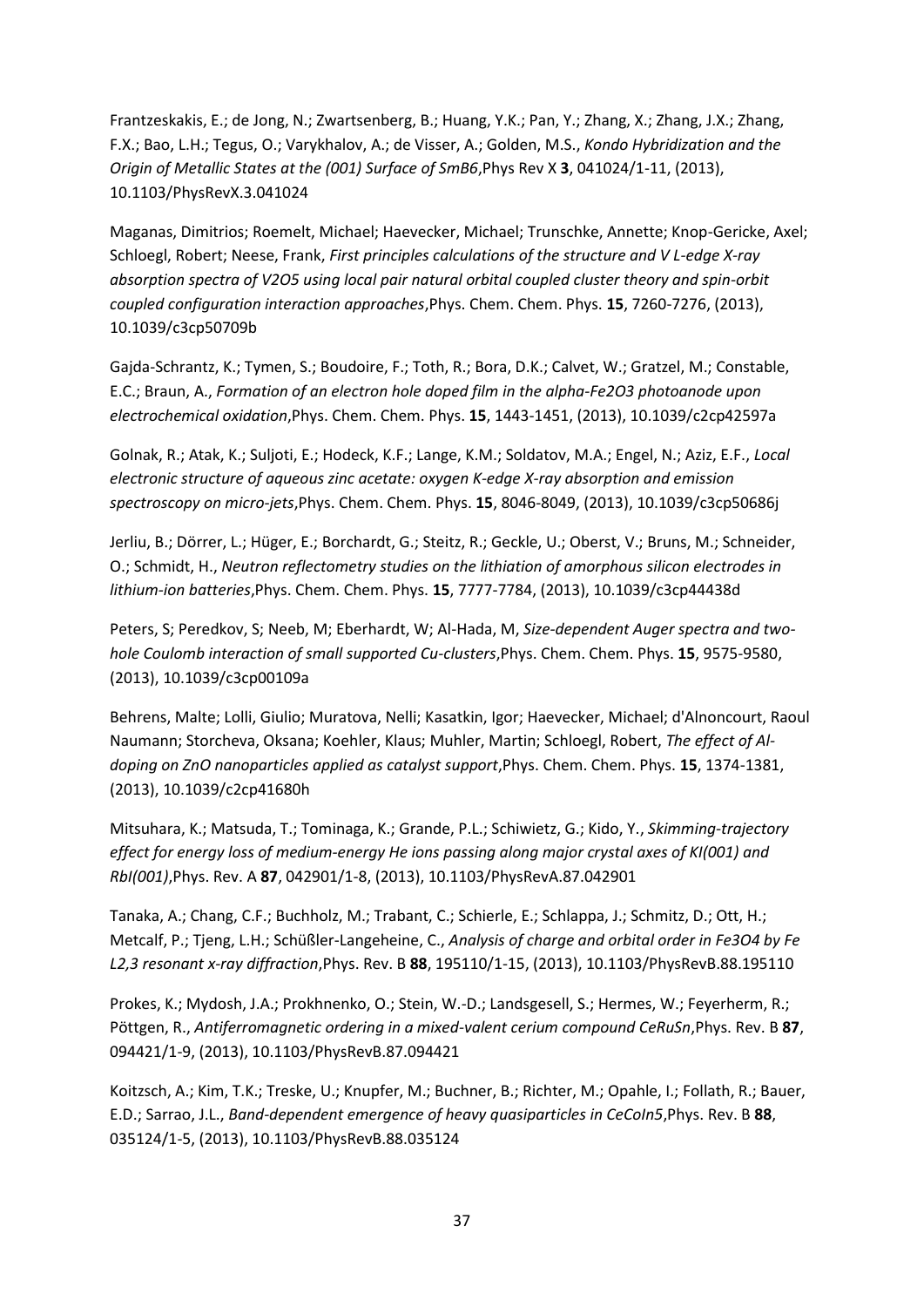Frantzeskakis, E.; de Jong, N.; Zwartsenberg, B.; Huang, Y.K.; Pan, Y.; Zhang, X.; Zhang, J.X.; Zhang, F.X.; Bao, L.H.; Tegus, O.; Varykhalov, A.; de Visser, A.; Golden, M.S., *Kondo Hybridization and the Origin of Metallic States at the (001) Surface of SmB6*,Phys Rev X **3**, 041024/1-11, (2013), 10.1103/PhysRevX.3.041024

Maganas, Dimitrios; Roemelt, Michael; Haevecker, Michael; Trunschke, Annette; Knop-Gericke, Axel; Schloegl, Robert; Neese, Frank, *First principles calculations of the structure and V L-edge X-ray absorption spectra of V2O5 using local pair natural orbital coupled cluster theory and spin-orbit coupled configuration interaction approaches*,Phys. Chem. Chem. Phys. **15**, 7260-7276, (2013), 10.1039/c3cp50709b

Gajda-Schrantz, K.; Tymen, S.; Boudoire, F.; Toth, R.; Bora, D.K.; Calvet, W.; Gratzel, M.; Constable, E.C.; Braun, A., *Formation of an electron hole doped film in the alpha-Fe2O3 photoanode upon electrochemical oxidation*,Phys. Chem. Chem. Phys. **15**, 1443-1451, (2013), 10.1039/c2cp42597a

Golnak, R.; Atak, K.; Suljoti, E.; Hodeck, K.F.; Lange, K.M.; Soldatov, M.A.; Engel, N.; Aziz, E.F., *Local electronic structure of aqueous zinc acetate: oxygen K-edge X-ray absorption and emission spectroscopy on micro-jets*,Phys. Chem. Chem. Phys. **15**, 8046-8049, (2013), 10.1039/c3cp50686j

Jerliu, B.; Dörrer, L.; Hüger, E.; Borchardt, G.; Steitz, R.; Geckle, U.; Oberst, V.; Bruns, M.; Schneider, O.; Schmidt, H., *Neutron reflectometry studies on the lithiation of amorphous silicon electrodes in lithium-ion batteries*,Phys. Chem. Chem. Phys. **15**, 7777-7784, (2013), 10.1039/c3cp44438d

Peters, S; Peredkov, S; Neeb, M; Eberhardt, W; Al-Hada, M, *Size-dependent Auger spectra and twohole Coulomb interaction of small supported Cu-clusters*,Phys. Chem. Chem. Phys. **15**, 9575-9580, (2013), 10.1039/c3cp00109a

Behrens, Malte; Lolli, Giulio; Muratova, Nelli; Kasatkin, Igor; Haevecker, Michael; d'Alnoncourt, Raoul Naumann; Storcheva, Oksana; Koehler, Klaus; Muhler, Martin; Schloegl, Robert, *The effect of Aldoping on ZnO nanoparticles applied as catalyst support*,Phys. Chem. Chem. Phys. **15**, 1374-1381, (2013), 10.1039/c2cp41680h

Mitsuhara, K.; Matsuda, T.; Tominaga, K.; Grande, P.L.; Schiwietz, G.; Kido, Y., *Skimming-trajectory effect for energy loss of medium-energy He ions passing along major crystal axes of KI(001) and RbI(001)*,Phys. Rev. A **87**, 042901/1-8, (2013), 10.1103/PhysRevA.87.042901

Tanaka, A.; Chang, C.F.; Buchholz, M.; Trabant, C.; Schierle, E.; Schlappa, J.; Schmitz, D.; Ott, H.; Metcalf, P.; Tjeng, L.H.; Schüßler-Langeheine, C., *Analysis of charge and orbital order in Fe3O4 by Fe L2,3 resonant x-ray diffraction*,Phys. Rev. B **88**, 195110/1-15, (2013), 10.1103/PhysRevB.88.195110

Prokes, K.; Mydosh, J.A.; Prokhnenko, O.; Stein, W.-D.; Landsgesell, S.; Hermes, W.; Feyerherm, R.; Pöttgen, R., *Antiferromagnetic ordering in a mixed-valent cerium compound CeRuSn*,Phys. Rev. B **87**, 094421/1-9, (2013), 10.1103/PhysRevB.87.094421

Koitzsch, A.; Kim, T.K.; Treske, U.; Knupfer, M.; Buchner, B.; Richter, M.; Opahle, I.; Follath, R.; Bauer, E.D.; Sarrao, J.L., *Band-dependent emergence of heavy quasiparticles in CeCoIn5*,Phys. Rev. B **88**, 035124/1-5, (2013), 10.1103/PhysRevB.88.035124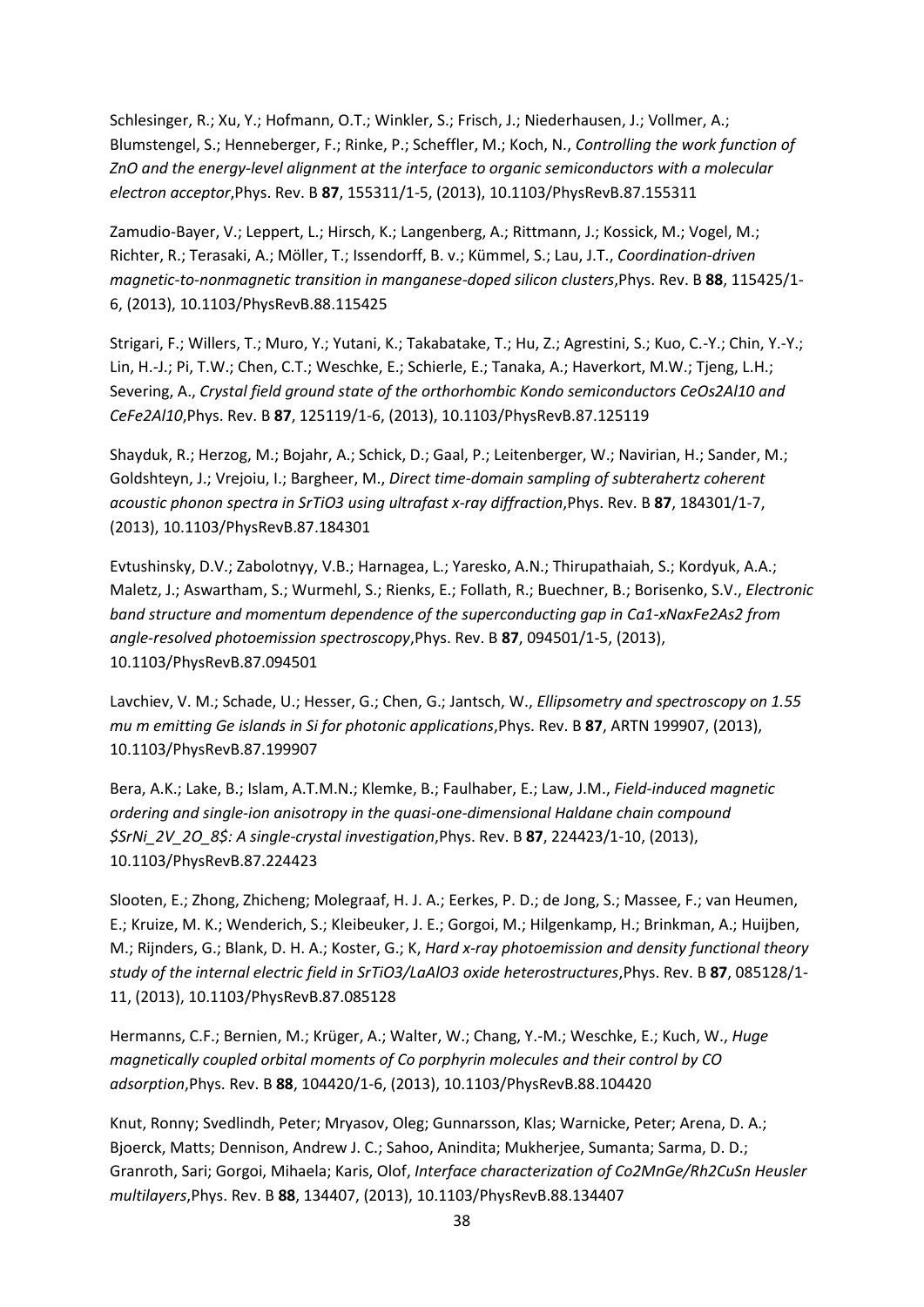Schlesinger, R.; Xu, Y.; Hofmann, O.T.; Winkler, S.; Frisch, J.; Niederhausen, J.; Vollmer, A.; Blumstengel, S.; Henneberger, F.; Rinke, P.; Scheffler, M.; Koch, N., *Controlling the work function of ZnO and the energy-level alignment at the interface to organic semiconductors with a molecular electron acceptor*,Phys. Rev. B **87**, 155311/1-5, (2013), 10.1103/PhysRevB.87.155311

Zamudio-Bayer, V.; Leppert, L.; Hirsch, K.; Langenberg, A.; Rittmann, J.; Kossick, M.; Vogel, M.; Richter, R.; Terasaki, A.; Möller, T.; Issendorff, B. v.; Kümmel, S.; Lau, J.T., *Coordination-driven magnetic-to-nonmagnetic transition in manganese-doped silicon clusters*,Phys. Rev. B **88**, 115425/1- 6, (2013), 10.1103/PhysRevB.88.115425

Strigari, F.; Willers, T.; Muro, Y.; Yutani, K.; Takabatake, T.; Hu, Z.; Agrestini, S.; Kuo, C.-Y.; Chin, Y.-Y.; Lin, H.-J.; Pi, T.W.; Chen, C.T.; Weschke, E.; Schierle, E.; Tanaka, A.; Haverkort, M.W.; Tjeng, L.H.; Severing, A., *Crystal field ground state of the orthorhombic Kondo semiconductors CeOs2Al10 and CeFe2Al10*,Phys. Rev. B **87**, 125119/1-6, (2013), 10.1103/PhysRevB.87.125119

Shayduk, R.; Herzog, M.; Bojahr, A.; Schick, D.; Gaal, P.; Leitenberger, W.; Navirian, H.; Sander, M.; Goldshteyn, J.; Vrejoiu, I.; Bargheer, M., *Direct time-domain sampling of subterahertz coherent acoustic phonon spectra in SrTiO3 using ultrafast x-ray diffraction*,Phys. Rev. B **87**, 184301/1-7, (2013), 10.1103/PhysRevB.87.184301

Evtushinsky, D.V.; Zabolotnyy, V.B.; Harnagea, L.; Yaresko, A.N.; Thirupathaiah, S.; Kordyuk, A.A.; Maletz, J.; Aswartham, S.; Wurmehl, S.; Rienks, E.; Follath, R.; Buechner, B.; Borisenko, S.V., *Electronic band structure and momentum dependence of the superconducting gap in Ca1-xNaxFe2As2 from angle-resolved photoemission spectroscopy*,Phys. Rev. B **87**, 094501/1-5, (2013), 10.1103/PhysRevB.87.094501

Lavchiev, V. M.; Schade, U.; Hesser, G.; Chen, G.; Jantsch, W., *Ellipsometry and spectroscopy on 1.55 mu m emitting Ge islands in Si for photonic applications*,Phys. Rev. B **87**, ARTN 199907, (2013), 10.1103/PhysRevB.87.199907

Bera, A.K.; Lake, B.; Islam, A.T.M.N.; Klemke, B.; Faulhaber, E.; Law, J.M., *Field-induced magnetic ordering and single-ion anisotropy in the quasi-one-dimensional Haldane chain compound \$SrNi\_2V\_2O\_8\$: A single-crystal investigation*,Phys. Rev. B **87**, 224423/1-10, (2013), 10.1103/PhysRevB.87.224423

Slooten, E.; Zhong, Zhicheng; Molegraaf, H. J. A.; Eerkes, P. D.; de Jong, S.; Massee, F.; van Heumen, E.; Kruize, M. K.; Wenderich, S.; Kleibeuker, J. E.; Gorgoi, M.; Hilgenkamp, H.; Brinkman, A.; Huijben, M.; Rijnders, G.; Blank, D. H. A.; Koster, G.; K, *Hard x-ray photoemission and density functional theory study of the internal electric field in SrTiO3/LaAlO3 oxide heterostructures*,Phys. Rev. B **87**, 085128/1- 11, (2013), 10.1103/PhysRevB.87.085128

Hermanns, C.F.; Bernien, M.; Krüger, A.; Walter, W.; Chang, Y.-M.; Weschke, E.; Kuch, W., *Huge magnetically coupled orbital moments of Co porphyrin molecules and their control by CO adsorption*,Phys. Rev. B **88**, 104420/1-6, (2013), 10.1103/PhysRevB.88.104420

Knut, Ronny; Svedlindh, Peter; Mryasov, Oleg; Gunnarsson, Klas; Warnicke, Peter; Arena, D. A.; Bjoerck, Matts; Dennison, Andrew J. C.; Sahoo, Anindita; Mukherjee, Sumanta; Sarma, D. D.; Granroth, Sari; Gorgoi, Mihaela; Karis, Olof, *Interface characterization of Co2MnGe/Rh2CuSn Heusler multilayers*,Phys. Rev. B **88**, 134407, (2013), 10.1103/PhysRevB.88.134407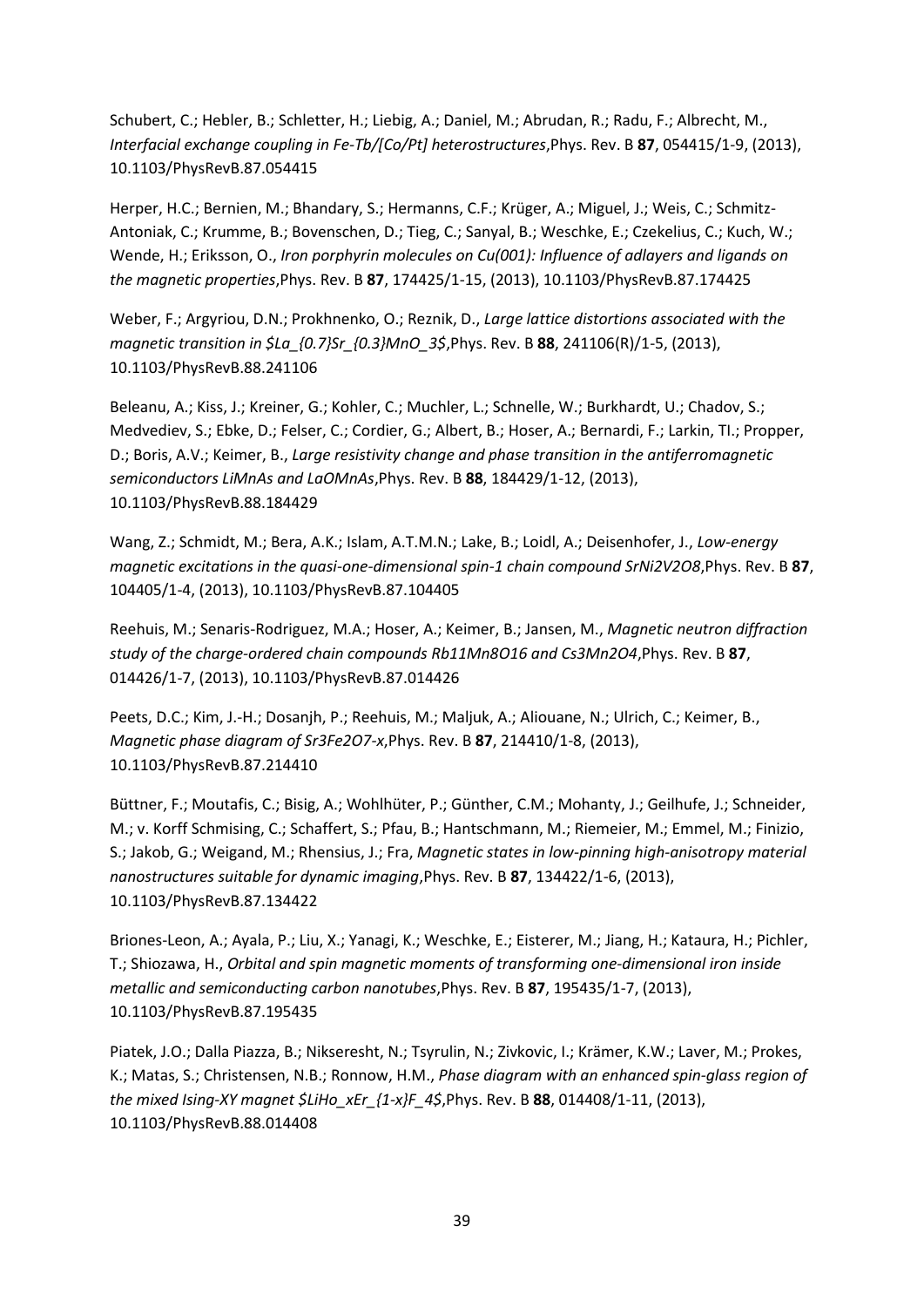Schubert, C.; Hebler, B.; Schletter, H.; Liebig, A.; Daniel, M.; Abrudan, R.; Radu, F.; Albrecht, M., *Interfacial exchange coupling in Fe-Tb/[Co/Pt] heterostructures*,Phys. Rev. B **87**, 054415/1-9, (2013), 10.1103/PhysRevB.87.054415

Herper, H.C.; Bernien, M.; Bhandary, S.; Hermanns, C.F.; Krüger, A.; Miguel, J.; Weis, C.; Schmitz-Antoniak, C.; Krumme, B.; Bovenschen, D.; Tieg, C.; Sanyal, B.; Weschke, E.; Czekelius, C.; Kuch, W.; Wende, H.; Eriksson, O., *Iron porphyrin molecules on Cu(001): Influence of adlayers and ligands on the magnetic properties*,Phys. Rev. B **87**, 174425/1-15, (2013), 10.1103/PhysRevB.87.174425

Weber, F.; Argyriou, D.N.; Prokhnenko, O.; Reznik, D., *Large lattice distortions associated with the magnetic transition in \$La\_{0.7}Sr\_{0.3}MnO\_3\$*,Phys. Rev. B **88**, 241106(R)/1-5, (2013), 10.1103/PhysRevB.88.241106

Beleanu, A.; Kiss, J.; Kreiner, G.; Kohler, C.; Muchler, L.; Schnelle, W.; Burkhardt, U.; Chadov, S.; Medvediev, S.; Ebke, D.; Felser, C.; Cordier, G.; Albert, B.; Hoser, A.; Bernardi, F.; Larkin, TI.; Propper, D.; Boris, A.V.; Keimer, B., *Large resistivity change and phase transition in the antiferromagnetic semiconductors LiMnAs and LaOMnAs*,Phys. Rev. B **88**, 184429/1-12, (2013), 10.1103/PhysRevB.88.184429

Wang, Z.; Schmidt, M.; Bera, A.K.; Islam, A.T.M.N.; Lake, B.; Loidl, A.; Deisenhofer, J., *Low-energy magnetic excitations in the quasi-one-dimensional spin-1 chain compound SrNi2V2O8*,Phys. Rev. B **87**, 104405/1-4, (2013), 10.1103/PhysRevB.87.104405

Reehuis, M.; Senaris-Rodriguez, M.A.; Hoser, A.; Keimer, B.; Jansen, M., *Magnetic neutron diffraction study of the charge-ordered chain compounds Rb11Mn8O16 and Cs3Mn2O4*,Phys. Rev. B **87**, 014426/1-7, (2013), 10.1103/PhysRevB.87.014426

Peets, D.C.; Kim, J.-H.; Dosanjh, P.; Reehuis, M.; Maljuk, A.; Aliouane, N.; Ulrich, C.; Keimer, B., *Magnetic phase diagram of Sr3Fe2O7-x*,Phys. Rev. B **87**, 214410/1-8, (2013), 10.1103/PhysRevB.87.214410

Büttner, F.; Moutafis, C.; Bisig, A.; Wohlhüter, P.; Günther, C.M.; Mohanty, J.; Geilhufe, J.; Schneider, M.; v. Korff Schmising, C.; Schaffert, S.; Pfau, B.; Hantschmann, M.; Riemeier, M.; Emmel, M.; Finizio, S.; Jakob, G.; Weigand, M.; Rhensius, J.; Fra, *Magnetic states in low-pinning high-anisotropy material nanostructures suitable for dynamic imaging*,Phys. Rev. B **87**, 134422/1-6, (2013), 10.1103/PhysRevB.87.134422

Briones-Leon, A.; Ayala, P.; Liu, X.; Yanagi, K.; Weschke, E.; Eisterer, M.; Jiang, H.; Kataura, H.; Pichler, T.; Shiozawa, H., *Orbital and spin magnetic moments of transforming one-dimensional iron inside metallic and semiconducting carbon nanotubes*,Phys. Rev. B **87**, 195435/1-7, (2013), 10.1103/PhysRevB.87.195435

Piatek, J.O.; Dalla Piazza, B.; Nikseresht, N.; Tsyrulin, N.; Zivkovic, I.; Krämer, K.W.; Laver, M.; Prokes, K.; Matas, S.; Christensen, N.B.; Ronnow, H.M., *Phase diagram with an enhanced spin-glass region of the mixed Ising-XY magnet \$LiHo\_xEr\_{1-x}F\_4\$*,Phys. Rev. B **88**, 014408/1-11, (2013), 10.1103/PhysRevB.88.014408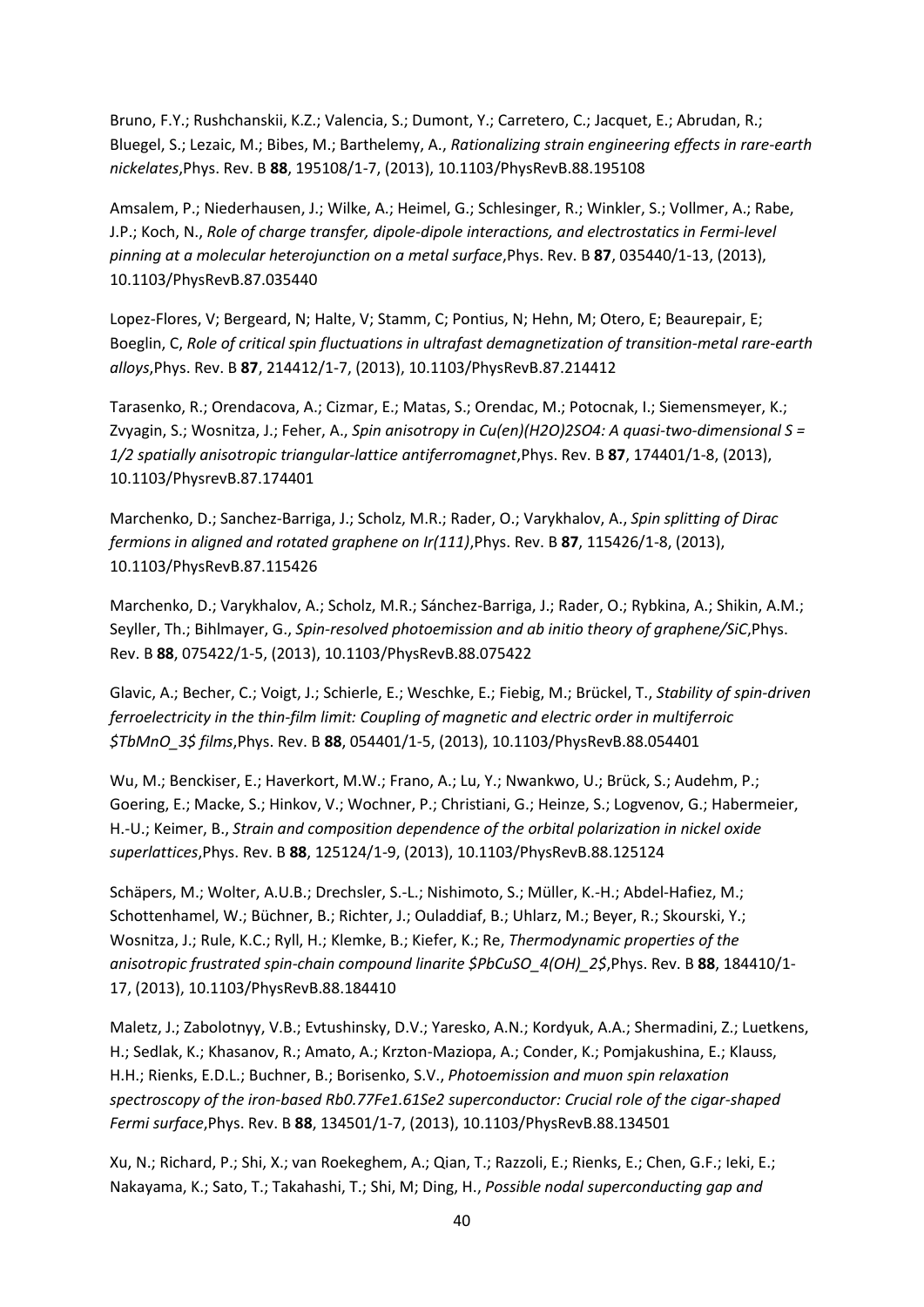Bruno, F.Y.; Rushchanskii, K.Z.; Valencia, S.; Dumont, Y.; Carretero, C.; Jacquet, E.; Abrudan, R.; Bluegel, S.; Lezaic, M.; Bibes, M.; Barthelemy, A., *Rationalizing strain engineering effects in rare-earth nickelates*,Phys. Rev. B **88**, 195108/1-7, (2013), 10.1103/PhysRevB.88.195108

Amsalem, P.; Niederhausen, J.; Wilke, A.; Heimel, G.; Schlesinger, R.; Winkler, S.; Vollmer, A.; Rabe, J.P.; Koch, N., *Role of charge transfer, dipole-dipole interactions, and electrostatics in Fermi-level pinning at a molecular heterojunction on a metal surface*,Phys. Rev. B **87**, 035440/1-13, (2013), 10.1103/PhysRevB.87.035440

Lopez-Flores, V; Bergeard, N; Halte, V; Stamm, C; Pontius, N; Hehn, M; Otero, E; Beaurepair, E; Boeglin, C, *Role of critical spin fluctuations in ultrafast demagnetization of transition-metal rare-earth alloys*,Phys. Rev. B **87**, 214412/1-7, (2013), 10.1103/PhysRevB.87.214412

Tarasenko, R.; Orendacova, A.; Cizmar, E.; Matas, S.; Orendac, M.; Potocnak, I.; Siemensmeyer, K.; Zvyagin, S.; Wosnitza, J.; Feher, A., *Spin anisotropy in Cu(en)(H2O)2SO4: A quasi-two-dimensional S = 1/2 spatially anisotropic triangular-lattice antiferromagnet*,Phys. Rev. B **87**, 174401/1-8, (2013), 10.1103/PhysrevB.87.174401

Marchenko, D.; Sanchez-Barriga, J.; Scholz, M.R.; Rader, O.; Varykhalov, A., *Spin splitting of Dirac fermions in aligned and rotated graphene on Ir(111)*,Phys. Rev. B **87**, 115426/1-8, (2013), 10.1103/PhysRevB.87.115426

Marchenko, D.; Varykhalov, A.; Scholz, M.R.; Sánchez-Barriga, J.; Rader, O.; Rybkina, A.; Shikin, A.M.; Seyller, Th.; Bihlmayer, G., *Spin-resolved photoemission and ab initio theory of graphene/SiC*,Phys. Rev. B **88**, 075422/1-5, (2013), 10.1103/PhysRevB.88.075422

Glavic, A.; Becher, C.; Voigt, J.; Schierle, E.; Weschke, E.; Fiebig, M.; Brückel, T., *Stability of spin-driven ferroelectricity in the thin-film limit: Coupling of magnetic and electric order in multiferroic \$TbMnO\_3\$ films*,Phys. Rev. B **88**, 054401/1-5, (2013), 10.1103/PhysRevB.88.054401

Wu, M.; Benckiser, E.; Haverkort, M.W.; Frano, A.; Lu, Y.; Nwankwo, U.; Brück, S.; Audehm, P.; Goering, E.; Macke, S.; Hinkov, V.; Wochner, P.; Christiani, G.; Heinze, S.; Logvenov, G.; Habermeier, H.-U.; Keimer, B., *Strain and composition dependence of the orbital polarization in nickel oxide superlattices*,Phys. Rev. B **88**, 125124/1-9, (2013), 10.1103/PhysRevB.88.125124

Schäpers, M.; Wolter, A.U.B.; Drechsler, S.-L.; Nishimoto, S.; Müller, K.-H.; Abdel-Hafiez, M.; Schottenhamel, W.; Büchner, B.; Richter, J.; Ouladdiaf, B.; Uhlarz, M.; Beyer, R.; Skourski, Y.; Wosnitza, J.; Rule, K.C.; Ryll, H.; Klemke, B.; Kiefer, K.; Re, *Thermodynamic properties of the anisotropic frustrated spin-chain compound linarite \$PbCuSO\_4(OH)\_2\$*,Phys. Rev. B **88**, 184410/1- 17, (2013), 10.1103/PhysRevB.88.184410

Maletz, J.; Zabolotnyy, V.B.; Evtushinsky, D.V.; Yaresko, A.N.; Kordyuk, A.A.; Shermadini, Z.; Luetkens, H.; Sedlak, K.; Khasanov, R.; Amato, A.; Krzton-Maziopa, A.; Conder, K.; Pomjakushina, E.; Klauss, H.H.; Rienks, E.D.L.; Buchner, B.; Borisenko, S.V., *Photoemission and muon spin relaxation spectroscopy of the iron-based Rb0.77Fe1.61Se2 superconductor: Crucial role of the cigar-shaped Fermi surface*,Phys. Rev. B **88**, 134501/1-7, (2013), 10.1103/PhysRevB.88.134501

Xu, N.; Richard, P.; Shi, X.; van Roekeghem, A.; Qian, T.; Razzoli, E.; Rienks, E.; Chen, G.F.; Ieki, E.; Nakayama, K.; Sato, T.; Takahashi, T.; Shi, M; Ding, H., *Possible nodal superconducting gap and*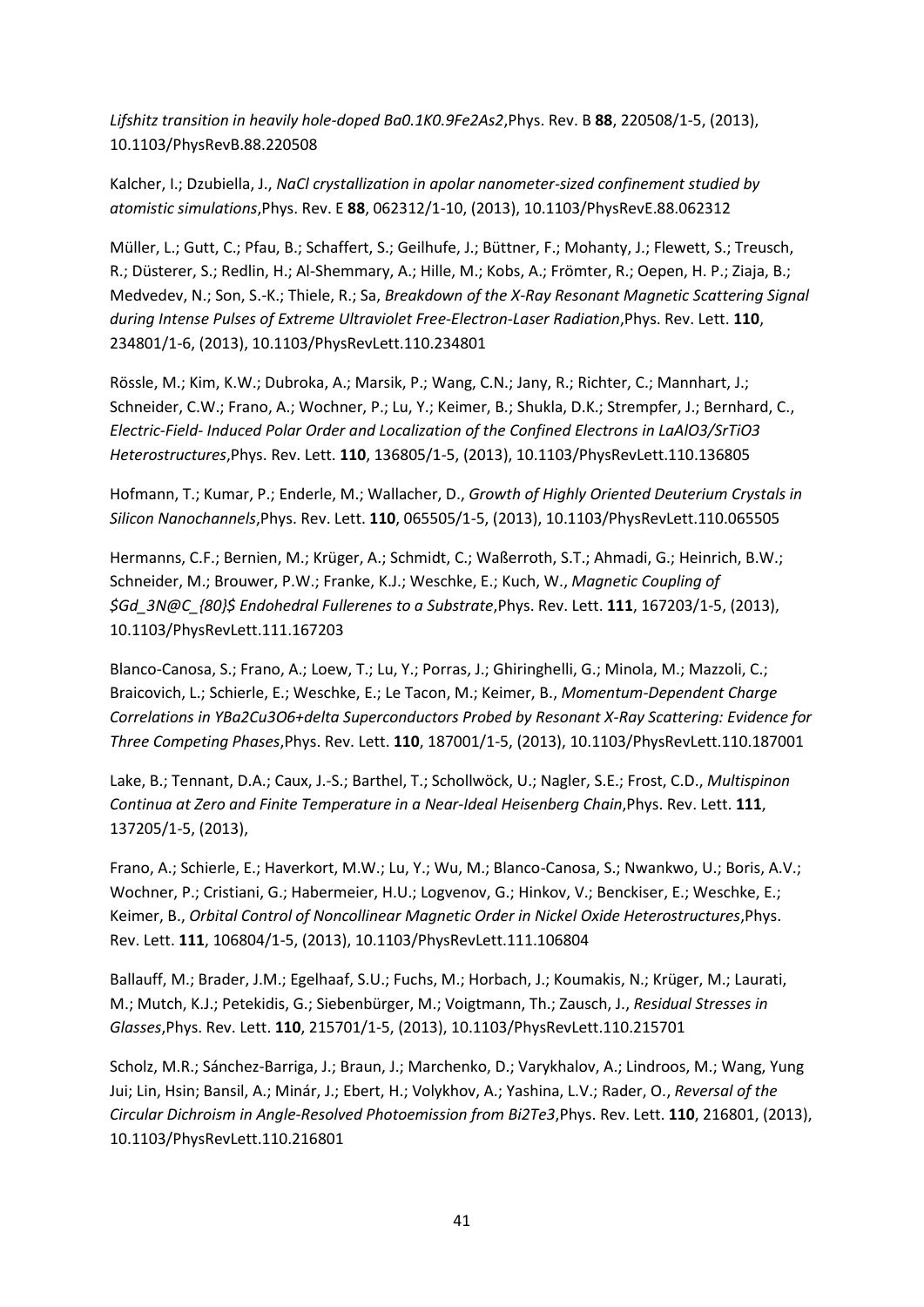*Lifshitz transition in heavily hole-doped Ba0.1K0.9Fe2As2*,Phys. Rev. B **88**, 220508/1-5, (2013), 10.1103/PhysRevB.88.220508

Kalcher, I.; Dzubiella, J., *NaCl crystallization in apolar nanometer-sized confinement studied by atomistic simulations*,Phys. Rev. E **88**, 062312/1-10, (2013), 10.1103/PhysRevE.88.062312

Müller, L.; Gutt, C.; Pfau, B.; Schaffert, S.; Geilhufe, J.; Büttner, F.; Mohanty, J.; Flewett, S.; Treusch, R.; Düsterer, S.; Redlin, H.; Al-Shemmary, A.; Hille, M.; Kobs, A.; Frömter, R.; Oepen, H. P.; Ziaja, B.; Medvedev, N.; Son, S.-K.; Thiele, R.; Sa, *Breakdown of the X-Ray Resonant Magnetic Scattering Signal during Intense Pulses of Extreme Ultraviolet Free-Electron-Laser Radiation*,Phys. Rev. Lett. **110**, 234801/1-6, (2013), 10.1103/PhysRevLett.110.234801

Rössle, M.; Kim, K.W.; Dubroka, A.; Marsik, P.; Wang, C.N.; Jany, R.; Richter, C.; Mannhart, J.; Schneider, C.W.; Frano, A.; Wochner, P.; Lu, Y.; Keimer, B.; Shukla, D.K.; Strempfer, J.; Bernhard, C., *Electric-Field- Induced Polar Order and Localization of the Confined Electrons in LaAlO3/SrTiO3 Heterostructures*,Phys. Rev. Lett. **110**, 136805/1-5, (2013), 10.1103/PhysRevLett.110.136805

Hofmann, T.; Kumar, P.; Enderle, M.; Wallacher, D., *Growth of Highly Oriented Deuterium Crystals in Silicon Nanochannels*,Phys. Rev. Lett. **110**, 065505/1-5, (2013), 10.1103/PhysRevLett.110.065505

Hermanns, C.F.; Bernien, M.; Krüger, A.; Schmidt, C.; Waßerroth, S.T.; Ahmadi, G.; Heinrich, B.W.; Schneider, M.; Brouwer, P.W.; Franke, K.J.; Weschke, E.; Kuch, W., *Magnetic Coupling of \$Gd\_3N@C\_{80}\$ Endohedral Fullerenes to a Substrate*,Phys. Rev. Lett. **111**, 167203/1-5, (2013), 10.1103/PhysRevLett.111.167203

Blanco-Canosa, S.; Frano, A.; Loew, T.; Lu, Y.; Porras, J.; Ghiringhelli, G.; Minola, M.; Mazzoli, C.; Braicovich, L.; Schierle, E.; Weschke, E.; Le Tacon, M.; Keimer, B., *Momentum-Dependent Charge Correlations in YBa2Cu3O6+delta Superconductors Probed by Resonant X-Ray Scattering: Evidence for Three Competing Phases*,Phys. Rev. Lett. **110**, 187001/1-5, (2013), 10.1103/PhysRevLett.110.187001

Lake, B.; Tennant, D.A.; Caux, J.-S.; Barthel, T.; Schollwöck, U.; Nagler, S.E.; Frost, C.D., *Multispinon Continua at Zero and Finite Temperature in a Near-Ideal Heisenberg Chain*,Phys. Rev. Lett. **111**, 137205/1-5, (2013),

Frano, A.; Schierle, E.; Haverkort, M.W.; Lu, Y.; Wu, M.; Blanco-Canosa, S.; Nwankwo, U.; Boris, A.V.; Wochner, P.; Cristiani, G.; Habermeier, H.U.; Logvenov, G.; Hinkov, V.; Benckiser, E.; Weschke, E.; Keimer, B., *Orbital Control of Noncollinear Magnetic Order in Nickel Oxide Heterostructures*,Phys. Rev. Lett. **111**, 106804/1-5, (2013), 10.1103/PhysRevLett.111.106804

Ballauff, M.; Brader, J.M.; Egelhaaf, S.U.; Fuchs, M.; Horbach, J.; Koumakis, N.; Krüger, M.; Laurati, M.; Mutch, K.J.; Petekidis, G.; Siebenbürger, M.; Voigtmann, Th.; Zausch, J., *Residual Stresses in Glasses*,Phys. Rev. Lett. **110**, 215701/1-5, (2013), 10.1103/PhysRevLett.110.215701

Scholz, M.R.; Sánchez-Barriga, J.; Braun, J.; Marchenko, D.; Varykhalov, A.; Lindroos, M.; Wang, Yung Jui; Lin, Hsin; Bansil, A.; Minár, J.; Ebert, H.; Volykhov, A.; Yashina, L.V.; Rader, O., *Reversal of the Circular Dichroism in Angle-Resolved Photoemission from Bi2Te3*,Phys. Rev. Lett. **110**, 216801, (2013), 10.1103/PhysRevLett.110.216801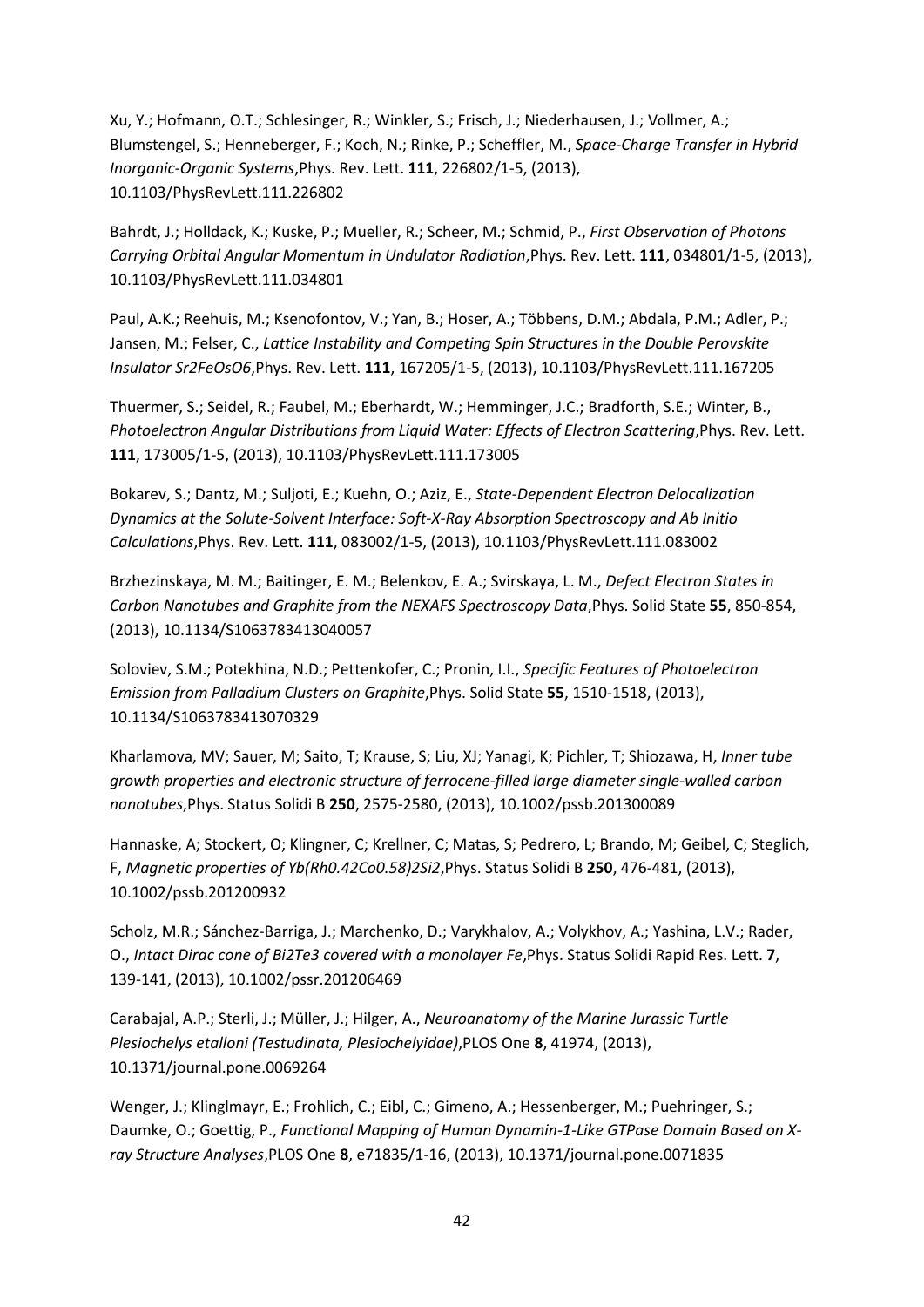Xu, Y.; Hofmann, O.T.; Schlesinger, R.; Winkler, S.; Frisch, J.; Niederhausen, J.; Vollmer, A.; Blumstengel, S.; Henneberger, F.; Koch, N.; Rinke, P.; Scheffler, M., *Space-Charge Transfer in Hybrid Inorganic-Organic Systems*,Phys. Rev. Lett. **111**, 226802/1-5, (2013), 10.1103/PhysRevLett.111.226802

Bahrdt, J.; Holldack, K.; Kuske, P.; Mueller, R.; Scheer, M.; Schmid, P., *First Observation of Photons Carrying Orbital Angular Momentum in Undulator Radiation*,Phys. Rev. Lett. **111**, 034801/1-5, (2013), 10.1103/PhysRevLett.111.034801

Paul, A.K.; Reehuis, M.; Ksenofontov, V.; Yan, B.; Hoser, A.; Többens, D.M.; Abdala, P.M.; Adler, P.; Jansen, M.; Felser, C., *Lattice Instability and Competing Spin Structures in the Double Perovskite Insulator Sr2FeOsO6*,Phys. Rev. Lett. **111**, 167205/1-5, (2013), 10.1103/PhysRevLett.111.167205

Thuermer, S.; Seidel, R.; Faubel, M.; Eberhardt, W.; Hemminger, J.C.; Bradforth, S.E.; Winter, B., *Photoelectron Angular Distributions from Liquid Water: Effects of Electron Scattering*,Phys. Rev. Lett. **111**, 173005/1-5, (2013), 10.1103/PhysRevLett.111.173005

Bokarev, S.; Dantz, M.; Suljoti, E.; Kuehn, O.; Aziz, E., *State-Dependent Electron Delocalization Dynamics at the Solute-Solvent Interface: Soft-X-Ray Absorption Spectroscopy and Ab Initio Calculations*,Phys. Rev. Lett. **111**, 083002/1-5, (2013), 10.1103/PhysRevLett.111.083002

Brzhezinskaya, M. M.; Baitinger, E. M.; Belenkov, E. A.; Svirskaya, L. M., *Defect Electron States in Carbon Nanotubes and Graphite from the NEXAFS Spectroscopy Data*,Phys. Solid State **55**, 850-854, (2013), 10.1134/S1063783413040057

Soloviev, S.M.; Potekhina, N.D.; Pettenkofer, C.; Pronin, I.I., *Specific Features of Photoelectron Emission from Palladium Clusters on Graphite*,Phys. Solid State **55**, 1510-1518, (2013), 10.1134/S1063783413070329

Kharlamova, MV; Sauer, M; Saito, T; Krause, S; Liu, XJ; Yanagi, K; Pichler, T; Shiozawa, H, *Inner tube growth properties and electronic structure of ferrocene-filled large diameter single-walled carbon nanotubes*,Phys. Status Solidi B **250**, 2575-2580, (2013), 10.1002/pssb.201300089

Hannaske, A; Stockert, O; Klingner, C; Krellner, C; Matas, S; Pedrero, L; Brando, M; Geibel, C; Steglich, F, *Magnetic properties of Yb(Rh0.42Co0.58)2Si2*,Phys. Status Solidi B **250**, 476-481, (2013), 10.1002/pssb.201200932

Scholz, M.R.; Sánchez-Barriga, J.; Marchenko, D.; Varykhalov, A.; Volykhov, A.; Yashina, L.V.; Rader, O., *Intact Dirac cone of Bi2Te3 covered with a monolayer Fe*,Phys. Status Solidi Rapid Res. Lett. **7**, 139-141, (2013), 10.1002/pssr.201206469

Carabajal, A.P.; Sterli, J.; Müller, J.; Hilger, A., *Neuroanatomy of the Marine Jurassic Turtle Plesiochelys etalloni (Testudinata, Plesiochelyidae)*,PLOS One **8**, 41974, (2013), 10.1371/journal.pone.0069264

Wenger, J.; Klinglmayr, E.; Frohlich, C.; Eibl, C.; Gimeno, A.; Hessenberger, M.; Puehringer, S.; Daumke, O.; Goettig, P., *Functional Mapping of Human Dynamin-1-Like GTPase Domain Based on Xray Structure Analyses*,PLOS One **8**, e71835/1-16, (2013), 10.1371/journal.pone.0071835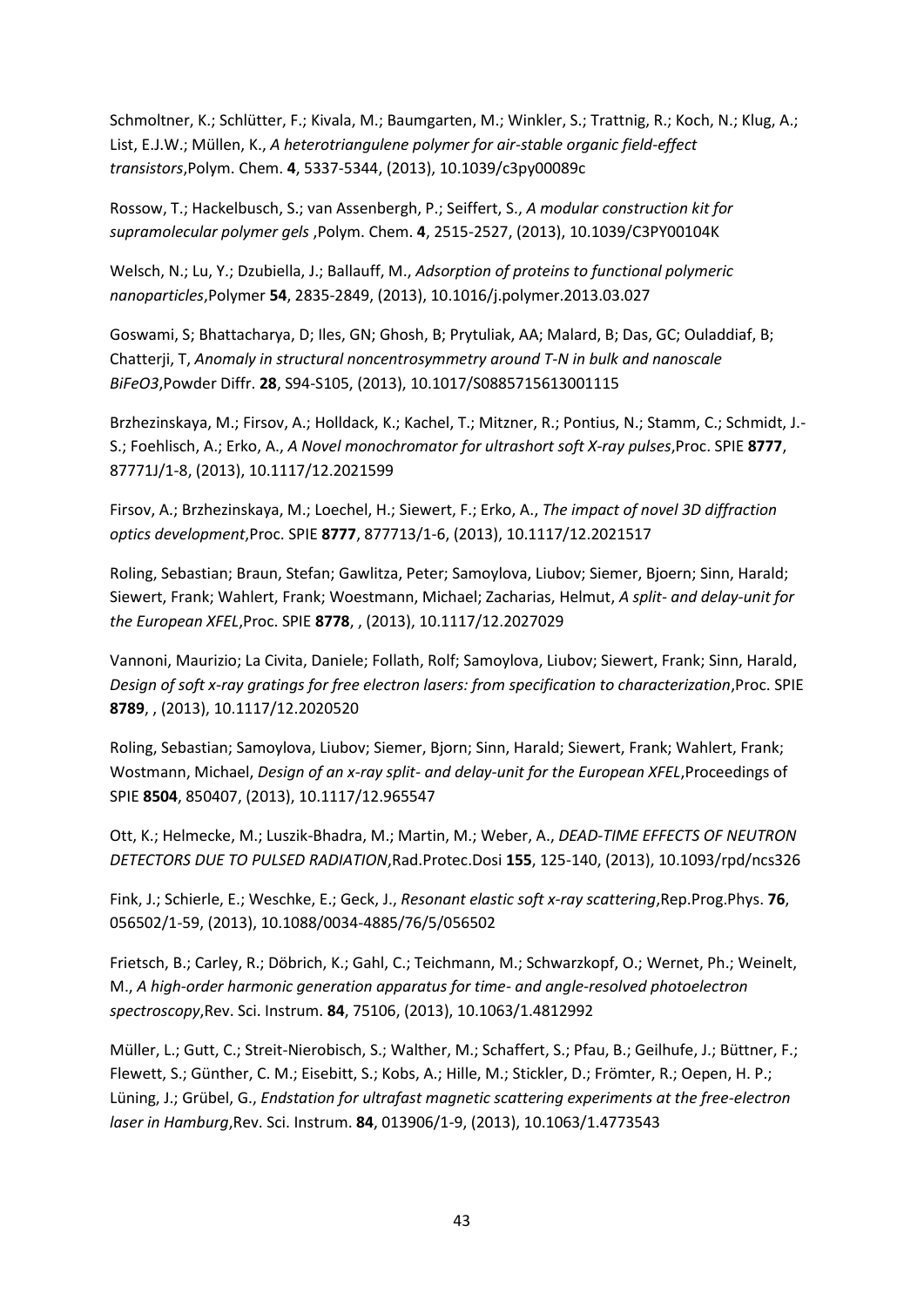Schmoltner, K.; Schlütter, F.; Kivala, M.; Baumgarten, M.; Winkler, S.; Trattnig, R.; Koch, N.; Klug, A.; List, E.J.W.; Müllen, K., *A heterotriangulene polymer for air-stable organic field-effect transistors*,Polym. Chem. **4**, 5337-5344, (2013), 10.1039/c3py00089c

Rossow, T.; Hackelbusch, S.; van Assenbergh, P.; Seiffert, S., *A modular construction kit for supramolecular polymer gels* ,Polym. Chem. **4**, 2515-2527, (2013), 10.1039/C3PY00104K

Welsch, N.; Lu, Y.; Dzubiella, J.; Ballauff, M., *Adsorption of proteins to functional polymeric nanoparticles*,Polymer **54**, 2835-2849, (2013), 10.1016/j.polymer.2013.03.027

Goswami, S; Bhattacharya, D; Iles, GN; Ghosh, B; Prytuliak, AA; Malard, B; Das, GC; Ouladdiaf, B; Chatterji, T, *Anomaly in structural noncentrosymmetry around T-N in bulk and nanoscale BiFeO3*,Powder Diffr. **28**, S94-S105, (2013), 10.1017/S0885715613001115

Brzhezinskaya, M.; Firsov, A.; Holldack, K.; Kachel, T.; Mitzner, R.; Pontius, N.; Stamm, C.; Schmidt, J.- S.; Foehlisch, A.; Erko, A., *A Novel monochromator for ultrashort soft X-ray pulses*,Proc. SPIE **8777**, 87771J/1-8, (2013), 10.1117/12.2021599

Firsov, A.; Brzhezinskaya, M.; Loechel, H.; Siewert, F.; Erko, A., *The impact of novel 3D diffraction optics development*,Proc. SPIE **8777**, 877713/1-6, (2013), 10.1117/12.2021517

Roling, Sebastian; Braun, Stefan; Gawlitza, Peter; Samoylova, Liubov; Siemer, Bjoern; Sinn, Harald; Siewert, Frank; Wahlert, Frank; Woestmann, Michael; Zacharias, Helmut, *A split- and delay-unit for the European XFEL*,Proc. SPIE **8778**, , (2013), 10.1117/12.2027029

Vannoni, Maurizio; La Civita, Daniele; Follath, Rolf; Samoylova, Liubov; Siewert, Frank; Sinn, Harald, *Design of soft x-ray gratings for free electron lasers: from specification to characterization*,Proc. SPIE **8789**, , (2013), 10.1117/12.2020520

Roling, Sebastian; Samoylova, Liubov; Siemer, Bjorn; Sinn, Harald; Siewert, Frank; Wahlert, Frank; Wostmann, Michael, *Design of an x-ray split- and delay-unit for the European XFEL*,Proceedings of SPIE **8504**, 850407, (2013), 10.1117/12.965547

Ott, K.; Helmecke, M.; Luszik-Bhadra, M.; Martin, M.; Weber, A., *DEAD-TIME EFFECTS OF NEUTRON DETECTORS DUE TO PULSED RADIATION*,Rad.Protec.Dosi **155**, 125-140, (2013), 10.1093/rpd/ncs326

Fink, J.; Schierle, E.; Weschke, E.; Geck, J., *Resonant elastic soft x-ray scattering*,Rep.Prog.Phys. **76**, 056502/1-59, (2013), 10.1088/0034-4885/76/5/056502

Frietsch, B.; Carley, R.; Döbrich, K.; Gahl, C.; Teichmann, M.; Schwarzkopf, O.; Wernet, Ph.; Weinelt, M., *A high-order harmonic generation apparatus for time- and angle-resolved photoelectron spectroscopy*,Rev. Sci. Instrum. **84**, 75106, (2013), 10.1063/1.4812992

Müller, L.; Gutt, C.; Streit-Nierobisch, S.; Walther, M.; Schaffert, S.; Pfau, B.; Geilhufe, J.; Büttner, F.; Flewett, S.; Günther, C. M.; Eisebitt, S.; Kobs, A.; Hille, M.; Stickler, D.; Frömter, R.; Oepen, H. P.; Lüning, J.; Grübel, G., *Endstation for ultrafast magnetic scattering experiments at the free-electron laser in Hamburg*,Rev. Sci. Instrum. **84**, 013906/1-9, (2013), 10.1063/1.4773543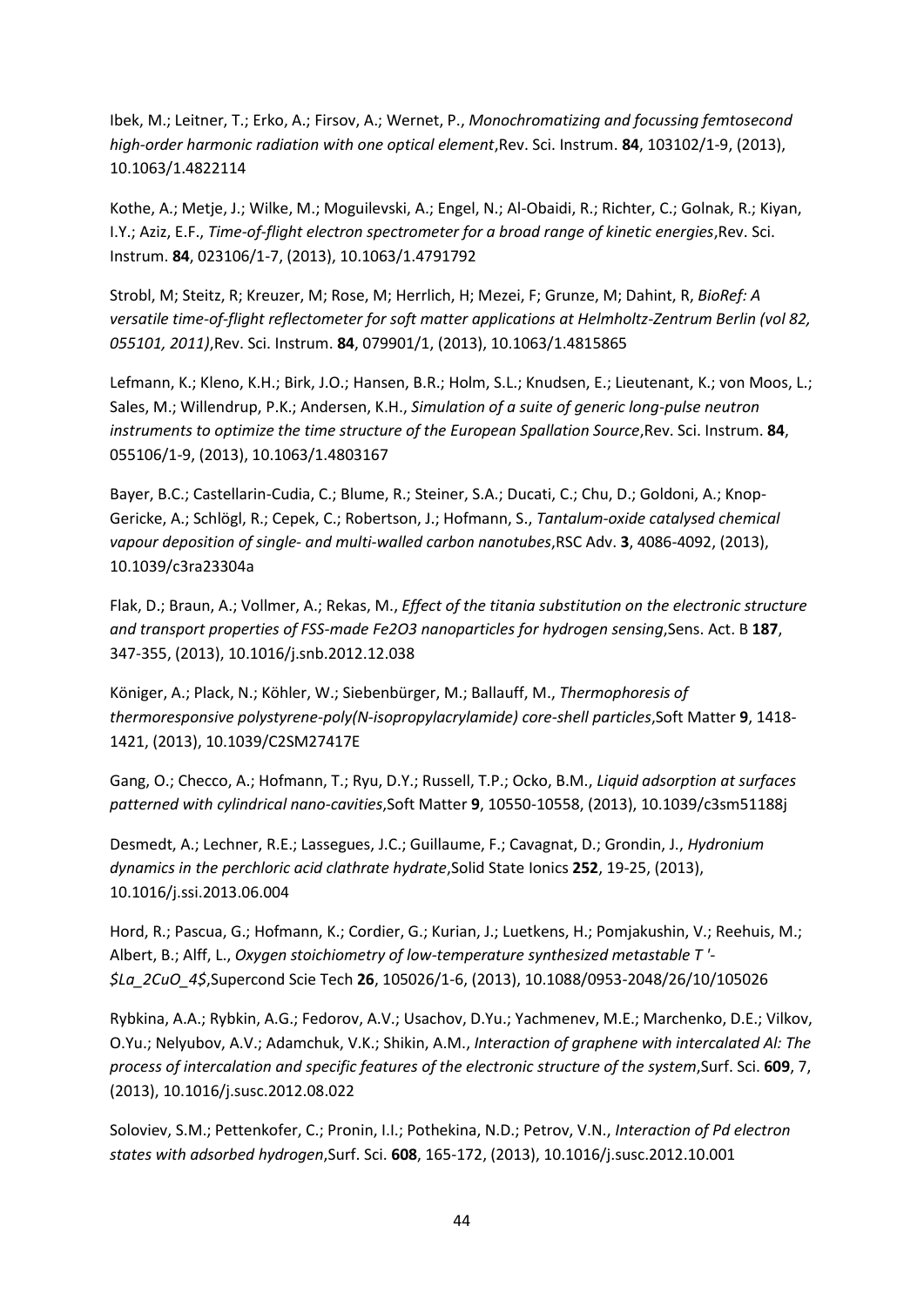Ibek, M.; Leitner, T.; Erko, A.; Firsov, A.; Wernet, P., *Monochromatizing and focussing femtosecond high-order harmonic radiation with one optical element*,Rev. Sci. Instrum. **84**, 103102/1-9, (2013), 10.1063/1.4822114

Kothe, A.; Metje, J.; Wilke, M.; Moguilevski, A.; Engel, N.; Al-Obaidi, R.; Richter, C.; Golnak, R.; Kiyan, I.Y.; Aziz, E.F., *Time-of-flight electron spectrometer for a broad range of kinetic energies*,Rev. Sci. Instrum. **84**, 023106/1-7, (2013), 10.1063/1.4791792

Strobl, M; Steitz, R; Kreuzer, M; Rose, M; Herrlich, H; Mezei, F; Grunze, M; Dahint, R, *BioRef: A versatile time-of-flight reflectometer for soft matter applications at Helmholtz-Zentrum Berlin (vol 82, 055101, 2011)*,Rev. Sci. Instrum. **84**, 079901/1, (2013), 10.1063/1.4815865

Lefmann, K.; Kleno, K.H.; Birk, J.O.; Hansen, B.R.; Holm, S.L.; Knudsen, E.; Lieutenant, K.; von Moos, L.; Sales, M.; Willendrup, P.K.; Andersen, K.H., *Simulation of a suite of generic long-pulse neutron instruments to optimize the time structure of the European Spallation Source*,Rev. Sci. Instrum. **84**, 055106/1-9, (2013), 10.1063/1.4803167

Bayer, B.C.; Castellarin-Cudia, C.; Blume, R.; Steiner, S.A.; Ducati, C.; Chu, D.; Goldoni, A.; Knop-Gericke, A.; Schlögl, R.; Cepek, C.; Robertson, J.; Hofmann, S., *Tantalum-oxide catalysed chemical vapour deposition of single- and multi-walled carbon nanotubes*,RSC Adv. **3**, 4086-4092, (2013), 10.1039/c3ra23304a

Flak, D.; Braun, A.; Vollmer, A.; Rekas, M., *Effect of the titania substitution on the electronic structure and transport properties of FSS-made Fe2O3 nanoparticles for hydrogen sensing*, Sens. Act. B 187, 347-355, (2013), 10.1016/j.snb.2012.12.038

Königer, A.; Plack, N.; Köhler, W.; Siebenbürger, M.; Ballauff, M., *Thermophoresis of thermoresponsive polystyrene-poly(N-isopropylacrylamide) core-shell particles*,Soft Matter **9**, 1418- 1421, (2013), 10.1039/C2SM27417E

Gang, O.; Checco, A.; Hofmann, T.; Ryu, D.Y.; Russell, T.P.; Ocko, B.M., *Liquid adsorption at surfaces patterned with cylindrical nano-cavities*,Soft Matter **9**, 10550-10558, (2013), 10.1039/c3sm51188j

Desmedt, A.; Lechner, R.E.; Lassegues, J.C.; Guillaume, F.; Cavagnat, D.; Grondin, J., *Hydronium dynamics in the perchloric acid clathrate hydrate*,Solid State Ionics **252**, 19-25, (2013), 10.1016/j.ssi.2013.06.004

Hord, R.; Pascua, G.; Hofmann, K.; Cordier, G.; Kurian, J.; Luetkens, H.; Pomjakushin, V.; Reehuis, M.; Albert, B.; Alff, L., *Oxygen stoichiometry of low-temperature synthesized metastable T '- \$La\_2CuO\_4\$*,Supercond Scie Tech **26**, 105026/1-6, (2013), 10.1088/0953-2048/26/10/105026

Rybkina, A.A.; Rybkin, A.G.; Fedorov, A.V.; Usachov, D.Yu.; Yachmenev, M.E.; Marchenko, D.E.; Vilkov, O.Yu.; Nelyubov, A.V.; Adamchuk, V.K.; Shikin, A.M., *Interaction of graphene with intercalated Al: The process of intercalation and specific features of the electronic structure of the system*,Surf. Sci. **609**, 7, (2013), 10.1016/j.susc.2012.08.022

Soloviev, S.M.; Pettenkofer, C.; Pronin, I.I.; Pothekina, N.D.; Petrov, V.N., *Interaction of Pd electron states with adsorbed hydrogen*,Surf. Sci. **608**, 165-172, (2013), 10.1016/j.susc.2012.10.001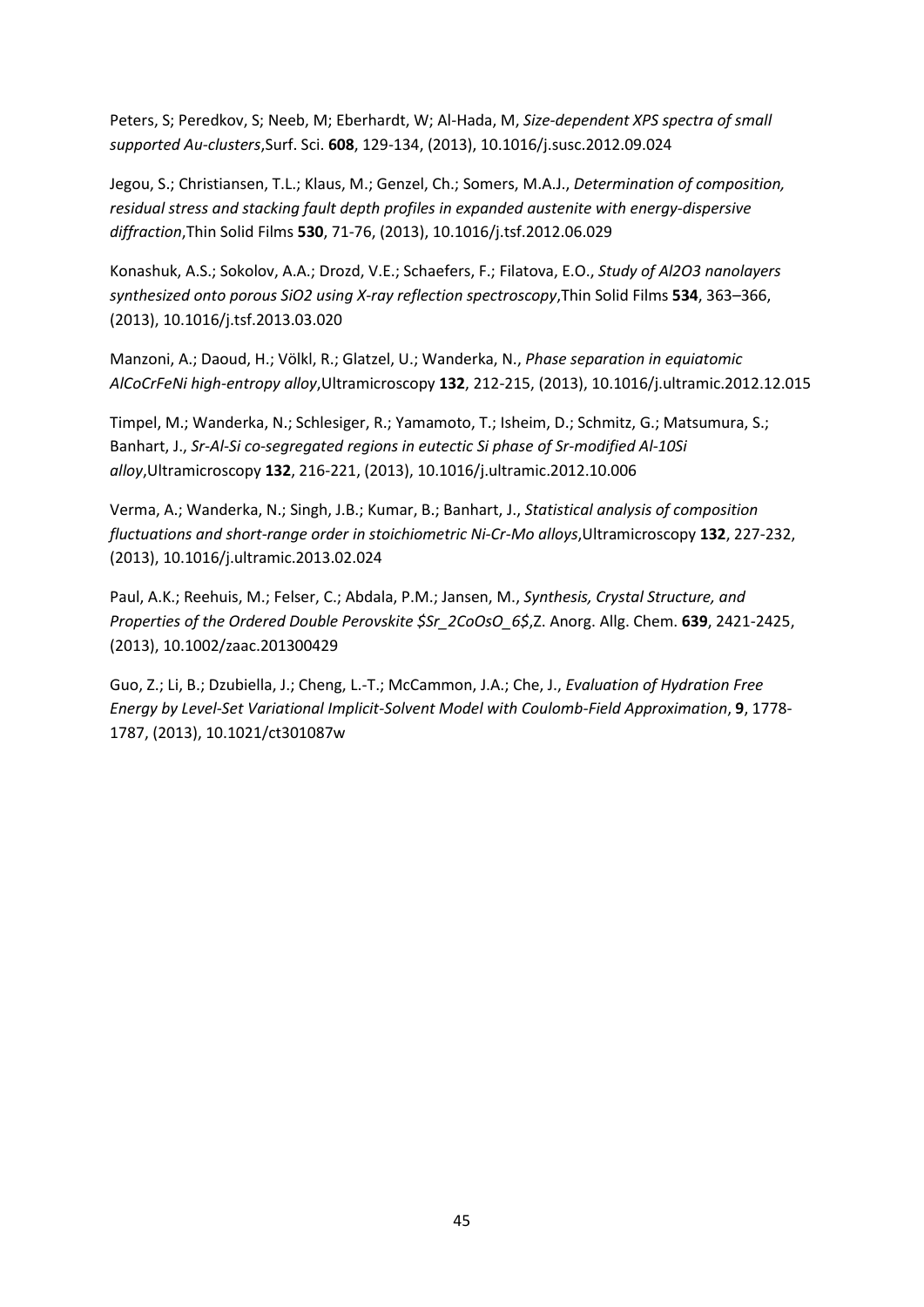Peters, S; Peredkov, S; Neeb, M; Eberhardt, W; Al-Hada, M, *Size-dependent XPS spectra of small supported Au-clusters*,Surf. Sci. **608**, 129-134, (2013), 10.1016/j.susc.2012.09.024

Jegou, S.; Christiansen, T.L.; Klaus, M.; Genzel, Ch.; Somers, M.A.J., *Determination of composition, residual stress and stacking fault depth profiles in expanded austenite with energy-dispersive diffraction*,Thin Solid Films **530**, 71-76, (2013), 10.1016/j.tsf.2012.06.029

Konashuk, A.S.; Sokolov, A.A.; Drozd, V.E.; Schaefers, F.; Filatova, E.O., *Study of Al2O3 nanolayers synthesized onto porous SiO2 using X-ray reflection spectroscopy*,Thin Solid Films **534**, 363–366, (2013), 10.1016/j.tsf.2013.03.020

Manzoni, A.; Daoud, H.; Völkl, R.; Glatzel, U.; Wanderka, N., *Phase separation in equiatomic AlCoCrFeNi high-entropy alloy*,Ultramicroscopy **132**, 212-215, (2013), 10.1016/j.ultramic.2012.12.015

Timpel, M.; Wanderka, N.; Schlesiger, R.; Yamamoto, T.; Isheim, D.; Schmitz, G.; Matsumura, S.; Banhart, J., *Sr-Al-Si co-segregated regions in eutectic Si phase of Sr-modified Al-10Si alloy*,Ultramicroscopy **132**, 216-221, (2013), 10.1016/j.ultramic.2012.10.006

Verma, A.; Wanderka, N.; Singh, J.B.; Kumar, B.; Banhart, J., *Statistical analysis of composition fluctuations and short-range order in stoichiometric Ni-Cr-Mo alloys*,Ultramicroscopy **132**, 227-232, (2013), 10.1016/j.ultramic.2013.02.024

Paul, A.K.; Reehuis, M.; Felser, C.; Abdala, P.M.; Jansen, M., *Synthesis, Crystal Structure, and Properties of the Ordered Double Perovskite \$Sr\_2CoOsO\_6\$*,Z. Anorg. Allg. Chem. **639**, 2421-2425, (2013), 10.1002/zaac.201300429

Guo, Z.; Li, B.; Dzubiella, J.; Cheng, L.-T.; McCammon, J.A.; Che, J., *Evaluation of Hydration Free Energy by Level-Set Variational Implicit-Solvent Model with Coulomb-Field Approximation*, **9**, 1778- 1787, (2013), 10.1021/ct301087w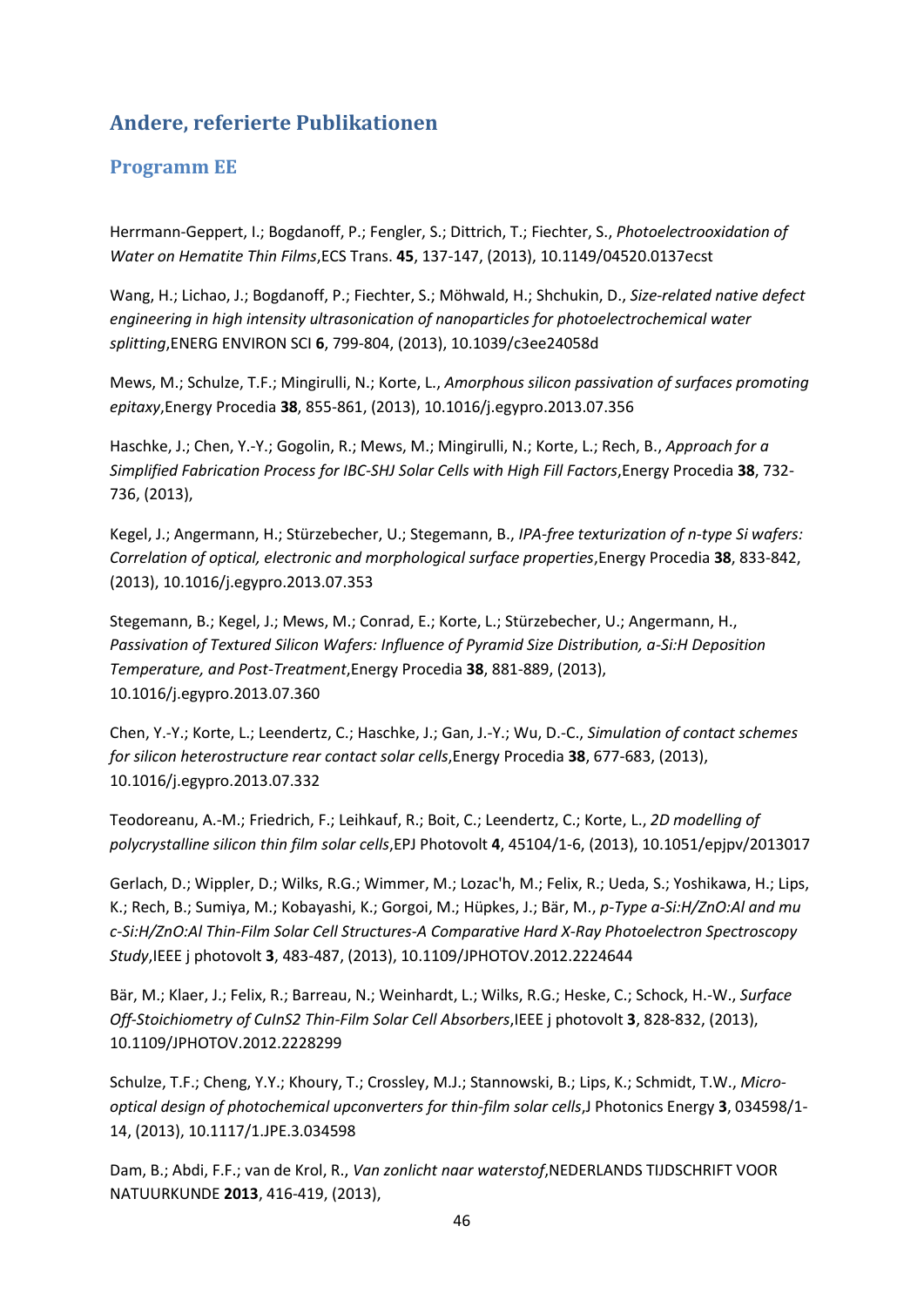# <span id="page-45-0"></span>**Andere, referierte Publikationen**

### <span id="page-45-1"></span>**Programm EE**

Herrmann-Geppert, I.; Bogdanoff, P.; Fengler, S.; Dittrich, T.; Fiechter, S., *Photoelectrooxidation of Water on Hematite Thin Films*,ECS Trans. **45**, 137-147, (2013), 10.1149/04520.0137ecst

Wang, H.; Lichao, J.; Bogdanoff, P.; Fiechter, S.; Möhwald, H.; Shchukin, D., *Size-related native defect engineering in high intensity ultrasonication of nanoparticles for photoelectrochemical water splitting*,ENERG ENVIRON SCI **6**, 799-804, (2013), 10.1039/c3ee24058d

Mews, M.; Schulze, T.F.; Mingirulli, N.; Korte, L., *Amorphous silicon passivation of surfaces promoting epitaxy*,Energy Procedia **38**, 855-861, (2013), 10.1016/j.egypro.2013.07.356

Haschke, J.; Chen, Y.-Y.; Gogolin, R.; Mews, M.; Mingirulli, N.; Korte, L.; Rech, B., *Approach for a Simplified Fabrication Process for IBC-SHJ Solar Cells with High Fill Factors*,Energy Procedia **38**, 732- 736, (2013),

Kegel, J.; Angermann, H.; Stürzebecher, U.; Stegemann, B., *IPA-free texturization of n-type Si wafers: Correlation of optical, electronic and morphological surface properties*,Energy Procedia **38**, 833-842, (2013), 10.1016/j.egypro.2013.07.353

Stegemann, B.; Kegel, J.; Mews, M.; Conrad, E.; Korte, L.; Stürzebecher, U.; Angermann, H., *Passivation of Textured Silicon Wafers: Influence of Pyramid Size Distribution, a-Si:H Deposition Temperature, and Post-Treatment*,Energy Procedia **38**, 881-889, (2013), 10.1016/j.egypro.2013.07.360

Chen, Y.-Y.; Korte, L.; Leendertz, C.; Haschke, J.; Gan, J.-Y.; Wu, D.-C., *Simulation of contact schemes for silicon heterostructure rear contact solar cells*,Energy Procedia **38**, 677-683, (2013), 10.1016/j.egypro.2013.07.332

Teodoreanu, A.-M.; Friedrich, F.; Leihkauf, R.; Boit, C.; Leendertz, C.; Korte, L., *2D modelling of polycrystalline silicon thin film solar cells*,EPJ Photovolt **4**, 45104/1-6, (2013), 10.1051/epjpv/2013017

Gerlach, D.; Wippler, D.; Wilks, R.G.; Wimmer, M.; Lozac'h, M.; Felix, R.; Ueda, S.; Yoshikawa, H.; Lips, K.; Rech, B.; Sumiya, M.; Kobayashi, K.; Gorgoi, M.; Hüpkes, J.; Bär, M., *p-Type a-Si:H/ZnO:Al and mu c-Si:H/ZnO:Al Thin-Film Solar Cell Structures-A Comparative Hard X-Ray Photoelectron Spectroscopy Study*,IEEE j photovolt **3**, 483-487, (2013), 10.1109/JPHOTOV.2012.2224644

Bär, M.; Klaer, J.; Felix, R.; Barreau, N.; Weinhardt, L.; Wilks, R.G.; Heske, C.; Schock, H.-W., *Surface Off-Stoichiometry of CuInS2 Thin-Film Solar Cell Absorbers*,IEEE j photovolt **3**, 828-832, (2013), 10.1109/JPHOTOV.2012.2228299

Schulze, T.F.; Cheng, Y.Y.; Khoury, T.; Crossley, M.J.; Stannowski, B.; Lips, K.; Schmidt, T.W., *Microoptical design of photochemical upconverters for thin-film solar cells*,J Photonics Energy **3**, 034598/1- 14, (2013), 10.1117/1.JPE.3.034598

Dam, B.; Abdi, F.F.; van de Krol, R., *Van zonlicht naar waterstof*,NEDERLANDS TIJDSCHRIFT VOOR NATUURKUNDE **2013**, 416-419, (2013),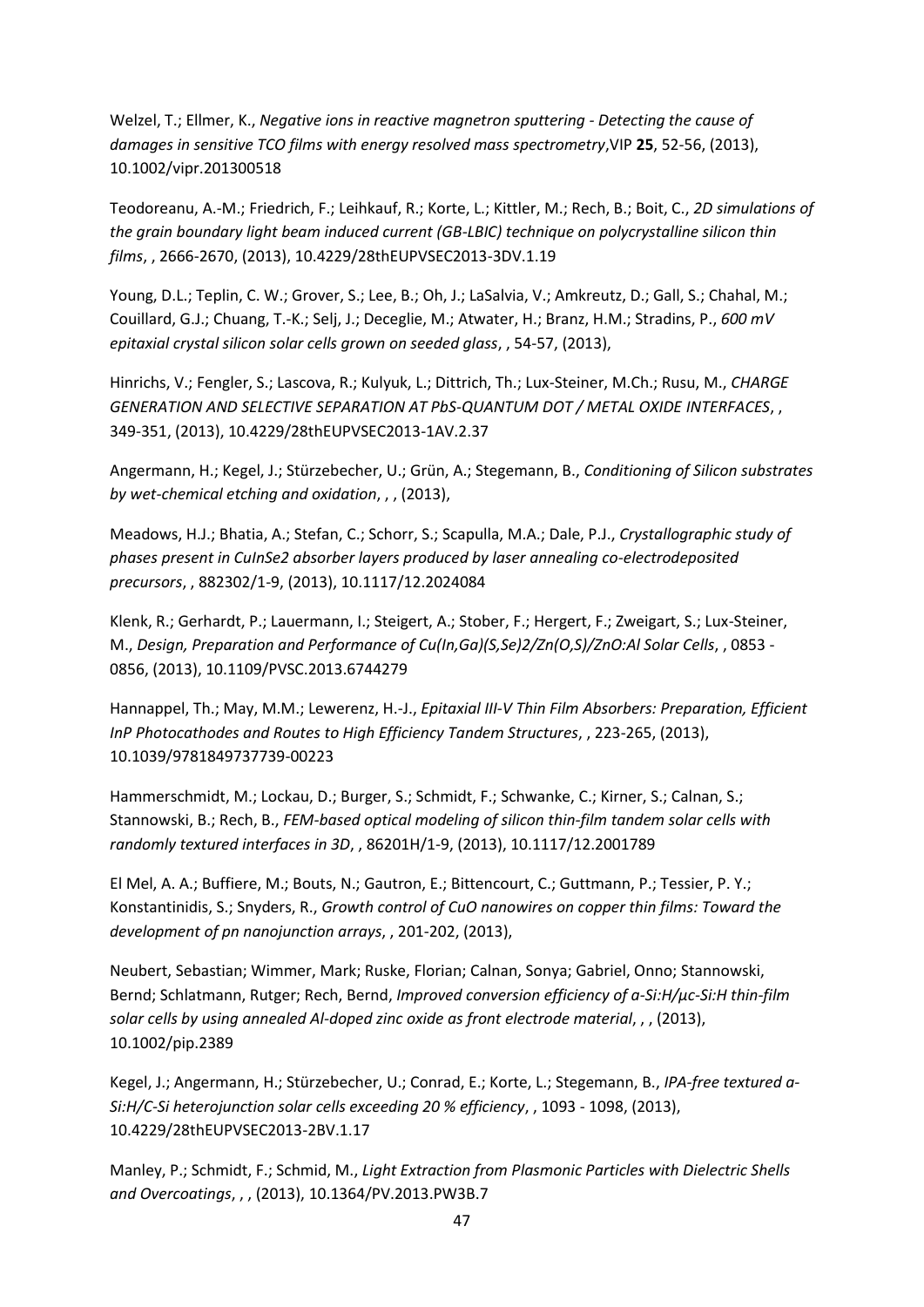Welzel, T.; Ellmer, K., *Negative ions in reactive magnetron sputtering - Detecting the cause of damages in sensitive TCO films with energy resolved mass spectrometry*,VIP **25**, 52-56, (2013), 10.1002/vipr.201300518

Teodoreanu, A.-M.; Friedrich, F.; Leihkauf, R.; Korte, L.; Kittler, M.; Rech, B.; Boit, C., *2D simulations of the grain boundary light beam induced current (GB-LBIC) technique on polycrystalline silicon thin films*, , 2666-2670, (2013), 10.4229/28thEUPVSEC2013-3DV.1.19

Young, D.L.; Teplin, C. W.; Grover, S.; Lee, B.; Oh, J.; LaSalvia, V.; Amkreutz, D.; Gall, S.; Chahal, M.; Couillard, G.J.; Chuang, T.-K.; Selj, J.; Deceglie, M.; Atwater, H.; Branz, H.M.; Stradins, P., *600 mV epitaxial crystal silicon solar cells grown on seeded glass*, , 54-57, (2013),

Hinrichs, V.; Fengler, S.; Lascova, R.; Kulyuk, L.; Dittrich, Th.; Lux-Steiner, M.Ch.; Rusu, M., *CHARGE GENERATION AND SELECTIVE SEPARATION AT PbS-QUANTUM DOT / METAL OXIDE INTERFACES*, , 349-351, (2013), 10.4229/28thEUPVSEC2013-1AV.2.37

Angermann, H.; Kegel, J.; Stürzebecher, U.; Grün, A.; Stegemann, B., *Conditioning of Silicon substrates by wet-chemical etching and oxidation*, , , (2013),

Meadows, H.J.; Bhatia, A.; Stefan, C.; Schorr, S.; Scapulla, M.A.; Dale, P.J., *Crystallographic study of phases present in CuInSe2 absorber layers produced by laser annealing co-electrodeposited precursors*, , 882302/1-9, (2013), 10.1117/12.2024084

Klenk, R.; Gerhardt, P.; Lauermann, I.; Steigert, A.; Stober, F.; Hergert, F.; Zweigart, S.; Lux-Steiner, M., *Design, Preparation and Performance of Cu(In,Ga)(S,Se)2/Zn(O,S)/ZnO:Al Solar Cells*, , 0853 - 0856, (2013), 10.1109/PVSC.2013.6744279

Hannappel, Th.; May, M.M.; Lewerenz, H.-J., *Epitaxial III-V Thin Film Absorbers: Preparation, Efficient InP Photocathodes and Routes to High Efficiency Tandem Structures*, , 223-265, (2013), 10.1039/9781849737739-00223

Hammerschmidt, M.; Lockau, D.; Burger, S.; Schmidt, F.; Schwanke, C.; Kirner, S.; Calnan, S.; Stannowski, B.; Rech, B., *FEM-based optical modeling of silicon thin-film tandem solar cells with randomly textured interfaces in 3D*, , 86201H/1-9, (2013), 10.1117/12.2001789

El Mel, A. A.; Buffiere, M.; Bouts, N.; Gautron, E.; Bittencourt, C.; Guttmann, P.; Tessier, P. Y.; Konstantinidis, S.; Snyders, R., *Growth control of CuO nanowires on copper thin films: Toward the development of pn nanojunction arrays*, , 201-202, (2013),

Neubert, Sebastian; Wimmer, Mark; Ruske, Florian; Calnan, Sonya; Gabriel, Onno; Stannowski, Bernd; Schlatmann, Rutger; Rech, Bernd, *Improved conversion efficiency of a-Si:H/µc-Si:H thin-film solar cells by using annealed Al-doped zinc oxide as front electrode material*, , , (2013), 10.1002/pip.2389

Kegel, J.; Angermann, H.; Stürzebecher, U.; Conrad, E.; Korte, L.; Stegemann, B., *IPA-free textured a-Si:H/C-Si heterojunction solar cells exceeding 20 % efficiency*, , 1093 - 1098, (2013), 10.4229/28thEUPVSEC2013-2BV.1.17

Manley, P.; Schmidt, F.; Schmid, M., *Light Extraction from Plasmonic Particles with Dielectric Shells and Overcoatings*, , , (2013), 10.1364/PV.2013.PW3B.7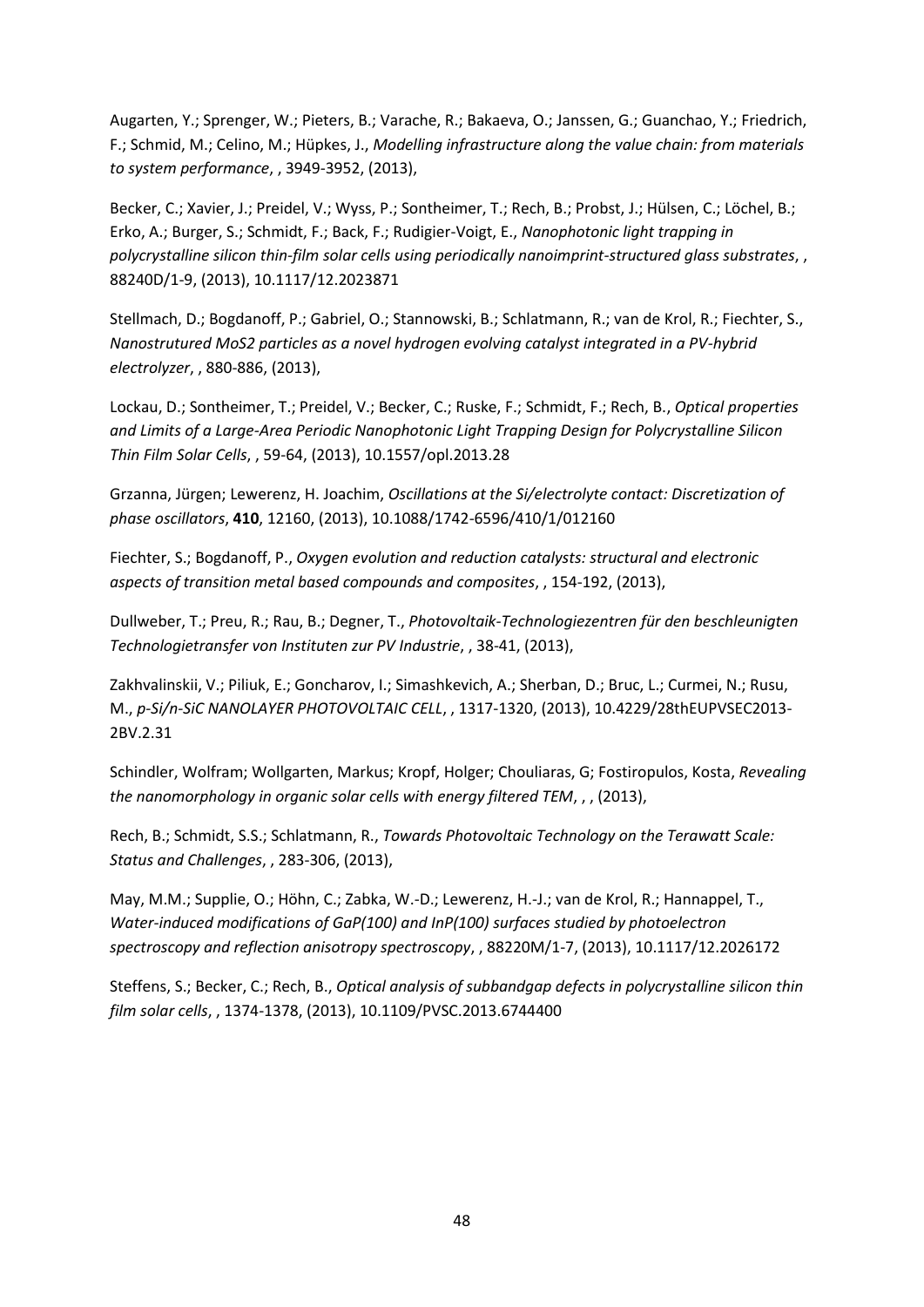Augarten, Y.; Sprenger, W.; Pieters, B.; Varache, R.; Bakaeva, O.; Janssen, G.; Guanchao, Y.; Friedrich, F.; Schmid, M.; Celino, M.; Hüpkes, J., *Modelling infrastructure along the value chain: from materials to system performance*, , 3949-3952, (2013),

Becker, C.; Xavier, J.; Preidel, V.; Wyss, P.; Sontheimer, T.; Rech, B.; Probst, J.; Hülsen, C.; Löchel, B.; Erko, A.; Burger, S.; Schmidt, F.; Back, F.; Rudigier-Voigt, E., *Nanophotonic light trapping in polycrystalline silicon thin-film solar cells using periodically nanoimprint-structured glass substrates*, , 88240D/1-9, (2013), 10.1117/12.2023871

Stellmach, D.; Bogdanoff, P.; Gabriel, O.; Stannowski, B.; Schlatmann, R.; van de Krol, R.; Fiechter, S., *Nanostrutured MoS2 particles as a novel hydrogen evolving catalyst integrated in a PV-hybrid electrolyzer*, , 880-886, (2013),

Lockau, D.; Sontheimer, T.; Preidel, V.; Becker, C.; Ruske, F.; Schmidt, F.; Rech, B., *Optical properties and Limits of a Large-Area Periodic Nanophotonic Light Trapping Design for Polycrystalline Silicon Thin Film Solar Cells*, , 59-64, (2013), 10.1557/opl.2013.28

Grzanna, Jürgen; Lewerenz, H. Joachim, *Oscillations at the Si/electrolyte contact: Discretization of phase oscillators*, **410**, 12160, (2013), 10.1088/1742-6596/410/1/012160

Fiechter, S.; Bogdanoff, P., *Oxygen evolution and reduction catalysts: structural and electronic aspects of transition metal based compounds and composites*, , 154-192, (2013),

Dullweber, T.; Preu, R.; Rau, B.; Degner, T., *Photovoltaik-Technologiezentren für den beschleunigten Technologietransfer von Instituten zur PV Industrie*, , 38-41, (2013),

Zakhvalinskii, V.; Piliuk, E.; Goncharov, I.; Simashkevich, A.; Sherban, D.; Bruc, L.; Curmei, N.; Rusu, M., *p-Si/n-SiC NANOLAYER PHOTOVOLTAIC CELL*, , 1317-1320, (2013), 10.4229/28thEUPVSEC2013- 2BV.2.31

Schindler, Wolfram; Wollgarten, Markus; Kropf, Holger; Chouliaras, G; Fostiropulos, Kosta, *Revealing the nanomorphology in organic solar cells with energy filtered TEM*, , , (2013),

Rech, B.; Schmidt, S.S.; Schlatmann, R., *Towards Photovoltaic Technology on the Terawatt Scale: Status and Challenges*, , 283-306, (2013),

May, M.M.; Supplie, O.; Höhn, C.; Zabka, W.-D.; Lewerenz, H.-J.; van de Krol, R.; Hannappel, T., *Water-induced modifications of GaP(100) and InP(100) surfaces studied by photoelectron spectroscopy and reflection anisotropy spectroscopy*, , 88220M/1-7, (2013), 10.1117/12.2026172

Steffens, S.; Becker, C.; Rech, B., *Optical analysis of subbandgap defects in polycrystalline silicon thin film solar cells*, , 1374-1378, (2013), 10.1109/PVSC.2013.6744400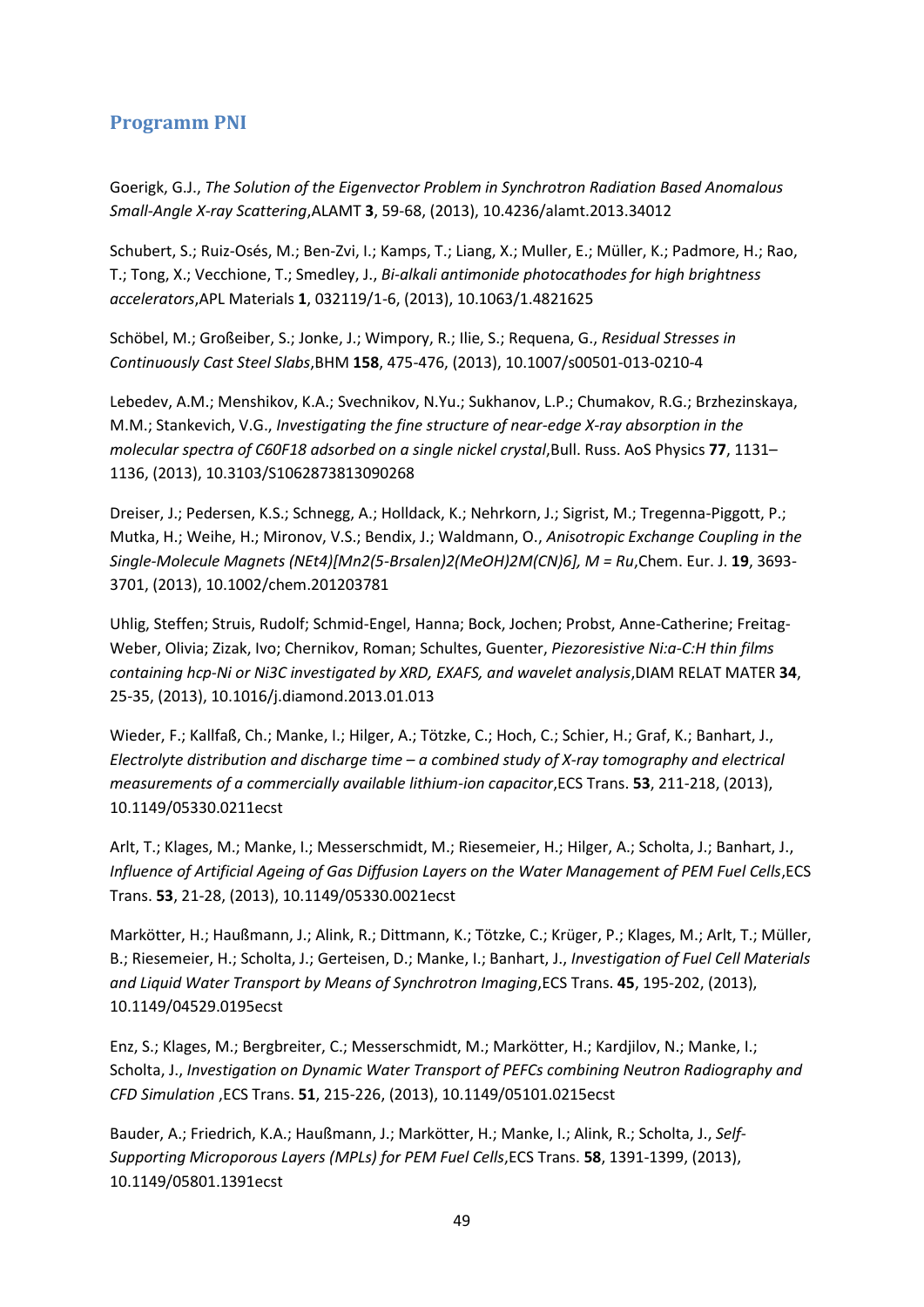### <span id="page-48-0"></span>**Programm PNI**

Goerigk, G.J., *The Solution of the Eigenvector Problem in Synchrotron Radiation Based Anomalous Small-Angle X-ray Scattering*,ALAMT **3**, 59-68, (2013), 10.4236/alamt.2013.34012

Schubert, S.; Ruiz-Osés, M.; Ben-Zvi, I.; Kamps, T.; Liang, X.; Muller, E.; Müller, K.; Padmore, H.; Rao, T.; Tong, X.; Vecchione, T.; Smedley, J., *Bi-alkali antimonide photocathodes for high brightness accelerators*,APL Materials **1**, 032119/1-6, (2013), 10.1063/1.4821625

Schöbel, M.; Großeiber, S.; Jonke, J.; Wimpory, R.; Ilie, S.; Requena, G., *Residual Stresses in Continuously Cast Steel Slabs*,BHM **158**, 475-476, (2013), 10.1007/s00501-013-0210-4

Lebedev, A.M.; Menshikov, K.A.; Svechnikov, N.Yu.; Sukhanov, L.P.; Chumakov, R.G.; Brzhezinskaya, M.M.; Stankevich, V.G., *Investigating the fine structure of near-edge X-ray absorption in the molecular spectra of C60F18 adsorbed on a single nickel crystal,Bull. Russ. AoS Physics 77, 1131–* 1136, (2013), 10.3103/S1062873813090268

Dreiser, J.; Pedersen, K.S.; Schnegg, A.; Holldack, K.; Nehrkorn, J.; Sigrist, M.; Tregenna-Piggott, P.; Mutka, H.; Weihe, H.; Mironov, V.S.; Bendix, J.; Waldmann, O., *Anisotropic Exchange Coupling in the Single-Molecule Magnets (NEt4)[Mn2(5-Brsalen)2(MeOH)2M(CN)6], M = Ru*,Chem. Eur. J. **19**, 3693- 3701, (2013), 10.1002/chem.201203781

Uhlig, Steffen; Struis, Rudolf; Schmid-Engel, Hanna; Bock, Jochen; Probst, Anne-Catherine; Freitag-Weber, Olivia; Zizak, Ivo; Chernikov, Roman; Schultes, Guenter, *Piezoresistive Ni:a-C:H thin films containing hcp-Ni or Ni3C investigated by XRD, EXAFS, and wavelet analysis*,DIAM RELAT MATER **34**, 25-35, (2013), 10.1016/j.diamond.2013.01.013

Wieder, F.; Kallfaß, Ch.; Manke, I.; Hilger, A.; Tötzke, C.; Hoch, C.; Schier, H.; Graf, K.; Banhart, J., *Electrolyte distribution and discharge time – a combined study of X-ray tomography and electrical measurements of a commercially available lithium-ion capacitor*,ECS Trans. **53**, 211-218, (2013), 10.1149/05330.0211ecst

Arlt, T.; Klages, M.; Manke, I.; Messerschmidt, M.; Riesemeier, H.; Hilger, A.; Scholta, J.; Banhart, J., *Influence of Artificial Ageing of Gas Diffusion Layers on the Water Management of PEM Fuel Cells*,ECS Trans. **53**, 21-28, (2013), 10.1149/05330.0021ecst

Markötter, H.; Haußmann, J.; Alink, R.; Dittmann, K.; Tötzke, C.; Krüger, P.; Klages, M.; Arlt, T.; Müller, B.; Riesemeier, H.; Scholta, J.; Gerteisen, D.; Manke, I.; Banhart, J., *Investigation of Fuel Cell Materials and Liquid Water Transport by Means of Synchrotron Imaging*,ECS Trans. **45**, 195-202, (2013), 10.1149/04529.0195ecst

Enz, S.; Klages, M.; Bergbreiter, C.; Messerschmidt, M.; Markötter, H.; Kardjilov, N.; Manke, I.; Scholta, J., *Investigation on Dynamic Water Transport of PEFCs combining Neutron Radiography and CFD Simulation* ,ECS Trans. **51**, 215-226, (2013), 10.1149/05101.0215ecst

Bauder, A.; Friedrich, K.A.; Haußmann, J.; Markötter, H.; Manke, I.; Alink, R.; Scholta, J., *Self-Supporting Microporous Layers (MPLs) for PEM Fuel Cells*,ECS Trans. **58**, 1391-1399, (2013), 10.1149/05801.1391ecst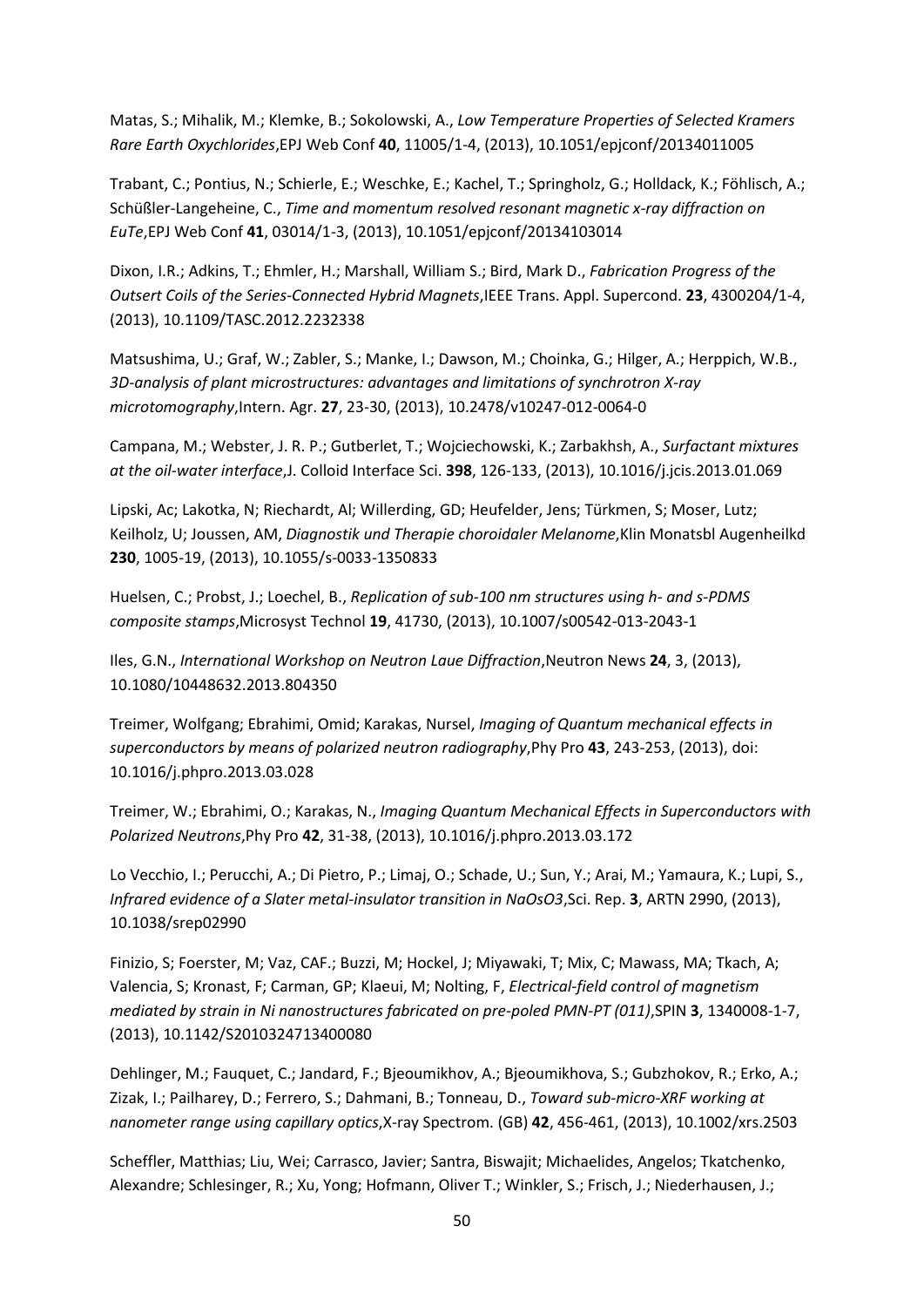Matas, S.; Mihalik, M.; Klemke, B.; Sokolowski, A., *Low Temperature Properties of Selected Kramers Rare Earth Oxychlorides*,EPJ Web Conf **40**, 11005/1-4, (2013), 10.1051/epjconf/20134011005

Trabant, C.; Pontius, N.; Schierle, E.; Weschke, E.; Kachel, T.; Springholz, G.; Holldack, K.; Föhlisch, A.; Schüßler-Langeheine, C., *Time and momentum resolved resonant magnetic x-ray diffraction on EuTe*,EPJ Web Conf **41**, 03014/1-3, (2013), 10.1051/epjconf/20134103014

Dixon, I.R.; Adkins, T.; Ehmler, H.; Marshall, William S.; Bird, Mark D., *Fabrication Progress of the Outsert Coils of the Series-Connected Hybrid Magnets*,IEEE Trans. Appl. Supercond. **23**, 4300204/1-4, (2013), 10.1109/TASC.2012.2232338

Matsushima, U.; Graf, W.; Zabler, S.; Manke, I.; Dawson, M.; Choinka, G.; Hilger, A.; Herppich, W.B., *3D-analysis of plant microstructures: advantages and limitations of synchrotron X-ray microtomography*,Intern. Agr. **27**, 23-30, (2013), 10.2478/v10247-012-0064-0

Campana, M.; Webster, J. R. P.; Gutberlet, T.; Wojciechowski, K.; Zarbakhsh, A., *Surfactant mixtures at the oil-water interface*,J. Colloid Interface Sci. **398**, 126-133, (2013), 10.1016/j.jcis.2013.01.069

Lipski, Ac; Lakotka, N; Riechardt, Al; Willerding, GD; Heufelder, Jens; Türkmen, S; Moser, Lutz; Keilholz, U; Joussen, AM, *Diagnostik und Therapie choroidaler Melanome*,Klin Monatsbl Augenheilkd **230**, 1005-19, (2013), 10.1055/s-0033-1350833

Huelsen, C.; Probst, J.; Loechel, B., *Replication of sub-100 nm structures using h- and s-PDMS composite stamps*,Microsyst Technol **19**, 41730, (2013), 10.1007/s00542-013-2043-1

Iles, G.N., *International Workshop on Neutron Laue Diffraction*,Neutron News **24**, 3, (2013), 10.1080/10448632.2013.804350

Treimer, Wolfgang; Ebrahimi, Omid; Karakas, Nursel, *Imaging of Quantum mechanical effects in superconductors by means of polarized neutron radiography*,Phy Pro **43**, 243-253, (2013), doi: 10.1016/j.phpro.2013.03.028

Treimer, W.; Ebrahimi, O.; Karakas, N., *Imaging Quantum Mechanical Effects in Superconductors with Polarized Neutrons*,Phy Pro **42**, 31-38, (2013), 10.1016/j.phpro.2013.03.172

Lo Vecchio, I.; Perucchi, A.; Di Pietro, P.; Limaj, O.; Schade, U.; Sun, Y.; Arai, M.; Yamaura, K.; Lupi, S., *Infrared evidence of a Slater metal-insulator transition in NaOsO3*,Sci. Rep. **3**, ARTN 2990, (2013), 10.1038/srep02990

Finizio, S; Foerster, M; Vaz, CAF.; Buzzi, M; Hockel, J; Miyawaki, T; Mix, C; Mawass, MA; Tkach, A; Valencia, S; Kronast, F; Carman, GP; Klaeui, M; Nolting, F, *Electrical-field control of magnetism mediated by strain in Ni nanostructures fabricated on pre-poled PMN-PT (011)*,SPIN **3**, 1340008-1-7, (2013), 10.1142/S2010324713400080

Dehlinger, M.; Fauquet, C.; Jandard, F.; Bjeoumikhov, A.; Bjeoumikhova, S.; Gubzhokov, R.; Erko, A.; Zizak, I.; Pailharey, D.; Ferrero, S.; Dahmani, B.; Tonneau, D., *Toward sub-micro-XRF working at nanometer range using capillary optics*,X-ray Spectrom. (GB) **42**, 456-461, (2013), 10.1002/xrs.2503

Scheffler, Matthias; Liu, Wei; Carrasco, Javier; Santra, Biswajit; Michaelides, Angelos; Tkatchenko, Alexandre; Schlesinger, R.; Xu, Yong; Hofmann, Oliver T.; Winkler, S.; Frisch, J.; Niederhausen, J.;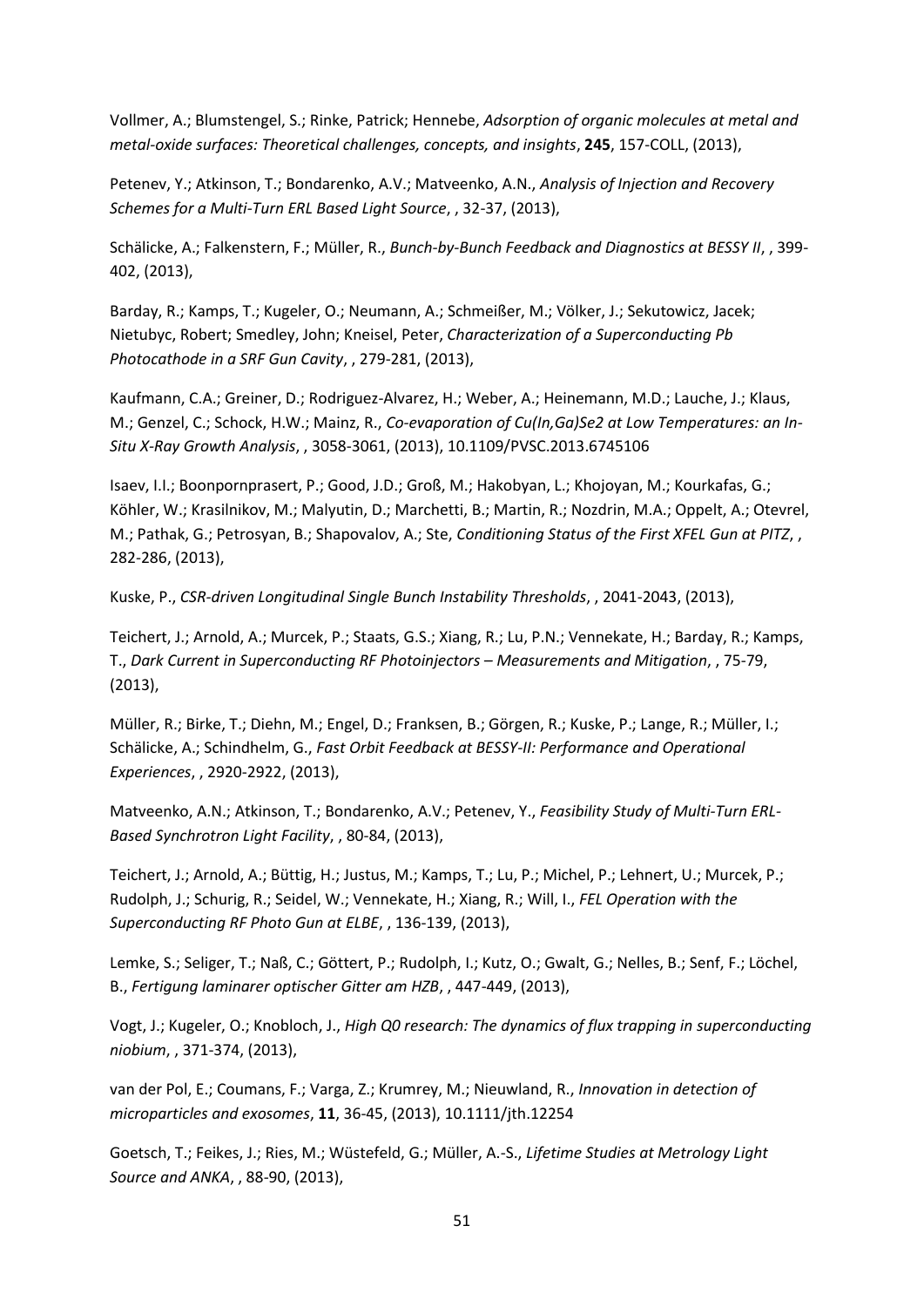Vollmer, A.; Blumstengel, S.; Rinke, Patrick; Hennebe, *Adsorption of organic molecules at metal and metal-oxide surfaces: Theoretical challenges, concepts, and insights*, **245**, 157-COLL, (2013),

Petenev, Y.; Atkinson, T.; Bondarenko, A.V.; Matveenko, A.N., *Analysis of Injection and Recovery Schemes for a Multi-Turn ERL Based Light Source*, , 32-37, (2013),

Schälicke, A.; Falkenstern, F.; Müller, R., *Bunch-by-Bunch Feedback and Diagnostics at BESSY II*, , 399- 402, (2013),

Barday, R.; Kamps, T.; Kugeler, O.; Neumann, A.; Schmeißer, M.; Völker, J.; Sekutowicz, Jacek; Nietubyc, Robert; Smedley, John; Kneisel, Peter, *Characterization of a Superconducting Pb Photocathode in a SRF Gun Cavity*, , 279-281, (2013),

Kaufmann, C.A.; Greiner, D.; Rodriguez-Alvarez, H.; Weber, A.; Heinemann, M.D.; Lauche, J.; Klaus, M.; Genzel, C.; Schock, H.W.; Mainz, R., *Co-evaporation of Cu(In,Ga)Se2 at Low Temperatures: an In-Situ X-Ray Growth Analysis*, , 3058-3061, (2013), 10.1109/PVSC.2013.6745106

Isaev, I.I.; Boonpornprasert, P.; Good, J.D.; Groß, M.; Hakobyan, L.; Khojoyan, M.; Kourkafas, G.; Köhler, W.; Krasilnikov, M.; Malyutin, D.; Marchetti, B.; Martin, R.; Nozdrin, M.A.; Oppelt, A.; Otevrel, M.; Pathak, G.; Petrosyan, B.; Shapovalov, A.; Ste, *Conditioning Status of the First XFEL Gun at PITZ*, , 282-286, (2013),

Kuske, P., *CSR-driven Longitudinal Single Bunch Instability Thresholds*, , 2041-2043, (2013),

Teichert, J.; Arnold, A.; Murcek, P.; Staats, G.S.; Xiang, R.; Lu, P.N.; Vennekate, H.; Barday, R.; Kamps, T., *Dark Current in Superconducting RF Photoinjectors – Measurements and Mitigation*, , 75-79, (2013),

Müller, R.; Birke, T.; Diehn, M.; Engel, D.; Franksen, B.; Görgen, R.; Kuske, P.; Lange, R.; Müller, I.; Schälicke, A.; Schindhelm, G., *Fast Orbit Feedback at BESSY-II: Performance and Operational Experiences*, , 2920-2922, (2013),

Matveenko, A.N.; Atkinson, T.; Bondarenko, A.V.; Petenev, Y., *Feasibility Study of Multi-Turn ERL-Based Synchrotron Light Facility*, , 80-84, (2013),

Teichert, J.; Arnold, A.; Büttig, H.; Justus, M.; Kamps, T.; Lu, P.; Michel, P.; Lehnert, U.; Murcek, P.; Rudolph, J.; Schurig, R.; Seidel, W.; Vennekate, H.; Xiang, R.; Will, I., *FEL Operation with the Superconducting RF Photo Gun at ELBE*, , 136-139, (2013),

Lemke, S.; Seliger, T.; Naß, C.; Göttert, P.; Rudolph, I.; Kutz, O.; Gwalt, G.; Nelles, B.; Senf, F.; Löchel, B., *Fertigung laminarer optischer Gitter am HZB*, , 447-449, (2013),

Vogt, J.; Kugeler, O.; Knobloch, J., *High Q0 research: The dynamics of flux trapping in superconducting niobium*, , 371-374, (2013),

van der Pol, E.; Coumans, F.; Varga, Z.; Krumrey, M.; Nieuwland, R., *Innovation in detection of microparticles and exosomes*, **11**, 36-45, (2013), 10.1111/jth.12254

Goetsch, T.; Feikes, J.; Ries, M.; Wüstefeld, G.; Müller, A.-S., *Lifetime Studies at Metrology Light Source and ANKA*, , 88-90, (2013),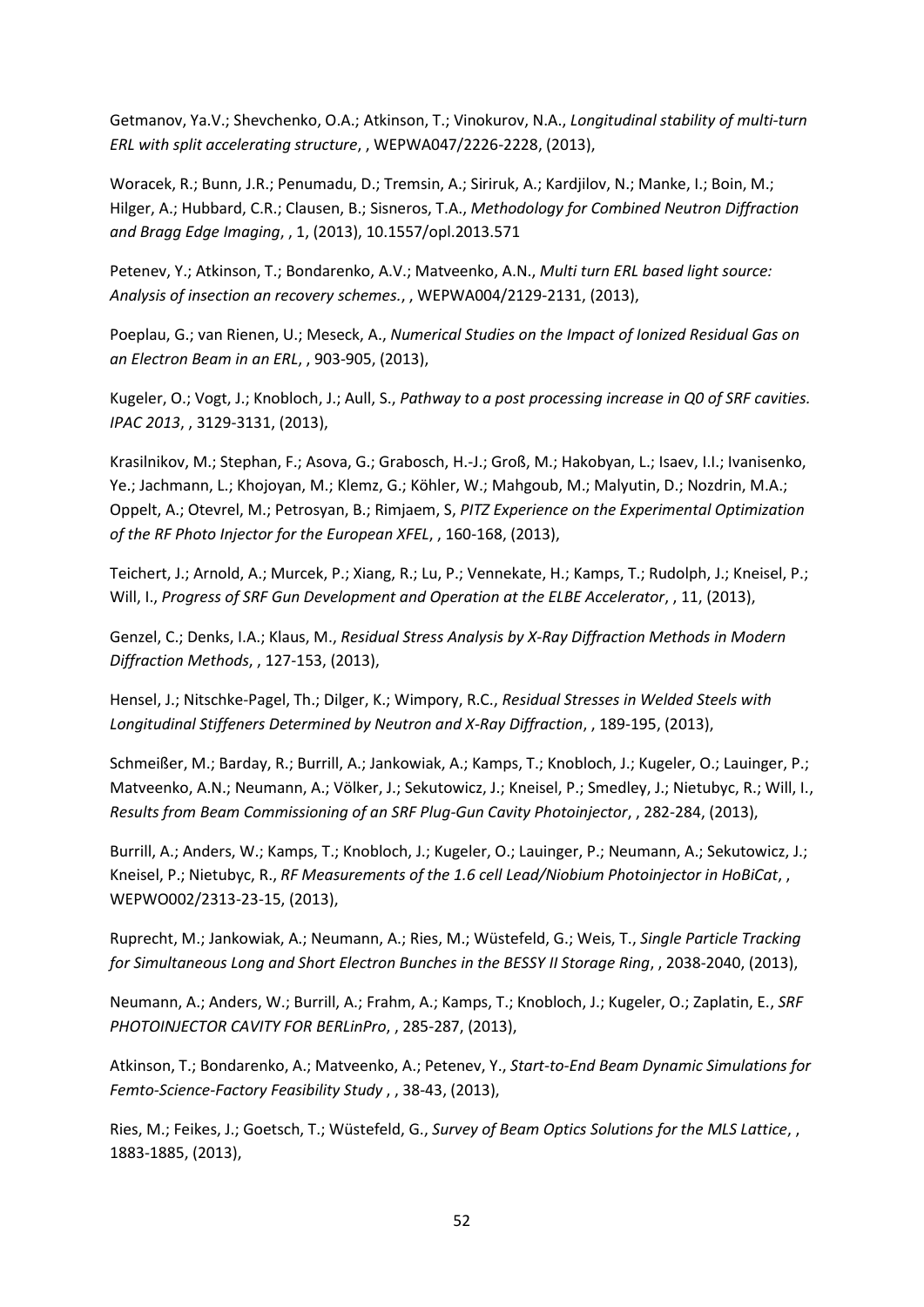Getmanov, Ya.V.; Shevchenko, O.A.; Atkinson, T.; Vinokurov, N.A., *Longitudinal stability of multi-turn ERL with split accelerating structure*, , WEPWA047/2226-2228, (2013),

Woracek, R.; Bunn, J.R.; Penumadu, D.; Tremsin, A.; Siriruk, A.; Kardjilov, N.; Manke, I.; Boin, M.; Hilger, A.; Hubbard, C.R.; Clausen, B.; Sisneros, T.A., *Methodology for Combined Neutron Diffraction and Bragg Edge Imaging*, , 1, (2013), 10.1557/opl.2013.571

Petenev, Y.; Atkinson, T.; Bondarenko, A.V.; Matveenko, A.N., *Multi turn ERL based light source: Analysis of insection an recovery schemes.*, , WEPWA004/2129-2131, (2013),

Poeplau, G.; van Rienen, U.; Meseck, A., *Numerical Studies on the Impact of Ionized Residual Gas on an Electron Beam in an ERL*, , 903-905, (2013),

Kugeler, O.; Vogt, J.; Knobloch, J.; Aull, S., *Pathway to a post processing increase in Q0 of SRF cavities. IPAC 2013*, , 3129-3131, (2013),

Krasilnikov, M.; Stephan, F.; Asova, G.; Grabosch, H.-J.; Groß, M.; Hakobyan, L.; Isaev, I.I.; Ivanisenko, Ye.; Jachmann, L.; Khojoyan, M.; Klemz, G.; Köhler, W.; Mahgoub, M.; Malyutin, D.; Nozdrin, M.A.; Oppelt, A.; Otevrel, M.; Petrosyan, B.; Rimjaem, S, *PITZ Experience on the Experimental Optimization of the RF Photo Injector for the European XFEL*, , 160-168, (2013),

Teichert, J.; Arnold, A.; Murcek, P.; Xiang, R.; Lu, P.; Vennekate, H.; Kamps, T.; Rudolph, J.; Kneisel, P.; Will, I., *Progress of SRF Gun Development and Operation at the ELBE Accelerator*, , 11, (2013),

Genzel, C.; Denks, I.A.; Klaus, M., *Residual Stress Analysis by X-Ray Diffraction Methods in Modern Diffraction Methods*, , 127-153, (2013),

Hensel, J.; Nitschke-Pagel, Th.; Dilger, K.; Wimpory, R.C., *Residual Stresses in Welded Steels with Longitudinal Stiffeners Determined by Neutron and X-Ray Diffraction*, , 189-195, (2013),

Schmeißer, M.; Barday, R.; Burrill, A.; Jankowiak, A.; Kamps, T.; Knobloch, J.; Kugeler, O.; Lauinger, P.; Matveenko, A.N.; Neumann, A.; Völker, J.; Sekutowicz, J.; Kneisel, P.; Smedley, J.; Nietubyc, R.; Will, I., *Results from Beam Commissioning of an SRF Plug-Gun Cavity Photoinjector*, , 282-284, (2013),

Burrill, A.; Anders, W.; Kamps, T.; Knobloch, J.; Kugeler, O.; Lauinger, P.; Neumann, A.; Sekutowicz, J.; Kneisel, P.; Nietubyc, R., *RF Measurements of the 1.6 cell Lead/Niobium Photoinjector in HoBiCat*, , WEPWO002/2313-23-15, (2013),

Ruprecht, M.; Jankowiak, A.; Neumann, A.; Ries, M.; Wüstefeld, G.; Weis, T., *Single Particle Tracking for Simultaneous Long and Short Electron Bunches in the BESSY II Storage Ring*, , 2038-2040, (2013),

Neumann, A.; Anders, W.; Burrill, A.; Frahm, A.; Kamps, T.; Knobloch, J.; Kugeler, O.; Zaplatin, E., *SRF PHOTOINJECTOR CAVITY FOR BERLinPro*, , 285-287, (2013),

Atkinson, T.; Bondarenko, A.; Matveenko, A.; Petenev, Y., *Start-to-End Beam Dynamic Simulations for Femto-Science-Factory Feasibility Study* , , 38-43, (2013),

Ries, M.; Feikes, J.; Goetsch, T.; Wüstefeld, G., *Survey of Beam Optics Solutions for the MLS Lattice*, , 1883-1885, (2013),